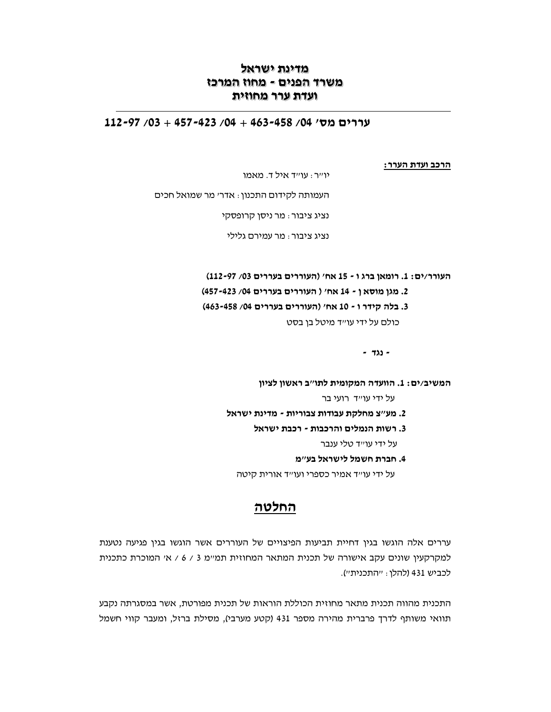# מדינת ישראל משרד הפנים - מחוז המרכז ועדת ערר מחוזית

# $112 - 97/03 + 457 - 423/04 + 463 - 458/04$ / 112 - 97

הרכב ועדת הערר:

יו״ר: עו״ד איל ד. מאמו

העמותה לקידום התכנון: אדר׳ מר שמואל חכים

נציג ציבור: מר ניסו קרופסקי

נציג ציבור : מר עמירם גלילי

העורר/ים: 1. רומאן ברג ו - 15 אח' (העוררים בעררים 03/ 97-112) 2. מגן מוסאן - 14 אח' ( העוררים בעררים 04/ 457-423) 3. בלה קידר ו - 10 אח' (העוררים בעררים 04/ 463-458) כולם על ידי עו״ד מיטל בן בסט

 $-722 -$ 

המשיב/ים: 1. הוועדה המקומית לתו"ב ראשון לציון

על ידי עו״ד רועי בר

- 2. מע"צ מחלקת עבודות צבוריות מדינת ישראל
	- 3. רשות הנמלים והרכבות רכבת ישראל

על ידי עו״ד טלי ענבר

4. חברת חשמל לישראל בע״מ

על ידי עו״ד אמיר כספרי ועו״ד אורית קיטה

# החלטה

עררים אלה הוגשו בגין דחיית תביעות הפיצויים של העוררים אשר הוגשו בגין פגיעה נטענת למקרקעין שונים עקב אישורה של תכנית המתאר המחוזית תמיימ 3 / 6 / אי המוכרת כתכנית לכביש 431 (להלו: "התכנית").

התכנית מהווה תכנית מתאר מחוזית הכוללת הוראות של תכנית מפורטת, אשר במסגרתה נקבע תוואי משותף לדרך פרברית מהירה מספר 431 (קטע מערבי), מסילת ברזל, ומעבר קווי חשמל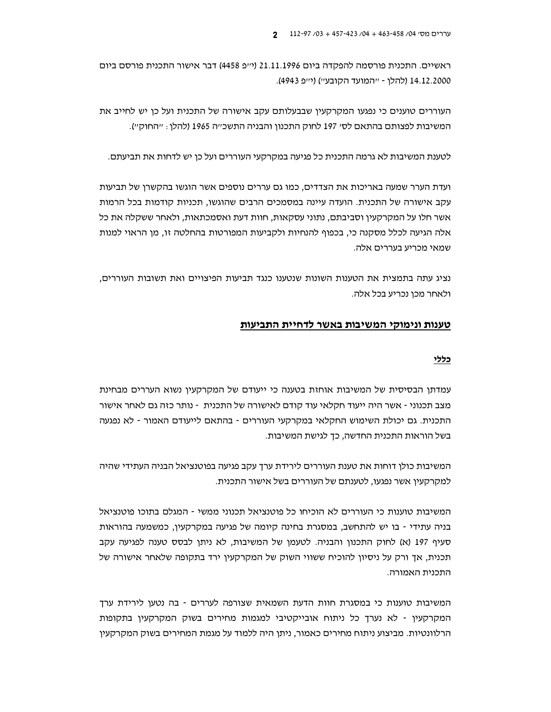ראשיים. התכנית פורסמה להפקדה ביום 21.11.1996 (י״פ 4458) דבר אישור התכנית פורסם ביום 14.12.2000 (להלן - ייהמועד הקובעיי) (ייפ 4943).

העוררים טוענים כי נפגעו המקרקעין שבבעלותם עקב אישורה של התכנית ועל כן יש לחייב את המשיבות לפצותם בהתאם לסי 197 לחוק התכנון והבניה התשכ״ה 1965 (להלן : ״החוק״).

לטענת המשיבות לא גרמה התכנית כל פגיעה במקרקעי העוררים ועל כן יש לדחות את תביעתם.

ועדת הערר שמעה באריכות את הצדדים, כמו גם עררים נוספים אשר הוגשו בהקשרן של תביעות עקב אישורה של התכנית. הועדה עיינה במסמכים הרבים שהוגשו, תכניות קודמות בכל הרמות אשר חלו על המקרקעין וסביבתם, נתוני עסקאות, חוות דעת ואסמכתאות, ולאחר ששקלה את כל אלה הגיעה לכלל מסקנה כי, בכפוף להנחיות ולקביעות המפורטות בהחלטה זו, מן הראוי למנות שמאי מכריע בעררים אלה.

נציג עתה בתמצית את הטענות השונות שנטענו כנגד תביעות הפיצויים ואת תשובות העוררים. ולאחר מכן נכריע בכל אלה.

### טענות ונימוקי המשיבות באשר לדחיית התביעות

#### כללי

עמדתן הבסיסית של המשיבות אוחזת בטענה כי ייעודם של המקרקעין נשוא העררים מבחינת מצב תכנוני - אשר היה ייעוד חקלאי עוד קודם לאישורה של התכנית - נותר כזה גם לאחר אישור התכנית. גם יכולת השימוש החקלאי במקרקעי העוררים - בהתאם לייעודם האמור - לא נפגעה בשל הוראות התכנית החדשה, כך לגישת המשיבות.

המשיבות כולן דוחות את טענת העוררים לירידת ערך עקב פגיעה בפוטנציאל הבניה העתידי שהיה למקרקעין אשר נפגעו, לטענתם של העוררים בשל אישור התכנית.

המשיבות טוענות כי העוררים לא הוכיחו כל פוטנציאל תכנוני ממשי - המגלם בתוכו פוטנציאל בניה עתידי - בו יש להתחשב, במסגרת בחינה קיומה של פגיעה במקרקעין, כמשמעה בהוראות סעיף 197 (א) לחוק התכנון והבניה. לטעמן של המשיבות, לא ניתן לבסס טענה לפגיעה עקב תכנית, אך ורק על ניסיון להוכיח ששווי השוק של המקרקעין ירד בתקופה שלאחר אישורה של התכנית האמורה.

המשיבות טוענות כי במסגרת חוות הדעת השמאית שצורפה לעררים - בה נטען לירידת ערך המקרקעין - לא נערך כל ניתוח אובייקטיבי למגמות מחירים בשוק המקרקעין בתקופות הרלוונטיות. מביצוע ניתוח מחירים כאמור, ניתן היה ללמוד על מגמת המחירים בשוק המקרקעין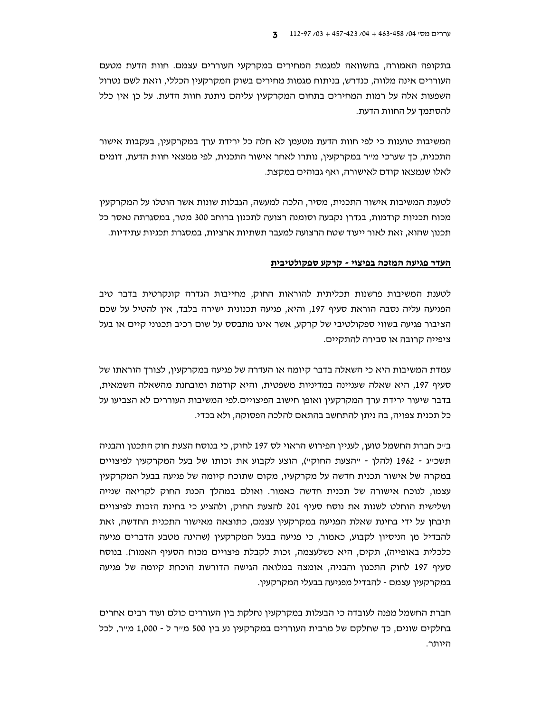בתקופה האמורה, בהשוואה למגמת המחירים במקרקעי העוררים עצמם. חוות הדעת מטעם העוררים אינה מלווה, כנדרש, בניתוח מגמות מחירים בשוק המקרקעין הכללי, וזאת לשם נטרול השפעות אלה על רמות המחירים בתחום המקרקעין עליהם ניתנת חוות הדעת. על כן אין כלל להסתמד על החוות הדעת.

המשיבות טוענות כי לפי חוות הדעת מטעמו לא חלה כל ירידת ערד במקרקעיו, בעקבות אישור התכנית, כך שערכי מ״ר במקרקעין, נותרו לאחר אישור התכנית, לפי ממצאי חוות הדעת, דומים לאלו שנמצאו קודם לאישורה, ואף גבוהים במקצת.

לטענת המשיבות אישור התכנית, מסיר, הלכה למעשה, הגבלות שונות אשר הוטלו על המקרקעין מכוח תכניות קודמות, בגדרן נקבעה וסומנה רצועה לתכנון ברוחב 300 מטר, במסגרתה נאסר כל תכנון שהוא, זאת לאור ייעוד שטח הרצועה למעבר תשתיות ארציות, במסגרת תכניות עתידיות.

#### העדר פגיעה המזכה בפיצוי - קרקע ספקולטיבית

לטענת המשיבות פרשנות תכליתית להוראות החוק, מחייבות הגדרה קונקרטית בדבר טיב הפגיעה עליה נסבה הוראת סעיף 197, והיא, פגיעה תכנונית ישירה בלבד, אין להטיל על שכם הציבור פגיעה בשווי ספקולטיבי של קרקע, אשר אינו מתבסס על שום רכיב תכנוני קיים או בעל ציפייה קרובה או סבירה להתקיים.

עמדת המשיבות היא כי השאלה בדבר קיומה או העדרה של פגיעה במקרקעין, לצורך הוראתו של סעיף 197, היא שאלה שעניינה במדיניות משפטית, והיא קודמת ומובחנת מהשאלה השמאית, בדבר שיעור ירידת ערך המקרקעין ואופן חישוב הפיצויים.לפי המשיבות העוררים לא הצביעו על כל תכנית צפויה, בה ניתן להתחשב בהתאם להלכה הפסוקה, ולא בכדי.

ב״כ חברת החשמל טוען, לעניין הפירוש הראוי לס 197 לחוק, כי בנוסח הצעת חוק התכנון והבניה תשכייג - 1962 (להלן - ייהצעת החוקיי), הוצע לקבוע את זכותו של בעל המקרקעין לפיצויים במקרה של אישור תכנית חדשה על מקרקעיו, מקום שתוכח קיומה של פגיעה בבעל המקרקעין עצמו, לנוכח אישורה של תכנית חדשה כאמור. ואולם במהלך הכנת החוק לקריאה שנייה ושלישית הוחלט לשנות את נוסח סעיף 201 להצעת החוק, ולהציע כי בחינת הזכות לפיצויים תיבחו על ידי בחינת שאלת הפגיעה במקרקעיו עצמם, כתוצאה מאישור התכנית החדשה, זאת להבדיל מן הניסיון לקבוע, כאמור, כי פגיעה בבעל המקרקעין (שהינה מטבע הדברים פגיעה כלכלית באופייה), תקים, היא כשלעצמה, זכות לקבלת פיצויים מכוח הסעיף האמור). בנוסח סעיף 197 לחוק התכנון והבניה, אומצה במלואה הגישה הדורשת הוכחת קיומה של פגיעה במקרקעין עצמם - להבדיל מפגיעה בבעלי המקרקעין.

חברת החשמל מפנה לעובדה כי הבעלות במקרקעין נחלקת בין העוררים כולם ועוד רבים אחרים בחלקים שונים, כך שחלקם של מרבית העוררים במקרקעין נע בין 500 מ״ר ל - 1,000 מ״ר, לכל היותר.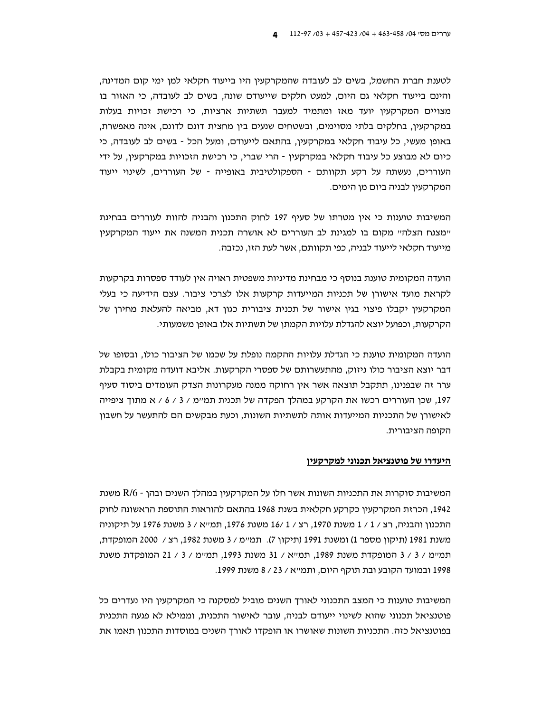לטענת חברת החשמל. בשים לב לעובדה שהמקרקעיו היו בייעוד חקלאי למו ימי קום המדינה. והינם בייעוד חקלאי גם היום, למעט חלקים שייעודם שונה, בשים לב לעובדה, כי האזור בו מצויים המקרקעין יועד מאז ומתמיד למעבר תשתיות ארציות, כי רכישת זכויות בעלות במקרקעין, בחלקים בלתי מסוימים, ובשטחים שנעים בין מחצית דונם לדונם, אינה מאפשרת, באופן מעשי, כל עיבוד חקלאי במקרקעין, בהתאם לייעודם, ומעל הכל - בשים לב לעובדה, כי כיום לא מבוצע כל עיבוד חקלאי במקרקעין - הרי שברי, כי רכישת הזכויות במקרקעין, על ידי העוררים, נעשתה על רקע תקוותם - הספקולטיבית באופייה - של העוררים, לשינוי ייעוד המקרקעין לבניה ביום מן הימים.

המשיבות טוענות כי אין מטרתו של סעיף 197 לחוק התכנון והבניה להוות לעוררים בבחינת "מצנח הצלה" מקום בו למגינת לב העוררים לא אושרה תכנית המשנה את ייעוד המקרקעין מייעוד חקלאי לייעוד לבניה, כפי תקוותם, אשר לעת הזו, נכזבה.

הועדה המקומית טוענת בנוסף כי מבחינת מדיניות משפטית ראויה אין לעודד ספסרות בקרקעות לקראת מועד אישורן של תכניות המייעדות קרקעות אלו לצרכי ציבור. עצם הידיעה כי בעלי המקרקעין יקבלו פיצוי בגין אישור של תכנית ציבורית כגון דא, מביאה להעלאת מחירן של הקרקעות, וכפועל יוצא להגדלת עלויות הקמתן של תשתיות אלו באופן משמעותי.

הועדה המקומית טוענת כי הגדלת עלויות ההקמה נופלת על שכמו של הציבור כולו, ובסופו של דבר יוצא הציבור כולו ניזוק, מהתעשרותם של ספסרי הקרקעות. אליבא דועדה מקומית בקבלת ערר זה שבפנינו, תתקבל תוצאה אשר אין רחוקה ממנה מעקרונות הצדק העומדים ביסוד סעיף 197, שכן העוררים רכשו את הקרקע במהלך הפקדה של תכנית תמיימ / 3 / 6 / א מתוך ציפייה לאישורן של התכניות המייעדות אותה לתשתיות השונות, וכעת מבקשים הם להתעשר על חשבון הקופה הציבורית.

#### היעדרו של פוטנציאל תכנוני למקרקעין

המשיבות סוקרות את התכניות השונות אשר חלו על המקרקעין במהלך השנים ובהן - R/6 משנת 1942, הכרזת המקרקעין כקרקע חקלאית בשנת 1968 בהתאם להוראות התוספת הראשונה לחוק התכנון והבניה, רצ / 1 / 1 משנת 1970, רצ / 1 /16 משנת 1976, תמייא / 3 משנת 1976 על תיקוניה משנת 1981 (תיקון מספר 1) ומשנת 1991 (תיקון 7). תמיימ / 3 משנת 1982, רצ / 2000 המופקדת, תמיימ / 3 / 3 המופקדת משנת 1989. תמייא / 31 משנת 1993. תמיימ / 3 / 21 המופקדת משנת 1998 ובמועד הקובע ובת תוקף היום, ותמ״א / 23 / 8 משנת 1999.

המשיבות טוענות כי המצב התכנוני לאורך השנים מוביל למסקנה כי המקרקעין היו נעדרים כל פוטנציאל תכנוני שהוא לשינוי ייעודם לבניה, עובר לאישור התכנית, וממילא לא פגעה התכנית בפוטנציאל כזה. התכניות השונות שאושרו או הופקדו לאורך השנים במוסדות התכנון תאמו את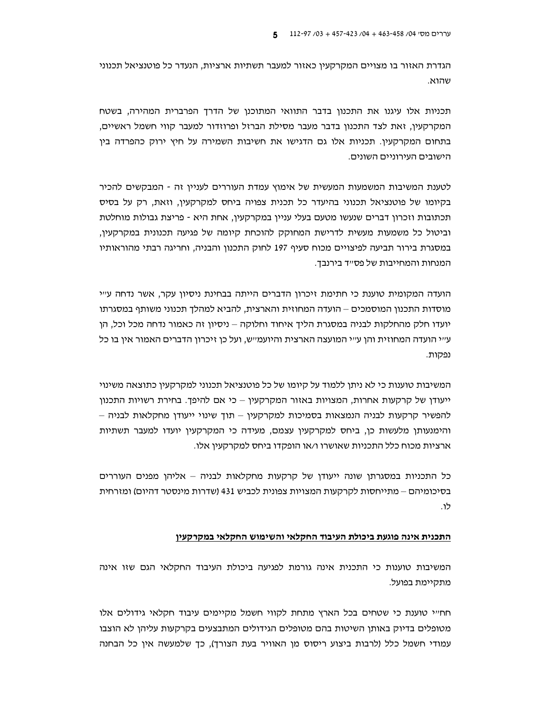הגדרת האזור בו מצויים המקרקעין כאזור למעבר תשתיות ארציות, הנעדר כל פוטנציאל תכנוני שהוא.

תכניות אלו עיגנו את התכנון בדבר התוואי המתוכנו של הדרד הפרברית המהירה, בשטח המקרקעין, זאת לצד התכנון בדבר מעבר מסילת הברזל ופרוזדור למעבר קווי חשמל ראשיים, בתחום המקרקעין. תכניות אלו גם הדגישו את חשיבות השמירה על חיץ ירוק כהפרדה בין הישובים העירוניים השונים.

לטענת המשיבות המשמעות המעשית של אימוץ עמדת העוררים לעניין זה - המבקשים להכיר בקיומו של פוטנציאל תכנוני בהיעדר כל תכנית צפויה ביחס למקרקעין, וזאת, רק על בסיס תכתובות וזכרון דברים שנעשו מטעם בעלי עניין במקרקעין, אחת היא - פריצת גבולות מוחלטת וביטול כל משמעות מעשית לדרישת המחוקק להוכחת קיומה של פגיעה תכנונית במקרקעין, במסגרת בירור תביעה לפיצויים מכוח סעיף 197 לחוק התכנון והבניה, וחריגה רבתי מהוראותיו המנחות והמחייבות של פס״ד בירנבך.

הועדה המקומית טוענת כי חתימת זיכרון הדברים הייתה בבחינת ניסיון עקר, אשר נדחה ע״י מוסדות התכנון המוסמכים – הועדה המחוזית והארצית, להביא למהלך תכנוני משותף במסגרתו יועדו חלק מהחלקות לבניה במסגרת הליך איחוד וחלוקה – ניסיון זה כאמור נדחה מכל וכל, הן ע״י הועדה המחוזית והן ע״י המועצה הארצית והיועמ״ש, ועל כן זיכרון הדברים האמור אין בו כל נפקות.

המשיבות טוענות כי לא ניתו ללמוד על קיומו של כל פוטנציאל תכנוני למקרקעין כתוצאה משינוי ייעודן של קרקעות אחרות, המצויות באזור המקרקעין – כי אם להיפך. בחירת רשויות התכנון להפשיר קרקעות לבניה הנמצאות בסמיכות למקרקעין – תוך שינוי ייעודן מחקלאות לבניה – והימנעותן מלעשות כן, ביחס למקרקעין עצמם, מעידה כי המקרקעין יועדו למעבר תשתיות ארציות מכוח כלל התכניות שאושרו ו/או הופקדו ביחס למקרקעין אלו.

כל התכניות במסגרתן שונה ייעודן של קרקעות מחקלאות לבניה – אליהן מפנים העוררים בסיכומיהם – מתייחסות לקרקעות המצויות צפונית לכביש 431 (שדרות מינסטר דהיום) ומזרחית לו.

#### <u>התכנית אינה פוגעת ביכולת העיבוד החקלאי והשימוש החקלאי במקרקעין</u>

המשיבות טוענות כי התכנית אינה גורמת לפגיעה ביכולת העיבוד החקלאי הגם שזו אינה מתקיימת בפועל.

חחייי טוענת כי שטחים בכל הארץ מתחת לקווי חשמל מקיימים עיבוד חקלאי גידולים אלו מטופלים בדיוק באותן השיטות בהם מטופלים הגידולים המתבצעים בקרקעות עליהן לא הוצבו עמודי חשמל כלל (לרבות ביצוע ריסוס מן האוויר בעת הצורך), כך שלמעשה אין כל הבחנה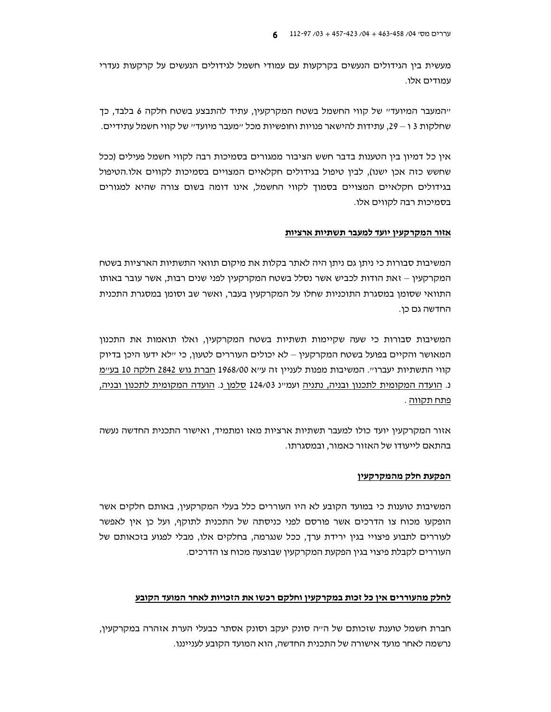מעשית בין הגידולים הנעשים בקרקעות עם עמודי חשמל לגידולים הנעשים על קרקעות נעדרי עמודים אלו.

"המעבר המיועד" של קווי החשמל בשטח המקרקעין, עתיד להתבצע בשטח חלקה 6 בלבד, כד שחלקות 3 ו – 29, עתידות להישאר פנויות וחופשיות מכל ״מעבר מיועד״ של קווי חשמל עתידיים.

אין כל דמיון בין הטענות בדבר חשש הציבור ממגורים בסמיכות רבה לקווי חשמל פעילים (ככל שחשש כזה אכן ישנו), לבין טיפול בגידולים חקלאיים המצויים בסמיכות לקווים אלו.הטיפול בגידולים חקלאיים המצויים בסמוך לקווי החשמל, אינו דומה בשום צורה שהיא למגורים בסמיכות רבה לקווים אלו.

#### <u>אזור המקרקעין יועד למעבר תשתיות ארציות</u>

המשיבות סבורות כי ניתן גם ניתן היה לאתר בקלות את מיקום תוואי התשתיות הארציות בשטח המקרקעין – זאת הודות לכביש אשר נסלל בשטח המקרקעין לפני שנים רבות, אשר עובר באותו התוואי שסומן במסגרת התוכניות שחלו על המקרקעין בעבר, ואשר שב וסומן במסגרת התכנית החדשה גם כן.

המשיבות סבורות כי שעה שקיימות תשתיות בשטח המקרקעין, ואלו תואמות את התכנון המאושר והקיים בפועל בשטח המקרקעין – לא יכולים העוררים לטעון, כי יילא ידעו היכן בדיוק קווי התשתיות יעברו". המשיבות מפנות לעניין זה ע"א 1968/00 חברת גוש 2842 חלקה 10 בע"מ נ. הועדה המקומית לתכנון ובניה, נתניה ועמיינ 124/03 סלמן נ. הועדה המקומית לתכנון ובניה, <u>פתח תקווה</u> .

אזור המקרקעין יועד כולו למעבר תשתיות ארציות מאז ומתמיד, ואישור התכנית החדשה נעשה בהתאם לייעודו של האזור כאמור, ובמסגרתו.

#### הפקעת חלק מהמקרקעין

המשיבות טוענות כי במועד הקובע לא היו העוררים כלל בעלי המקרקעין, באותם חלקים אשר הופקעו מכוח צו הדרכים אשר פורסם לפני כניסתה של התכנית לתוקף, ועל כו איו לאפשר לעוררים לתבוע פיצויי בגין ירידת ערך, ככל שנגרמה, בחלקים אלו, מבלי לפגוע בזכאותם של העוררים לקבלת פיצוי בגין הפקעת המקרקעין שבוצעה מכוח צו הדרכים.

#### לחלק מהעוררים אין כל זכות במקרקעין וחלקם רכשו את הזכויות לאחר המועד הקובע

חברת חשמל טוענת שזכותם של הייה סונק יעקב וסונק אסתר כבעלי הערת אזהרה במקרקעין, נרשמה לאחר מועד אישורה של התכנית החדשה, הוא המועד הקובע לענייננו.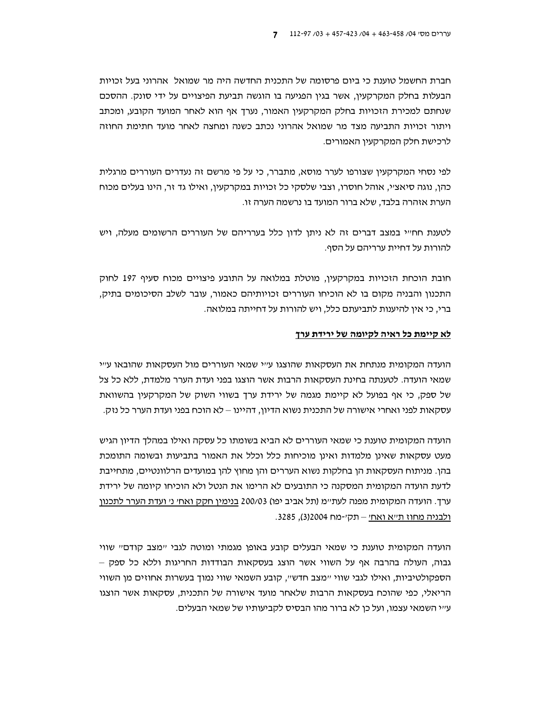חברת החשמל טוענת כי ביום פרסומה של התכנית החדשה היה מר שמואל. אהרוני בעל זכויות הבעלות בחלק המקרקעין, אשר בגין הפגיעה בו הוגשה תביעת הפיצויים על ידי סונק. ההסכם שנחתם למכירת הזכויות בחלק המקרקעין האמור, נערד אף הוא לאחר המועד הקובע, ומכתב ויתור זכויות התביעה מצד מר שמואל אהרוני נכתב כשנה ומחצה לאחר מועד חתימת החוזה לרכישת חלק המקרקעיו האמורים.

לפי נסחי המקרקעין שצורפו לערר מוסא, מתברר, כי על פי מרשם זה נעדרים העוררים מרגלית כהן, נוגה סיאציי, אוהל חוסרו, וצבי שלסקי כל זכויות במקרקעין, ואילו גד זר, הינו בעלים מכוח הערת אזהרה בלבד, שלא ברור המועד בו נרשמה הערה זו.

לטענת חחייי במצב דברים זה לא ניתן לדון כלל בערריהם של העוררים הרשומים מעלה, ויש להורות על דחיית ערריהם על הסף.

חובת הוכחת הזכויות במקרקעין, מוטלת במלואה על התובע פיצויים מכוח סעיף 197 לחוק התכנון והבניה מקום בו לא הוכיחו העוררים זכויותיהם כאמור, עובר לשלב הסיכומים בתיק, ברי, כי אין להיענות לתביעתם כלל, ויש להורות על דחייתה במלואה.

#### לא קיימת כל ראיה לקיומה של ירידת ערך

הועדה המקומית מנתחת את העסקאות שהוצגו עייי שמאי העוררים מול העסקאות שהובאו עייי שמאי הועדה. לטענתה בחינת העסקאות הרבות אשר הוצגו בפני ועדת הערר מלמדת, ללא כל צל של ספק, כי אף בפועל לא קיימת מגמה של ירידת ערך בשווי השוק של המקרקעין בהשוואת עסקאות לפני ואחרי אישורה של התכנית נשוא הדיון, דהיינו – לא הוכח בפני ועדת הערר כל נזק.

הועדה המקומית טוענת כי שמאי העוררים לא הביא בשומתו כל עסקה ואילו במהלך הדיון הגיש מעט עסקאות שאינן מלמדות ואינן מוכיחות כלל וכלל את האמור בתביעות ובשומה התומכת בהן. מניתוח העסקאות הן בחלקות נשוא העררים והן מחוץ להן במועדים הרלוונטיים, מתחייבת לדעת הועדה המקומית המסקנה כי התובעים לא הרימו את הנטל ולא הוכיחו קיומה של ירידת ערך. הועדה המקומית מפנה לעתיימ (תל אביב יפו) 200/03 בנימין חקק ואחי ני ועדת הערר לתכנון ולבניה מחוז ת״א ואח׳ – תק׳-מח 2004(3), 3285.

הועדה המקומית טוענת כי שמאי הבעלים קובע באופן מגמתי ומוטה לגבי יימצב קודםיי שווי גבוה, העולה בהרבה אף על השווי אשר הוצג בעסקאות הבודדות החריגות וללא כל ספק -הספקולטיביות, ואילו לגבי שווי "מצב חדש", קובע השמאי שווי נמוך בעשרות אחוזים מן השווי הריאלי, כפי שהוכח בעסקאות הרבות שלאחר מועד אישורה של התכנית, עסקאות אשר הוצגו עייי השמאי עצמו, ועל כן לא ברור מהו הבסיס לקביעותיו של שמאי הבעלים.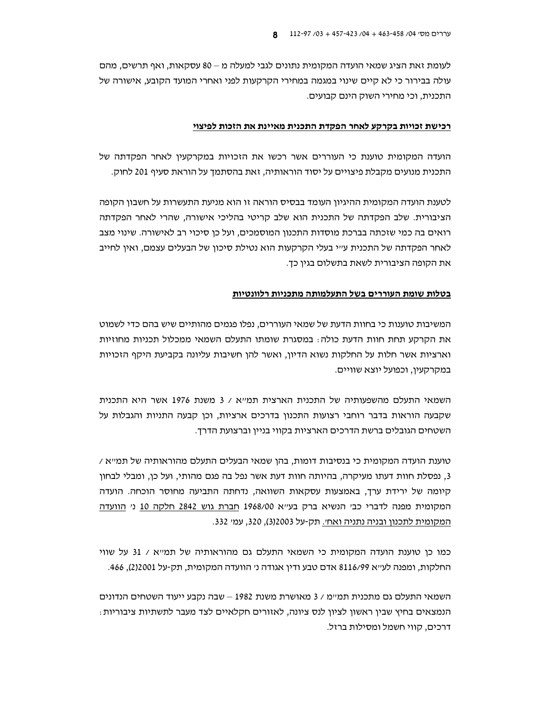לעומת זאת הציג שמאי הועדה המקומית נתונים לגבי למעלה מ – 80 עסקאות, ואף תרשים, מהם עולה בבירור כי לא קיים שינוי במגמה במחירי הקרקעות לפני ואחרי המועד הקובע, אישורה של התכנית, וכי מחירי השוק הינם קבועים.

#### רכישת זכויות בקרקע לאחר הפקדת התכנית מאיינת את הזכות לפיצוי

הועדה המקומית טוענת כי העוררים אשר רכשו את הזכויות במקרקעין לאחר הפקדתה של התכנית מנועים מקבלת פיצויים על יסוד הוראותיה, זאת בהסתמך על הוראת סעיף 201 לחוק.

לטענת הועדה המקומית ההיגיון העומד בבסיס הוראה זו הוא מניעת התעשרות על חשבון הקופה הציבורית. שלב הפקדתה של התכנית הוא שלב קריטי בהליכי אישורה, שהרי לאחר הפקדתה רואים בה כמי שזכתה בברכת מוסדות התכנון המוסמכים, ועל כן סיכוי רב לאישורה. שינוי מצב לאחר הפקדתה של התכנית ע״י בעלי הקרקעות הוא נטילת סיכון של הבעלים עצמם, ואין לחייב את הקופה הציבורית לשאת בתשלום בגין כך.

#### בטלות שומת העוררים בשל התעלמותה מתכניות רלוונטיות

המשיבות טוענות כי בחוות הדעת של שמאי העוררים, נפלו פגמים מהותיים שיש בהם כדי לשמוט את הקרקע תחת חוות הדעת כולה : במסגרת שומתו התעלם השמאי ממכלול תכניות מחוזיות וארציות אשר חלות על החלקות נשוא הדיון, ואשר להן חשיבות עליונה בקביעת היקף הזכויות במקרקעין, וכפועל יוצא שוויים.

השמאי התעלם מהשפעותיה של התכנית הארצית תמ"א / 3 משנת 1976 אשר היא התכנית שקבעה הוראות בדבר רוחבי רצועות התכנון בדרכים ארציות, וכן קבעה התניות והגבלות על השטחים הגובלים ברשת הדרכים הארציות בקווי בניין וברצועת הדרך.

 $\,$ טוענת הועדה המקומית כי בנסיבות דומות, בהן שמאי הבעלים התעלם מהוראותיה של תמייא / 3, נפסלת חוות דעתו מעיקרה, בהיותה חוות דעת אשר נפל בה פגם מהותי, ועל כן, ומבלי לבחון קיומה של ירידת ערך, באמצעות עסקאות השוואה, נדחתה התביעה מחוסר הוכחה. הועדה המקומית מפנה לדברי כב׳ הנשיא ברק בעי׳א 1968/00 חברת גוש 2842 חלקה 10 ני הוועדה המקומית לתכנון ובניה נתניה ואחי. תק-על 32003), 320, עמי 332.

כמו כן טוענת הועדה המקומית כי השמאי התעלם גם מהוראותיה של תמייא / 31 על שווי החלקות, ומפנה לעייא 8116/99 אדם טבע ודין אגודה ני הוועדה המקומית, תק-על 2)2001), 466.

השמאי התעלם גם מתכנית תמיימ / 3 מאושרת משנת 1982 – שבה נקבע ייעוד השטחים הנדונים הנמצאים בחיץ שבין ראשון לציון לנס ציונה, לאזורים חקלאיים לצד מעבר לתשתיות ציבוריות: דרכים, קווי חשמל ומסילות ברזל.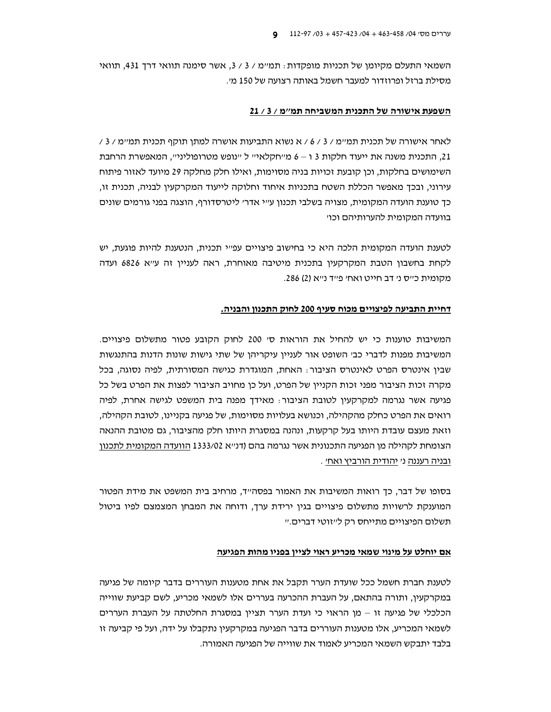השמאי התעלם מקיומן של תכניות מופקדות: תמיימ / 3 / 3, אשר סימנה תוואי דרך 431, תוואי מסילת ברזל ופרוזדור למעבר חשמל באותה רצועה של 150 מ׳.

#### השפעת אישורה של התכנית המשביחה תמ"מ / 3 / 21

לאחר אישורה של תכנית תמיימ / 3 / 6 / א נשוא התביעות אושרה למתו תוקף תכנית תמיימ / 3 / 21, התכנית משנה את ייעוד חלקות 3 ו – 6 מייחקלאייי ל יינופש מטרופולינייי, המאפשרת הרחבת השימושים בחלקות, וכן קובעת זכויות בניה מסוימות, ואילו חלק מחלקה 29 מיועד לאזור פיתוח עירוני, ובכך מאפשר הכללת השטח בתכניות איחוד וחלוקה לייעוד המקרקעין לבניה, תכנית זו, כך טוענת הועדה המקומית, מצויה בשלבי תכנון ע"י אדר' ליטרסדורף, הוצגה בפני גורמים שונים בוועדה המקומית להערותיהם וכו׳

לטענת הועדה המקומית הלכה היא כי בחישוב פיצויים עפ״י תכנית, הנטענת להיות פוגעת, יש לקחת בחשבון הטבת המקרקעין בתכנית מיטיבה מאוחרת, ראה לעניין זה ע״א 6826 ועדה מקומית כייס ני דב חייט ואחי פייד נייא (2) 286.

#### דחיית התביעה לפיצויים מכוח סעיף 200 לחוק התכנון והבניה.

המשיבות טוענות כי יש להחיל את הוראות סי 200 לחוק הקובע פטור מתשלום פיצויים. המשיבות מפנות לדברי כב׳ השופט אור לעניין עיקריהן של שתי גישות שונות הדנות בהתנגשות שבין אינטרס הפרט לאינטרס הציבור: האחת, המוגדרת כגישה המסורתית, לפיה נסוגה, בכל מקרה זכות הציבור מפני זכות הקניין של הפרט, ועל כן מחויב הציבור לפצות את הפרט בשל כל פגיעה אשר נגרמה למקרקעין לטובת הציבור: מאידך מפנה בית המשפט לגישה אחרת, לפיה רואים את הפרט כחלק מהקהילה, וכנושא בעלויות מסוימות, של פגיעה בקניינו, לטובת הקהילה, וזאת מעצם עובדת היותו בעל קרקעות, ונהנה במסגרת היותו חלק מהציבור, גם מטובת ההנאה הצומחת לקהילה מן הפגיעה התכנונית אשר נגרמה בהם (דנייא 1333/02 הוועדה המקומית לתכנון ובניה רעננה ני יהודית הורביץ ואחי.

בסופו של דבר, כד רואות המשיבות את האמור בפסה״ד, מרחיב בית המשפט את מידת הפטור המוענקת לרשויות מתשלום פיצויים בגין ירידת ערך, ודוחה את המבחן המצמצם לפיו ביטול תשלום הפיצויים מתייחס רק לייזוטי דברים.יי

#### אם יוחלט על מינוי שמאי מכריע ראוי לציין בפניו מהות הפגיעה

לטענת חברת חשמל ככל שועדת הערר תקבל את אחת מטענות העוררים בדבר קיומה של פגיעה במקרקעין, ותורה בהתאם, על העברת ההכרעה בעררים אלו לשמאי מכריע, לשם קביעת שווייה הכלכלי של פגיעה זו - מן הראוי כי ועדת הערר תציין במסגרת החלטתה על העברת העררים לשמאי המכריע, אלו מטענות העוררים בדבר הפגיעה במקרקעין נתקבלו על ידה, ועל פי קביעה זו בלבד יתבקש השמאי המכריע לאמוד את שווייה של הפגיעה האמורה.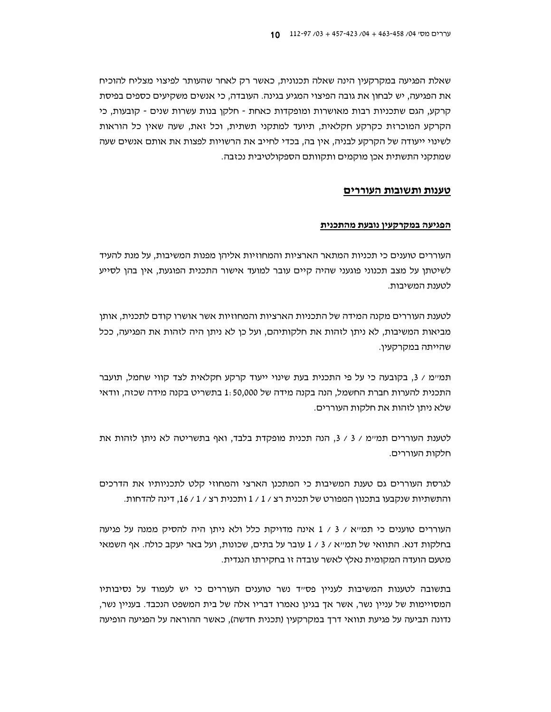שאלת הפגיעה במקרקעין הינה שאלה תכנונית, כאשר רק לאחר שהעותר לפיצוי מצליח להוכיח את הפגיעה, יש לבחון את גובה הפיצוי המגיע בגינה. העובדה, כי אנשים משקיעים כספים בפיסת קרקע, הגם שתכניות רבות מאושרות ומופקדות כאחת - חלקו בנות עשרות שנים - קובעות, כי הקרקע המוכרזת כקרקע חקלאית, תיועד למתקני תשתית, וכל זאת, שעה שאין כל הוראות לשינוי ייעודה של הקרקע לבניה, אין בה, בכדי לחייב את הרשויות לפצות את אותם אנשים שעה שמתקני התשתית אכן מוקמים ותקוותם הספקולטיבית נכזבה.

#### טענות ותשובות העוררים

#### הפגיעה במקרקעיו נובעת מהתכנית

העוררים טוענים כי תכניות המתאר הארציות והמחוזיות אליהן מפנות המשיבות, על מנת להעיד לשיטתן על מצב תכנוני פוגעני שהיה קיים עובר למועד אישור התכנית הפוגעת, אין בהן לסייע לטענת המשיבות.

לטענת העוררים מקנה המידה של התכניות הארציות והמחוזיות אשר אושרו קודם לתכנית, אותן מביאות המשיבות, לא ניתן לזהות את חלקותיהם, ועל כן לא ניתן היה לזהות את הפגיעה, ככל שהייתה במקרקעין.

תמיימ / 3, בקובעה כי על פי התכנית בעת שינוי ייעוד קרקע חקלאית לצד קווי שחמל, תועבר התכנית להערות חברת החשמל, הנה בקנה מידה של 1:50,000 בתשריט בקנה מידה שכזה, וודאי שלא ניתן לזהות את חלקות העוררים.

לטענת העוררים תמ״מ / 3 / 3, הנה תכנית מופקדת בלבד, ואף בתשריטה לא ניתן לזהות את חלקות העוררים.

לגרסת העוררים גם טענת המשיבות כי המתכנן הארצי והמחוזי קלט לתכניותיו את הדרכים והתשתיות שנקבעו בתכנון המפורט של תכנית רצ / 1 / 1 ותכנית רצ / 1 / 16. דינה להדחות.

העוררים טוענים כי תמייא / 3 / 1 אינה מדויקת כלל ולא ניתן היה להסיק ממנה על פגיעה בחלקות דנא. התוואי של תמ"א / 3 / 1 עובר על בתים, שכונות, ועל באר יעקב כולה. אף השמאי מטעם הועדה המקומית נאלץ לאשר עובדה זו בחקירתו הנגדית.

בתשובה לטענות המשיבות לעניין פסייד נשר טוענים העוררים כי יש לעמוד על נסיבותיו המסויימות של עניין נשר, אשר אך בגינן נאמרו דבריו אלה של בית המשפט הנכבד. בעניין נשר, נדונה תביעה על פגיעת תוואי דרך במקרקעין (תכנית חדשה), כאשר ההוראה על הפגיעה הופיעה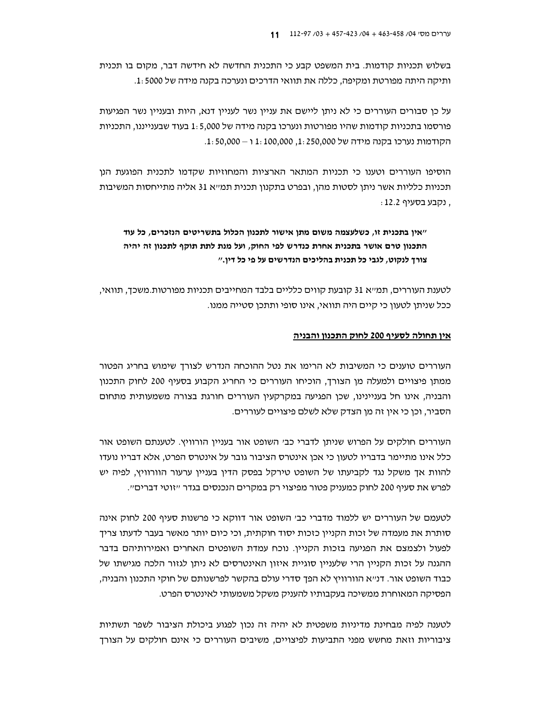בשלוש תכניות קודמות. בית המשפט קבע כי התכנית החדשה לא חידשה דבר, מקום בו תכנית ותיקה היתה מפורטת ומקיפה. כללה את תוואי הדרכים ונערכה בקנה מידה של 5000 :1.

על כן סבורים העוררים כי לא ניתו ליישם את עניין נשר לעניין דנא, היות ובעניין נשר הפגיעות פורסמו בתכניות קודמות שהיו מפורטות ונערכו בקנה מידה של 1:5,000 בעוד שבענייננו, התכניות הקודמות נערכו בקנה מידה של 1: 250,000 12. 1: 100,000 1 ו – 50,000.

הוסיפו העוררים וטענו כי תכניות המתאר הארציות והמחוזיות שקדמו לתכנית הפוגעת הנן תכניות כלליות אשר ניתן לסטות מהן, ובפרט בתקנון תכנית תמ״א 31 אליה מתייחסות המשיבות . נקבע בסעיף 12.2:

# ״אין בתכנית זו, כשלעצמה משום מתן אישור לתכנון הכלול בתשריטים הנזכרים, כל עוד התכנון טרם אושר בתכנית אחרת כנדרש לפי החוק, ועל מנת לתת תוקף לתכנון זה יהיה צורך לנקוט, לגבי כל תכנית בהליכים הנדרשים על פי כל דין."

לטענת העוררים, תמ״א 31 קובעת קווים כלליים בלבד המחייבים תכניות מפורטות.משכך, תוואי, ככל שניתן לטעון כי קיים היה תוואי, אינו סופי ותתכן סטייה ממנו.

### <u>אין תחולה לסעיף 200 לחוק התכנון והבניה</u>

העוררים טוענים כי המשיבות לא הרימו את נטל ההוכחה הנדרש לצורך שימוש בחריג הפטור ממתן פיצויים ולמעלה מן הצורך, הוכיחו העוררים כי החריג הקבוע בסעיף 200 לחוק התכנון והבניה, אינו חל בעניינינו, שכן הפגיעה במקרקעין העוררים חורגת בצורה משמעותית מתחום הסביר, וכן כי אין זה מן הצדק שלא לשלם פיצויים לעוררים.

העוררים חולקים על הפרוש שניתן לדברי כב׳ השופט אור בעניין הורוויץ. לטענתם השופט אור כלל אינו מתיימר בדבריו לטעון כי אכן אינטרס הציבור גובר על אינטרס הפרט, אלא דבריו נועדו להוות אך משקל נגד לקביעתו של השופט טירקל בפסק הדין בעניין ערעור הוורוויץ, לפיה יש לפרש את סעיף 200 לחוק כמעניק פטור מפיצוי רק במקרים הנכנסים בגדר ״זוטי דברים״.

לטעמם של העוררים יש ללמוד מדברי כב׳ השופט אור דווקא כי פרשנות סעיף 200 לחוק אינה סותרת את מעמדה של זכות הקניין כזכות יסוד חוקתית, וכי כיום יותר מאשר בעבר לדעתו צריך לפעול ולצמצם את הפגיעה בזכות הקניין. נוכח עמדת השופטים האחרים ואמירותיהם בדבר ההגנה על זכות הקניין הרי שלעניין סוגיית איזון האינטרסים לא ניתן לגזור הלכה מגישתו של כבוד השופט אור. דנ״א הוורוויץ לא הפך סדרי עולם בהקשר לפרשנותם של חוקי התכנון והבניה, הפסיקה המאוחרת ממשיכה בעקבותיו להעניק משקל משמעותי לאינטרס הפרט.

לטענה לפיה מבחינת מדיניות משפטית לא יהיה זה נכון לפגוע ביכולת הציבור לשפר תשתיות ציבוריות וזאת מחשש מפני התביעות לפיצויים, משיבים העוררים כי אינם חולקים על הצורך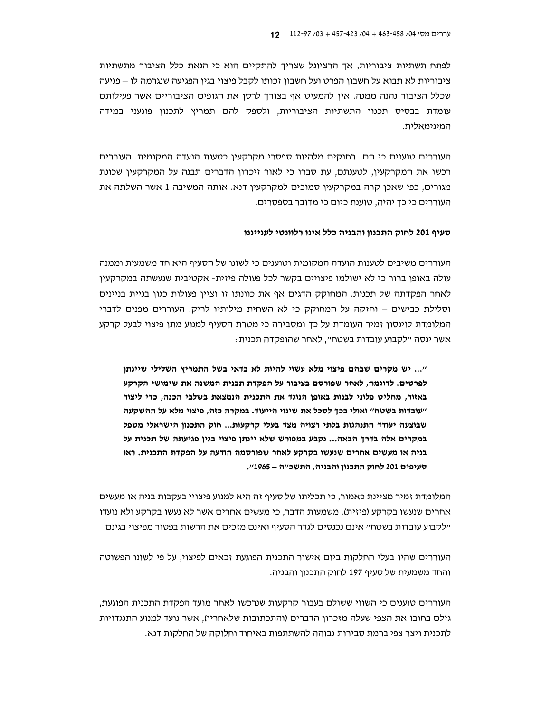לפתח תשתיות ציבוריות, אך הרציונל שצריך להתקיים הוא כי הנאת כלל הציבור מתשתיות ציבוריות לא תבוא על חשבון הפרט ועל חשבון זכותו לקבל פיצוי בגין הפגיעה שנגרמה לו – פגיעה שכלל הציבור נהנה ממנה. אין להמעיט אף בצורך לרסן את הגופים הציבוריים אשר פעילותם עומדת בבסיס תכנון התשתיות הציבוריות, ולספק להם תמריץ לתכנון פוגעני במידה המינימאלית.

העוררים טוענים כי הם | רחוקים מלהיות ספסרי מקרקעין כטענת הועדה המקומית. העוררים רכשו את המקרקעין, לטענתם, עת סברו כי לאור זיכרון הדברים תבנה על המקרקעין שכונת מגורים, כפי שאכן קרה במקרקעין סמוכים למקרקעין דנא. אותה המשיבה 1 אשר השלתה את העוררים כי כך יהיה, טוענת כיום כי מדובר בספסרים.

#### סעיף 201 לחוק התכנון והבניה כלל אינו רלוונטי לענייננו

העוררים משיבים לטענות הועדה המקומית וטוענים כי לשונו של הסעיף היא חד משמעית וממנה עולה באופו ברור כי לא ישולמו פיצויים בקשר לכל פעולה פיזית- אקטיבית שנעשתה במקרקעין לאחר הפקדתה של תכנית. המחוקק הדגים אף את כוונתו זו וציין פעולות כגון בניית בניינים וסלילת כבישים – וחזקה על המחוקק כי לא השחית מילותיו לריק. העוררים מפנים לדברי המלומדת לוינסון זמיר העומדת על כך ומסבירה כי מטרת הסעיף למנוע מתן פיצוי לבעל קרקע אשר ינסה ״לקבוע עובדות בשטח״, לאחר שהופקדה תכנית :

"... יש מקרים שבהם פיצוי מלא עשוי להיות לא כדאי בשל התמריץ השלילי שיינתן לפרטים. לדוגמה, לאחר שפורסם בציבור על הפקדת תכנית המשנה את שימושי הקרקע באזור, מחליט פלוני לבנות באופן הנוגד את התכנית הנמצאת בשלבי הכנה, כדי ליצור "עובדות בשטח" ואולי בכך לסכל את שינוי הייעוד. במקרה כזה, פיצוי מלא על ההשקעה שבוצעה יעודד התנהגות בלתי רצויה מצד בעלי קרקעות... חוק התכנון הישראלי מטפל במקרים אלה בדרך הבאה... נקבע במפורש שלא יינתן פיצוי בגין פגיעתה של תכנית על בניה או מעשים אחרים שנעשו בקרקע לאחר שפורסמה הודעה על הפקדת התכנית. ראו סעיפים 201 לחוק התכנון והבניה, התשכ"ה – 1965".

המלומדת זמיר מציינת כאמור, כי תכליתו של סעיף זה היא למנוע פיצויי בעקבות בניה או מעשים אחרים שנעשו בקרקע (פיזית). משמעות הדבר, כי מעשים אחרים אשר לא נעשו בקרקע ולא נועדו יילקבוע עובדות בשטחיי אינם נכנסים לגדר הסעיף ואינם מזכים את הרשות בפטור מפיצוי בגינם.

העוררים שהיו בעלי החלקות ביום אישור התכנית הפוגעת זכאים לפיצוי, על פי לשונו הפשוטה והחד משמעית של סעיף 197 לחוק התכנון והבניה.

העוררים טוענים כי השווי ששולם בעבור קרקעות שנרכשו לאחר מועד הפקדת התכנית הפוגעת, גילם בחובו את הצפי שעלה מזכרון הדברים (והתכתובות שלאחריו), אשר נועד למנוע התנגדויות לתכנית ויצר צפי ברמת סבירות גבוהה להשתתפות באיחוד וחלוקה של החלקות דנא.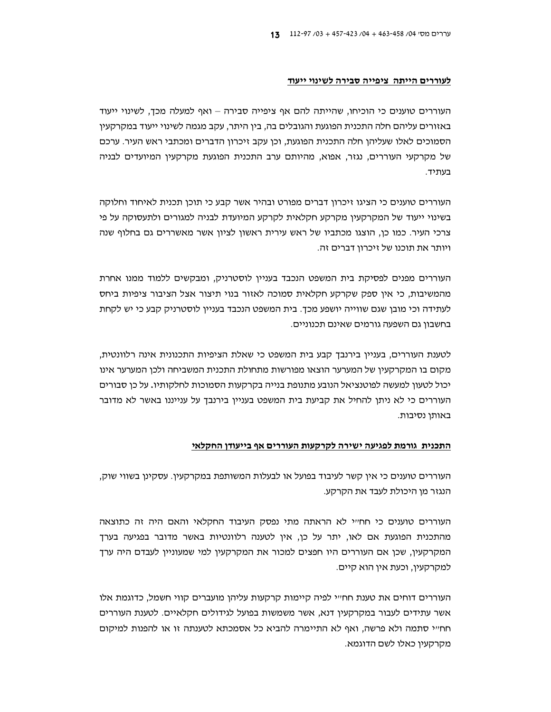#### לעוררים הייתה ציפייה סבירה לשינוי ייעוד

העוררים טוענים כי הוכיחו, שהייתה להם אף ציפייה סבירה – ואף למעלה מכך, לשינוי ייעוד באזורים עליהם חלה התכנית הפוגעת והגובלים בה, בין היתר, עקב מגמה לשינוי ייעוד במקרקעין הסמוכים לאלו שעליהן חלה התכנית הפוגעת, וכן עקב זיכרון הדברים ומכתבי ראש העיר. ערכם של מקרקעי העוררים, נגזר, אפוא, מהיותם ערב התכנית הפוגעת מקרקעין המיועדים לבניה בעתיד.

העוררים טוענים כי הציגו זיכרון דברים מפורט ובהיר אשר קבע כי תוכן תכנית לאיחוד וחלוקה בשינוי ייעוד של המקרקעין מקרקע חקלאית לקרקע המיועדת לבניה למגורים ולתעסוקה על פי צרכי העיר. כמו כן, הוצגו מכתביו של ראש עירית ראשון לציון אשר מאשררים גם בחלוף שנה ויותר את תוכנו של זיכרון דברים זה.

העוררים מפנים לפסיקת בית המשפט הנכבד בעניין לוסטרניק, ומבקשים ללמוד ממנו אחרת מהמשיבות, כי אין ספק שקרקע חקלאית סמוכה לאזור בנוי תיצור אצל הציבור ציפיות ביחס לעתידה וכי מובן שגם שווייה יושפע מכך. בית המשפט הנכבד בעניין לוסטרניק קבע כי יש לקחת בחשבון גם השפעה גורמים שאינם תכנוניים.

לטענת העוררים, בעניין בירנבך קבע בית המשפט כי שאלת הציפיות התכנונית אינה רלוונטית, מקום בו המקרקעין של המערער הוצאו מפורשות מתחולת התכנית המשביחה ולכן המערער אינו יכול לטעון למעשה לפוטנציאל הנובע מתנופת בנייה בקרקעות הסמוכות לחלקותיו. על כו סבורים העוררים כי לא ניתן להחיל את קביעת בית המשפט בעניין בירנבך על ענייננו באשר לא מדובר באותו נסיבות.

#### התכנית גורמת לפגיעה ישירה לקרקעות העוררים אף בייעודן החקלאי

העוררים טוענים כי אין קשר לעיבוד בפועל או לבעלות המשותפת במקרקעין. עסקינן בשווי שוק, הנגזר מן היכולת לעבד את הקרקע.

העוררים טוענים כי חח״י לא הראתה מתי נפסק העיבוד החקלאי והאם היה זה כתוצאה מהתכנית הפוגעת אם לאו, יתר על כן, אין לטענה רלוונטיות באשר מדובר בפגיעה בערך המקרקעין, שכן אם העוררים היו חפצים למכור את המקרקעין למי שמעוניין לעבדם היה ערך למקרקעין, וכעת אין הוא קיים.

העוררים דוחים את טענת חח״י לפיה קיימות קרקעות עליהן מועברים קווי חשמל, כדוגמת אלו אשר עתידים לעבור במקרקעין דנא, אשר משמשות בפועל לגידולים חקלאיים. לטענת העוררים חחייי סתמה ולא פרשה, ואף לא התיימרה להביא כל אסמכתא לטענתה זו או להפנות למיקום מקרקעין כאלו לשם הדוגמא.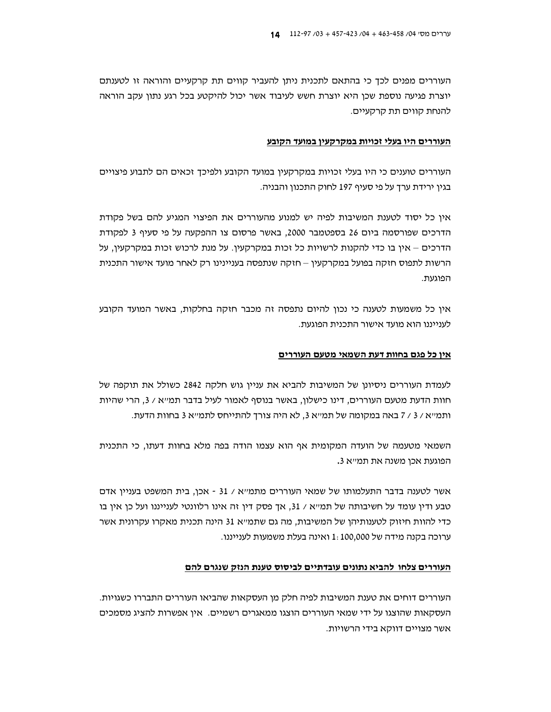העוררים מפנים לכך כי בהתאם לתכנית ניתן להעביר קווים תת קרקעיים והוראה זו לטענתם יוצרת פגיעה נוספת שכן היא יוצרת חשש לעיבוד אשר יכול להיקטע בכל רגע נתון עקב הוראה להנחת קווים תת קרקעיים.

#### העוררים היו בעלי זכויות במקרקעין במועד הקובע

העוררים טוענים כי היו בעלי זכויות במקרקעין במועד הקובע ולפיכך זכאים הם לתבוע פיצויים בגין ירידת ערד על פי סעיף 197 לחוק התכנון והבניה.

אין כל יסוד לטענת המשיבות לפיה יש למנוע מהעוררים את הפיצוי המגיע להם בשל פקודת הדרכים שפורסמה ביום 26 בספטמבר 2000, באשר פרסום צו ההפקעה על פי סעיף 3 לפקודת הדרכים – אין בו כדי להקנות לרשויות כל זכות במקרקעין. על מנת לרכוש זכות במקרקעין, על הרשות לתפוס חזקה בפועל במקרקעין – חזקה שנתפסה בעניינינו רק לאחר מועד אישור התכנית הפוגעת

אין כל משמעות לטענה כי נכון להיום נתפסה זה מכבר חזקה בחלקות, באשר המועד הקובע לענייננו הוא מועד אישור התכנית הפוגעת.

#### אין כל פגם בחוות דעת השמאי מטעם העוררים

לעמדת העוררים ניסיונן של המשיבות להביא את עניין גוש חלקה 2842 כשולל את תוקפה של חוות הדעת מטעם העוררים, דינו כישלון, באשר בנוסף לאמור לעיל בדבר תמייא / 3, הרי שהיות ותמייא / 3 / 7 באה במקומה של תמייא 3, לא היה צורך להתייחס לתמייא 3 בחוות הדעת.

השמאי מטעמה של הועדה המקומית אף הוא עצמו הודה בפה מלא בחוות דעתו, כי התכנית הפוגעת אכן משנה את תמייא 3.

אשר לטענה בדבר התעלמותו של שמאי העוררים מתמייא / 31 - אכן, בית המשפט בעניין אדם טבע ודין עומד על חשיבותה של תמ״א / 31, אך פסק דין זה אינו רלוונטי לענייננו ועל כן אין בו כדי להוות חיזוק לטענותיהו של המשיבות, מה גם שתמ״א 31 הינה תכנית מאקרו עקרונית אשר ערוכה בקנה מידה של 1:100,000 ואינה בעלת משמעות לענייננו.

# העוררים צלחו להביא נתונים <u>עובדתיים לביסוס טענת הנזק שנגרם להם</u>

העוררים דוחים את טענת המשיבות לפיה חלק מן העסקאות שהביאו העוררים התבררו כשגויות. העסקאות שהוצגו על ידי שמאי העוררים הוצגו ממאגרים רשמיים. אין אפשרות להציג מסמכים אשר מצויים דווקא בידי הרשויות.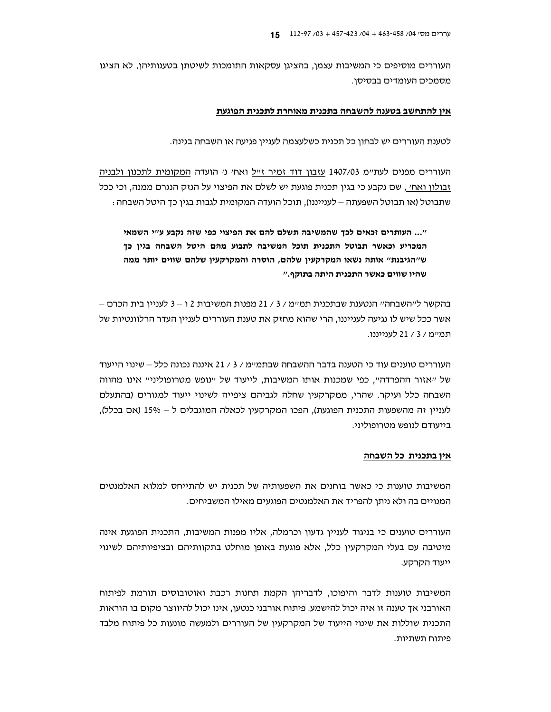העוררים מוסיפים כי המשיבות עצמן, בהציגן עסקאות התומכות לשיטתן בטענותיהן, לא הציגו מסמכים העומדים בבסיסו.

#### אין להתחשב בטענה להשבחה בתכנית מאוחרת לתכנית הפוגעת

לטענת העוררים יש לבחון כל תכנית כשלעצמה לעניין פגיעה או השבחה בגינה.

<u>העוררים מפנים לעת״מ 1407/03 עזבון דוד זמיר ז״ל</u> ואח׳ נ׳ הועדה <u>המקומית לתכנון ולבניה</u> זבולון ואח׳ , שם נקבע כי בגין תכנית פוגעת יש לשלם את הפיצוי על הנזק הנגרם ממנה, וכי ככל שתבוטל (או תבוטל השפעתה – לענייננו), תוכל הועדה המקומית לגבות בגין כך היטל השבחה :

"... העותרים זכאים לכך שהמשיבה תשלם להם את הפיצוי כפי שזה נקבע ע"י השמאי המכריע וכאשר תבוטל התכנית תוכל המשיבה לתבוע מהם היטל השבחה בגין כך ש"הגיבנת" אותה נשאו המקרקעין שלהם, הוסרה והמקרקעין שלהם שווים יותר ממה שהיו שווים כאשר התכנית היתה בתוקף."

בהקשר לייהשבחהיי הנטענת שבתכנית תמיימ / 3 / 21 מפנות המשיבות 2 ו – 3 לעניין בית הכרם – אשר ככל שיש לו נגיעה לענייננו, הרי שהוא מחזק את טענת העוררים לעניין העדר הרלוונטיות של תמיימ / 3 / 21 לענייננו.

העוררים טוענים עוד כי הטענה בדבר ההשבחה שבתמיימ / 3 / 21 איננה נכונה כלל – שינוי הייעוד של "אזור ההפרדה", כפי שמכנות אותו המשיבות, לייעוד של "נופש מטרופוליני" אינו מהווה השבחה כלל ועיקר. שהרי, ממקרקעין שחלה לגביהם ציפייה לשינוי ייעוד למגורים (בהתעלם לעניין זה מהשפעות התכנית הפוגעת), הפכו המקרקעין לכאלה המוגבלים ל $\sim 15$  (אם בכלל), בייעודם לנופש מטרופוליני.

#### אין בתכנית כל השבחה

המשיבות טוענות כי כאשר בוחנים את השפעותיה של תכנית יש להתייחס למלוא האלמנטים המנויים בה ולא ניתו להפריד את האלמנטים הפוגעים מאילו המשביחים.

העוררים טוענים כי בניגוד לעניין גדעון וכרמלה, אליו מפנות המשיבות, התכנית הפוגעת אינה מיטיבה עם בעלי המקרקעין כלל, אלא פוגעת באופן מוחלט בתקוותיהם ובציפיותיהם לשינוי ייעוד הקרקע.

המשיבות טוענות לדבר והיפוכו, לדבריהן הקמת תחנות רכבת ואוטובוסים תורמת לפיתוח האורבני אך טענה זו איה יכול להישמע. פיתוח אורבני כנטען, אינו יכול להיווצר מקום בו הוראות התכנית שוללות את שינוי הייעוד של המקרקעין של העוררים ולמעשה מונעות כל פיתוח מלבד פיתוח תשתיות.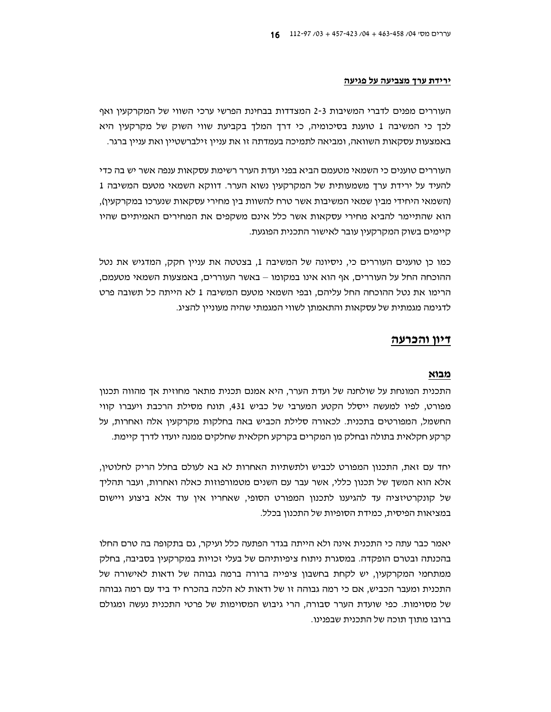#### ירידת ערך מצביעה על פגיעה

העוררים מפנים לדברי המשיבות 2-3 המצדדות בבחינת הפרשי ערכי השווי של המקרקעין ואף לכך כי המשיבה 1 טוענת בסיכומיה, כי דרך המלך בקביעת שווי השוק של מקרקעין היא באמצעות עסקאות השוואה, ומביאה לתמיכה בעמדתה זו את עניין זילברשטיין ואת עניין ברגר.

העוררים טוענים כי השמאי מטעמם הביא בפני ועדת הערר רשימת עסקאות ענפה אשר יש בה כדי להעיד על ירידת ערך משמעותית של המקרקעין נשוא הערר. דווקא השמאי מטעם המשיבה 1 (השמאי היחידי מבין שמאי המשיבות אשר טרח להשוות בין מחירי עסקאות שנערכו במקרקעין), הוא שהתיימר להביא מחירי עסקאות אשר כלל אינם משקפים את המחירים האמיתיים שהיו קיימים בשוק המקרקעין עובר לאישור התכנית הפוגעת.

כמו כן טוענים העוררים כי, ניסיונה של המשיבה 1, בצטטה את עניין חקק, המדגיש את נטל ההוכחה החל על העוררים, אף הוא אינו במקומו – באשר העוררים, באמצעות השמאי מטעמם, הרימו את נטל ההוכחה החל עליהם, ובפי השמאי מטעם המשיבה 1 לא הייתה כל תשובה פרט לדגימה מגמתית של עסקאות והתאמתן לשווי המגמתי שהיה מעוניין להציג.

# דיון והכרעה

### מבוא

התכנית המונחת על שולחנה של ועדת הערר, היא אמנם תכנית מתאר מחוזית אך מהווה תכנון מפורט, לפיו למעשה ייסלל הקטע המערבי של כביש 431. תונח מסילת הרכבת ויעברו קווי החשמל, המפורטים בתכנית. לכאורה סלילת הכביש באה בחלקות מקרקעין אלה ואחרות, על קרקע חקלאית בתולה ובחלק מן המקרים בקרקע חקלאית שחלקים ממנה יועדו לדרד קיימת.

יחד עם זאת, התכנון המפורט לכביש ולתשתיות האחרות לא בא לעולם בחלל הריק לחלוטין, אלא הוא המשך של תכנון כללי, אשר עבר עם השנים מטמורפוזות כאלה ואחרות, ועבר תהליך של קונקרטיזציה עד להגיענו לתכנון המפורט הסופי, שאחריו אין עוד אלא ביצוע ויישום במציאות הפיסית, כמידת הסופיות של התכנון בכלל.

יאמר כבר עתה כי התכנית אינה ולא הייתה בגדר הפתעה כלל ועיקר, גם בתקופה בה טרם החלו בהכנתה ובטרם הופקדה. במסגרת ניתוח ציפיותיהם של בעלי זכויות במקרקעין בסביבה, בחלק ממתחמי המקרקעין, יש לקחת בחשבון ציפייה ברורה ברמה גבוהה של ודאות לאישורה של התכנית ומעבר הכביש, אם כי רמה גבוהה זו של ודאות לא הלכה בהכרח יד ביד עם רמה גבוהה של מסוימות. כפי שועדת הערר סבורה, הרי גיבוש המסוימות של פרטי התכנית נעשה ומגולם ברובו מתוד תוכה של התכנית שבפנינו.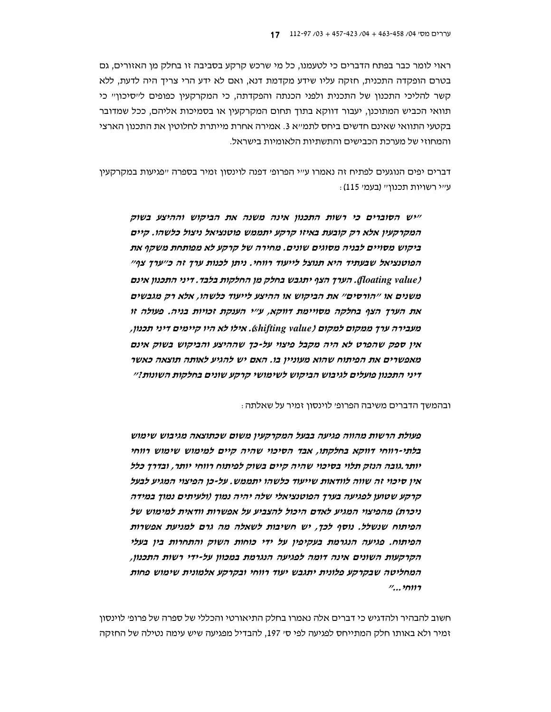ראוי לומר כבר בפתח הדברים כי לטעמנו, כל מי שרכש קרקע בסביבה זו בחלק מן האזורים, גם בטרם הופקדה התכנית, חזקה עליו שידע מקדמת דנא, ואם לא ידע הרי צריך היה לדעת, ללא קשר להליכי התכנון של התכנית ולפני הכנתה והפקדתה, כי המקרקעין כפופים לייסיכוןיי כי תוואי הכביש המתוכנו, יעבור דווקא בתוך תחום המקרקעין או בסמיכות אליהם, ככל שמדובר בקטעי התוואי שאינם חדשים ביחס לתמייא 3. אמירה אחרת מייתרת לחלוטין את התכנון הארצי והמחוזי של מערכת הכבישים והתשתיות הלאומיות בישראל.

דברים יפים הנוגעים לפתיח זה נאמרו ע"י הפרופ' דפנה לוינסון זמיר בספרה "פגיעות במקרקעין : ע״י רשויות תכנון״ (בעמ׳ 115)

ייש הסוברים כי רשות התכנון אינה משנה את הביקוש וההיצע בשוק המקרקעין אלא רק קובעת באיזו קרקע יתממש פוטנציאל ניצול כלשהו. קיים ביקוש מסויים לבניה מסוגים שונים. מחירה של קרקע לא מפותחת משקף את הפוטנציאל שבעתיד היא תנוצל לייעוד רווחי. ניתן לכנות ערך זה כ״ערך צף״ (floating value). הערך הצף יתגבש בחלק מן החלקות בלבד. דיני התכנון אינם משנים או ״הורסים״ את הביקוש או ההיצע לייעוד כלשהו, אלא רק מגבשים את הערך הצף בחלקה מסויימת דווקא, ע״י הענקת זכויות בניה. פעולה זו מעבירה ערך ממקום למקום (shifting value). אילו לא היו קיימים דיני תכנון, אין ספק שהפרט לא היה מקבל פיצוי על-כך שההיצע והביקוש בשוק אינם מאפשרים את הפיתוח שהוא מעוניין בו. האם יש להגיע לאותה תוצאה כאשר דיני התכנון פועלים לגיבוש הביקוש לשימושי קרקע שונים בחלקות השונות?״

ובהמשך הדברים משיבה הפרופ׳ לוינסון זמיר על שאלתה :

פעולת הרשות מהווה פגיעה בבעל המקרקעין משום שכתוצאה מגיבוש שימוש בלתי-רווחי דווקא בחלקתו, אבד הסיכוי שהיה קיים למימוש שימוש רווחי יותר.גובה הנזק תלוי בסיכוי שהיה קיים בשוק לפיתוח רווחי יותר, ובדרך כלל אין סיכוי זה שווה לוודאות שייעוד כלשהו יתממש. על-כן הפיצוי המגיע לבעל קרקע שטוען לפגיעה בערך הפוטנציאלי שלה יהיה נמוך (ולעיתים נמוך במידה ניכרת) מהפיצוי המגיע לאדם היכול להצביע על אפשרות וודאית למימוש של הפיתוח שנשלל. נוסף לכך, יש חשיבות לשאלה מה גרם למניעת אפשרות הפיתוח. פגיעה הנגרמת בעקיפין על ידי כוחות השוק והתחרות בין בעלי הקרקעות השונים אינה דומה לפגיעה הנגרמת במכוון על-ידי רשות התכנון, המחליטה שבקרקע פלונית יתגבש יעוד רווחי ובקרקע אלמונית שימוש פחות  $1, . . . . . . . . . . . . . . . . . . . . . . . . . . . . . . . .$ 

חשוב להבהיר ולהדגיש כי דברים אלה נאמרו בחלק התיאורטי והכללי של ספרה של פרופ׳ לוינסון זמיר ולא באותו חלק המתייחס לפגיעה לפי ס׳ 197, להבדיל מפגיעה שיש עימה נטילה של החזקה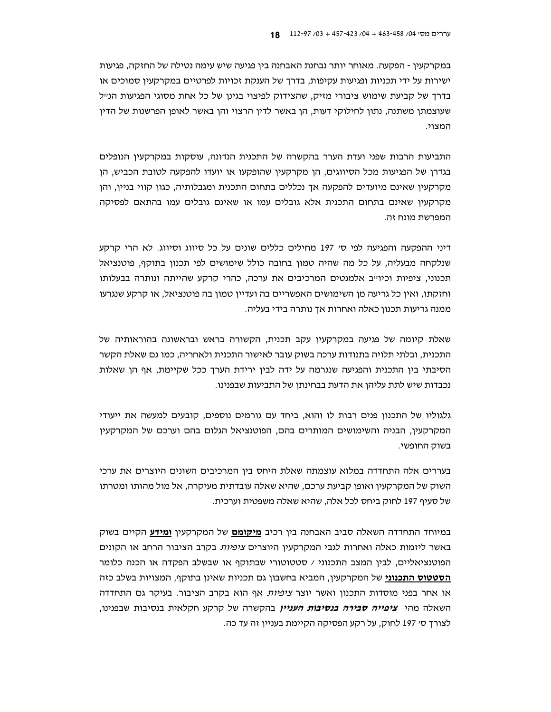במקרקעין - הפקעה. מאוחר יותר נבחנת האבחנה בין פגיעה שיש עימה נטילה של החזקה, פגיעות ישירות על ידי תכניות ופגיעות עקיפות, בדרך של הענקת זכויות לפרטיים במקרקעין סמוכים או בדרך של קביעת שימוש ציבורי מזיק, שהצידוק לפיצוי בגינן של כל אחת מסוגי הפגיעות הנייל שעוצמתו משתנה, נתון לחילוקי דעות, הן באשר לדין הרצוי והן באשר לאופן הפרשנות של הדין המצוי.

התביעות הרבות שפני ועדת הערר בהקשרה של התכנית הנדונה, עוסקות במקרקעין הנופלים בגדרן של הפגיעות מכל הסיווגים, הן מקרקעין שהופקעו או יועדו להפקעה לטובת הכביש, הן מקרקעין שאינם מיועדים להפקעה אך נכללים בתחום התכנית ומגבלותיה, כגון קווי בניין, והן מקרקעין שאינם בתחום התכנית אלא גובלים עמו או שאינם גובלים עמו בהתאם לפסיקה המפרשת מונח זה.

דיני ההפקעה והפגיעה לפי סי 197 מחילים כללים שונים על כל סיווג וסיווג. לא הרי קרקע שנלקחה מבעליה, על כל מה שהיה טמון בחובה כולל שימושים לפי תכנון בתוקף, פוטנציאל תכנוני, ציפיות וכיו׳יב אלמנטים המרכיבים את ערכה, כהרי קרקע שהייתה ונותרה בבעלותו וחזקתו, ואין כל גריעה מן השימושים האפשריים בה ועדיין טמון בה פוטנציאל, או קרקע שנגרעו ממנה גריעות תכנון כאלה ואחרות אך נותרה בידי בעליה.

שאלת קיומה של פגיעה במקרקעין עקב תכנית, הקשורה בראש ובראשונה בהוראותיה של התכנית, ובלתי תלויה בתנודות ערכה בשוק עובר לאישור התכנית ולאחריה, כמו גם שאלת הקשר הסיבתי בין התכנית והפגיעה שנגרמה על ידה לבין ירידת הערך ככל שקיימת, אף הן שאלות נכבדות שיש לתת עליהן את הדעת בבחינתן של התביעות שבפנינו.

גלגוליו של התכנון פנים רבות לו והוא. ביחד עם גורמים נוספים, קובעים למעשה את ייעודי המקרקעין, הבניה והשימושים המותרים בהם, הפוטנציאל הגלום בהם וערכם של המקרקעין בשוק החופשי.

בעררים אלה התחדדה במלוא עוצמתה שאלת היחס בין המרכיבים השונים היוצרים את ערכי השוק של המקרקעין ואופן קביעת ערכם, שהיא שאלה עובדתית מעיקרה, אל מול מהותו ומטרתו של סעיף 197 לחוק ביחס לכל אלה, שהיא שאלה משפטית וערכית.

במיוחד התחדדה השאלה סביב האבחנה בין רכיב **מיקומם** של המקרקעין **ומידע** הקיים בשוק באשר ליזמות כאלה ואחרות לגבי המקרקעין היוצרים *ציפיות* בקרב הציבור הרחב או הקונים הפוטנציאליים, לבין המצב התכנוני / סטטוטורי שבתוקף או שבשלב הפקדה או הכנה כלומר הסטטוס התכנוני של המקרקעין, המביא בחשבון גם תכניות שאינן בתוקף, המצויות בשלב כזה או אחר בפני מוסדות התכנון ואשר יוצר *ציפיות* אף הוא בקרב הציבור. בעיקר גם התחדדה השאלה מהי צ*יפייה סבירה בנסיבות העניין* בהקשרה של קרקע חקלאית בנסיבות שבפנינו, לצורך ס׳ 197 לחוק, על רקע הפסיקה הקיימת בעניין זה עד כה.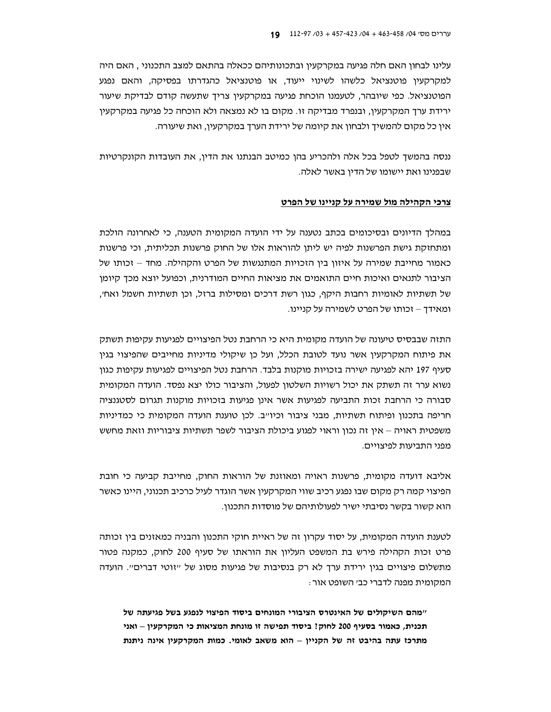עלינו לבחון האם חלה פגיעה במקרקעין ובתכונותיהם ככאלה בהתאם למצב התכנוני , האם היה למקרקעין פוטנציאל כלשהו לשינוי ייעוד, או פוטנציאל כהגדרתו בפסיקה, והאם נפגע הפוטנציאל. כפי שיובהר, לטעמנו הוכחת פגיעה במקרקעין צריך שתעשה קודם לבדיקת שיעור ירידת ערד המקרקעין, ובנפרד מבדיקה זו. מקום בו לא נמצאה ולא הוכחה כל פגיעה במקרקעין אין כל מקום להמשיך ולבחון את קיומה של ירידת הערך במקרקעין, ואת שיעורה.

ננסה בהמשך לטפל בכל אלה ולהכריע בהן כמיטב הבנתנו את הדין, את העובדות הקונקרטיות שבפנינו ואת יישומו של הדין באשר לאלה.

## <u>צרכי הקהילה מול שמירה על קניינו של הפרט</u>

במהלך הדיונים ובסיכומים בכתב נטענה על ידי הועדה המקומית הטענה, כי לאחרונה הולכת ומתחזקת גישת הפרשנות לפיה יש ליתן להוראות אלו של החוק פרשנות תכליתית, וכי פרשנות כאמור מחייבת שמירה על איזון בין הזכויות המתנגשות של הפרט והקהילה. מחד – זכותו של הציבור לתנאים ואיכות חיים התואמים את מציאות החיים המודרנית, וכפועל יוצא מכד קיומו של תשתיות לאומיות רחבות היקף, כגון רשת דרכים ומסילות ברזל, וכן תשתיות חשמל ואח׳, ומאידד – זכותו של הפרט לשמירה על קניינו.

התזה שבבסיס טיעונה של הועדה מקומית היא כי הרחבת נטל הפיצויים לפגיעות עקיפות תשתק את פיתוח המקרקעין אשר נועד לטובת הכלל, ועל כן שיקולי מדיניות מחייבים שהפיצוי בגין סעיף 197 יהא לפגיעה ישירה בזכויות מוקנות בלבד. הרחבת נטל הפיצויים לפגיעות עקיפות כגון נשוא ערר זה תשתק את יכול רשויות השלטון לפעול, והציבור כולו יצא נפסד. הועדה המקומית סבורה כי הרחבת זכות התביעה לפגיעות אשר אינן פגיעות בזכויות מוקנות תגרום לסטגנציה חריפה בתכנון ופיתוח תשתיות, מבני ציבור וכיו״ב. לכן טוענת הועדה המקומית כי כמדיניות משפטית ראויה – אין זה נכון וראוי לפגוע ביכולת הציבור לשפר תשתיות ציבוריות וזאת מחשש מפני התביעות לפיצויים.

אליבא דועדה מקומית, פרשנות ראויה ומאוזנת של הוראות החוק, מחייבת קביעה כי חובת הפיצוי קמה רק מקום שבו נפגע רכיב שווי המקרקעין אשר הוגדר לעיל כרכיב תכנוני, היינו כאשר הוא קשור בקשר נסיבתי ישיר לפעולותיהם של מוסדות התכנון.

לטענת הועדה המקומית, על יסוד עקרון זה של ראיית חוקי התכנון והבניה כמאזנים בין זכותה פרט זכות הקהילה פירש בת המשפט העליון את הוראתו של סעיף 200 לחוק, כמקנה פטור מתשלום פיצויים בגין ירידת ערך לא רק בנסיבות של פגיעות מסוג של "זוטי דברים". הועדה המקומית מפנה לדברי כב׳ השופט אור :

"מהם השיקולים של האינטרס הציבורי המונחים ביסוד הפיצוי לנפגע בשל פגיעתה של תכנית, כאמור בסעיף 200 לחוק? ביסוד תפישה זו מונחת המציאות כי המקרקעין – ואני מתרכז עתה בהיבט זה של הקניין – הוא משאב לאומי. כמות המקרקעין אינה ניתנת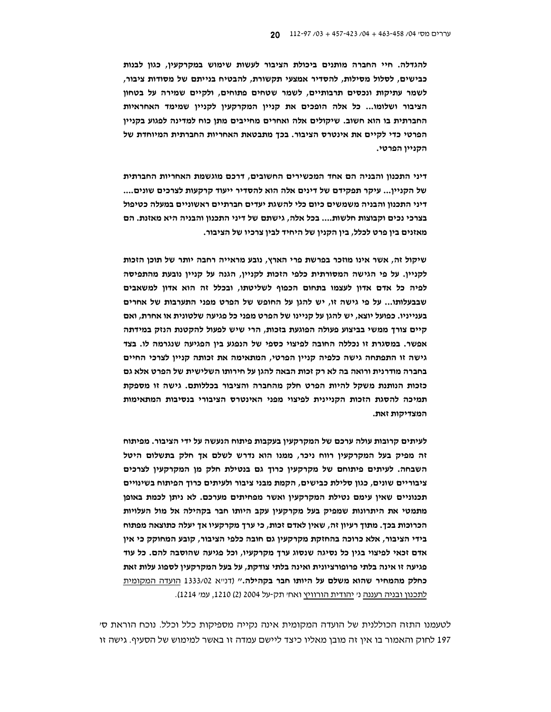להגדלה. חיי החברה מותנים ביכולת הציבור לעשות שימוש במקרקעין, כגון לבנות כבישים, לסלול מסילות, להסדיר אמצעי תקשורת, להבטיח בנייתם של מסודות ציבור, לשמר עתיקות ונכסים תרבותיים, לשמר שטחים פתוחים, ולקיים שמירה על בטחון הציבור ושלומו... כל אלה הופכים את קניין המקרקעין לקניין שמימד האחראיות החברתית בו הוא חשוב. שיקולים אלה ואחרים מחייבים מתן כוח למדינה לפגוע בקניין הפרטי כדי לקיים את אינטרס הציבור. בכך מתבטאת האחריות החברתית המיוחדת של הקניין הפרטי.

דיני התכנון והבניה הם אחד המכשירים החשובים, דרכם מוגשמת האחריות החברתית של הקניין... עיקר תפקידם של דינים אלה הוא להסדיר ייעוד קרקעות לצרכים שונים.... דיני התכנון והבניה משמשים כיום כלי להשגת יעדים חברתיים ראשוניים במעלה כטיפול בצרכי נכים וקבוצות חלשות.... בכל אלה, גישתם של דיני התכנון והבניה היא מאזנת. הם מאזנים בין פרט לכלל, בין הקנין של היחיד לבין צרכיו של הציבור.

שיקול זה, אשר אינו מוזכר בפרשת פרי הארץ, נובע מראייה רחבה יותר של תוכן הזכות לקניין. על פי הגישה המסורתית כלפי הזכות לקניין, הגנה על קניין נובעת מהתפיסה לפיה כל אדם אדון לעצמו בתחום הכפוף לשליטתו, ובכלל זה הוא אדון למשאבים שבבעלותו... על פי גישה זו, יש להגן על החופש של הפרט מפני התערבות של אחרים בענייניו. כפועל יוצא, יש להגן על קניינו של הפרט מפני כל פגיעה שלטונית או אחרת, ואם קיים צורך ממשי בביצוע פעולה הפוגעת בזכות, הרי שיש לפעול להקטנת הנזק במידתה אפשר. במסגרת זו נכללה החובה לפיצוי כספי של הנפגע בין הפגיעה שנגרמה לו. בצד גישה זו התפתחה גישה כלפיה קניין הפרטי, המתאימה את זכותה קניין לצרכי החיים בחברה מודרנית ורואה בה לא רק זכות הבאה להגן על חירותו השלישית של הפרט אלא גם כזכות הנותנת משקל להיות הפרט חלק מהחברה והציבור בכללותם. גישה זו מספקת תמיכה להסגת הזכות הקניינית לפיצוי מפני האינטרס הציבורי בנסיבות המתאימות המצדיקות זאת.

לעיתים קרובות עולה ערכם של המקרקעיו בעקבות פיתוח הנעשה על ידי הציבור. מפיתוח זה מפיק בעל המקרקעין רווח ניכר, ממנו הוא נדרש לשלם אך חלק בתשלום היטל השבחה. לעיתים פיתוחם של מקרקעין כרוך גם בנטילת חלק מן המקרקעין לצרכים ציבוריים שונים, כגון סלילת כבישים, הקמת מבני ציבור ולעיתים כרוך הפיתוח בשינויים תכנוניים שאין עימם נטילת המקרקעין ואשר מפחיתים מערכם. לא ניתן לכמת באופן מתמטי את היתרונות שמפיק בעל מקרקעין עקב היותו חבר בקהילה אל מול העלויות הכרוכות בכך. מתוך רעיון זה, שאין לאדם זכות, כי ערך מקרקעיו אך יעלה כתוצאה מפתוח בידי הציבור, אלא כרוכה בהחזקת מקרקעין גם חובה כלפי הציבור, קובע המחוקק כי אין אדם זכאי לפיצוי בגין כל נסיגה שנסוג ערך מקרקעיו, וכל פגיעה שהוסבה להם. כל עוד פגיעה זו אינה בלתי פרופורציונית ואינה בלתי צודקת, על בעל המקרקעין לספוג עלות זאת כחלק מהמחיר שהוא משלם על היותו חבר בקהילה." (דנ"א 1333/02 הועדה המקומית לתכנון ובניה רעננה ני יהודית הורוויץ ואחי תק-על 2004 (2) 1210, עמי 1214).

לטעמנו התזה הכוללנית של הועדה המקומית אינה נקייה מספיקות כלל וכלל. נוכח הוראת סי 197 לחוק והאמור בו אין זה מובן מאליו כיצד ליישם עמדה זו באשר למימוש של הסעיף. גישה זו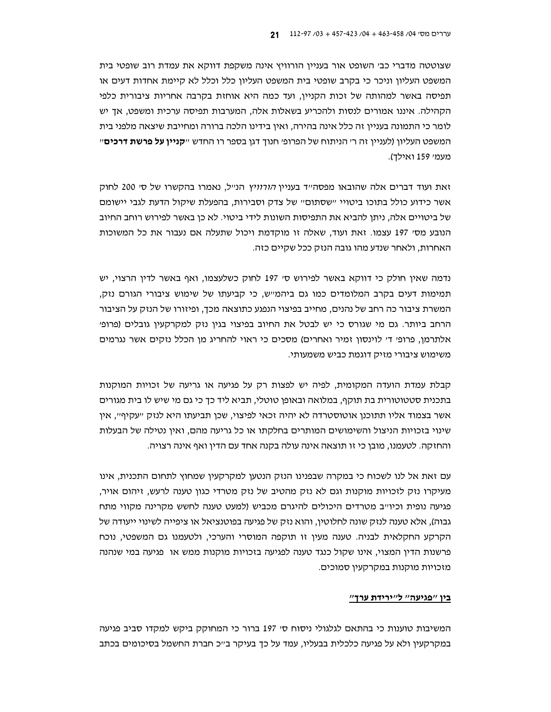שצוטטה מדברי כב' השופט אור בעניין הורוויץ אינה משקפת דווקא את עמדת רוב שופטי בית המשפט העליון וניכר כי בקרב שופטי בית המשפט העליון כלל וכלל לא קיימת אחדות דעים או תפיסה באשר למהותה של זכות הקניין, ועד כמה היא אוחזת בקרבה אחריות ציבורית כלפי הקהילה. איננו אמורים לנסות ולהכריע בשאלות אלה, המערבות תפיסה ערכית ומשפט, אד יש לומר כי התמונה בעניין זה כלל אינה בהירה, ואין בידינו הלכה ברורה ומחייבת שיצאה מלפני בית המשפט העליון (לעניין זה ר׳ הניתוח של הפרופ׳ חנוד דגן בספר רו החדש ״**קניין על פרשת דרכים**״ מעמי 159 ואילד).

זאת ועוד דברים אלה שהובאו מפסה״ד בעניין *הורוויץ* הנ״ל, נאמרו בהקשרו של ס׳ 200 לחוק אשר כידוע כולל בתוכו ביטויי ישסתום" של צדק וסבירות, בהפעלת שיקול הדעת לגבי יישומם של ביטויים אלה, ניתן להביא את התפיסות השונות לידי ביטוי. לא כן באשר לפירוש רוחב החיוב הנובע מסי 197 עצמו. זאת ועוד, שאלה זו מוקדמת ויכול שתעלה אם נעבור את כל המשוכות האחרות, ולאחר שנדע מהו גובה הנזק ככל שקיים כזה.

נדמה שאין חולק כי דווקא באשר לפירוש סי 197 לחוק כשלעצמו, ואף באשר לדין הרצוי, יש תמימות דעים בקרב המלומדים כמו גם ביהמייש, כי קביעתו של שימוש ציבורי הגורם נזק, המשרת ציבור כה רחב של נהנים, מחייב בפיצוי הנפגע כתוצאה מכך, ופיזורו של הנזק על הציבור הרחב ביותר. גם מי שגורס כי יש לבטל את החיוב בפיצוי בגין נזק למקרקעין גובלים (פרופ׳ אלתרמן, פרופי די לוינסון זמיר ואחרים) מסכים כי ראוי להחריג מן הכלל נזקים אשר נגרמים משימוש ציבורי מזיק דוגמת כביש משמעותי.

קבלת עמדת הועדה המקומית, לפיה יש לפצות רק על פגיעה או גריעה של זכויות המוקנות בתכנית סטטוטורית בת תוקף, במלואה ובאופן טוטלי, תביא ליד כך כי גם מי שיש לו בית מגורים אשר בצמוד אליו תתוכנן אוטוסטרדה לא יהיה זכאי לפיצוי, שכן תביעתו היא לנזק ״עקיף״, אין שינוי בזכויות הניצול והשימושים המותרים בחלקתו או כל גריעה מהם, ואין נטילה של הבעלות והחזקה. לטעמנו, מובן כי זו תוצאה אינה עולה בקנה אחד עם הדין ואף אינה רצויה.

עם זאת אל לנו לשכוח כי במקרה שבפנינו הנזק הנטען למקרקעין שמחוץ לתחום התכנית, אינו מעיקרו נזק לזכויות מוקנות וגם לא נזק מהטיב של נזק מטרדי כגון טענה לרעש. זיהום אויר. פגיעה נופית וכיו״ב מטרדים היכולים להיגרם מכביש (למעט טענה לחשש מקרינה מקווי מתח גבוה), אלא טענה לנזק שונה לחלוטין, והוא נזק של פגיעה בפוטנציאל או ציפייה לשינוי ייעודה של הקרקע החקלאית לבניה. טענה מעין זו תוקפה המוסרי והערכי, ולטעמנו גם המשפטי, נוכח פרשנות הדין המצוי, אינו שקול כנגד טענה לפגיעה בזכויות מוקנות ממש או פגיעה במי שנהנה מזכויות מוקנות במקרקעין סמוכים.

#### בין "פגיעה" ל"ירידת ערך"

המשיבות טוענות כי בהתאם לגלגולי ניסוח ס׳ 197 ברור כי המחוקק ביקש למקדו סביב פגיעה במקרקעין ולא על פגיעה כלכלית בבעליו, עמד על כך בעיקר ב״כ חברת החשמל בסיכומים בכתב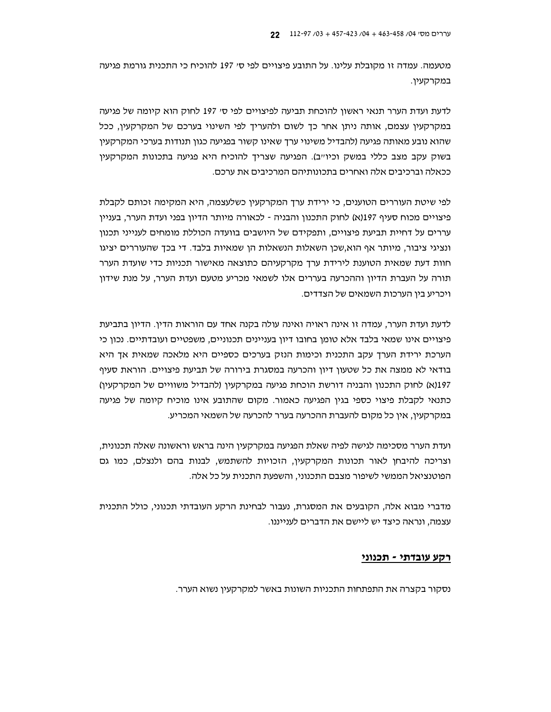מטעמה. עמדה זו מקובלת עלינו. על התובע פיצויים לפי ס׳ 197 להוכיח כי התכנית גורמת פגיעה במקרקעין.

לדעת ועדת הערר תנאי ראשון להוכחת תביעה לפיצויים לפי ס׳ 197 לחוק הוא קיומה של פגיעה במקרקעין עצמם, אותה ניתן אחר כך לשום ולהעריך לפי השינוי בערכם של המקרקעין, ככל שהוא נובע מאותה פגיעה (להבדיל משינוי ערך שאינו קשור בפגיעה כגון תנודות בערכי המקרקעין בשוק עקב מצב כללי במשק וכיוייב). הפגיעה שצריך להוכיח היא פגיעה בתכונות המקרקעין ככאלה וברכיבים אלה ואחרים בתכונותיהם המרכיבים את ערכם.

לפי שיטת העוררים הטוענים, כי ירידת ערך המקרקעין כשלעצמה, היא המקימה זכותם לקבלת פיצויים מכוח סעיף 197(א) לחוק התכנון והבניה - לכאורה מיותר הדיון בפני ועדת הערר, בעניין עררים על דחיית תביעת פיצויים, ותפקידם של היושבים בוועדה הכוללת מומחים לענייני תכנון ונציגי ציבור, מיותר אף הוא,שכן השאלות הנשאלות הן שמאיות בלבד. די בכך שהעוררים יציגו חוות דעת שמאית הטוענת לירידת ערך מקרקעיהם כתוצאה מאישור תכניות כדי שועדת הערר תורה על העברת הדיון וההכרעה בעררים אלו לשמאי מכריע מטעם ועדת הערר. על מנת שידון ויכריע בין הערכות השמאים של הצדדים.

לדעת ועדת הערר, עמדה זו אינה ראויה ואינה עולה בקנה אחד עם הוראות הדין. הדיון בתביעת פיצויים אינו שמאי בלבד אלא טומן בחובו דיון בעניינים תכנוניים, משפטיים ועובדתיים. נכון כי הערכת ירידת הערך עקב התכנית וכימות הנזק בערכים כספיים היא מלאכה שמאית אך היא בודאי לא ממצה את כל שטעון דיון והכרעה במסגרת בירורה של תביעת פיצויים. הוראת סעיף 197(א) לחוק התכנון והבניה דורשת הוכחת פגיעה במקרקעין (להבדיל משוויים של המקרקעין) כתנאי לקבלת פיצוי כספי בגין הפגיעה כאמור. מקום שהתובע אינו מוכיח קיומה של פגיעה במקרקעין, אין כל מקום להעברת ההכרעה בערר להכרעה של השמאי המכריע.

ועדת הערר מסכימה לגישה לפיה שאלת הפגיעה במקרקעין הינה בראש וראשונה שאלה תכנונית, וצריכה להיבחן לאור תכונות המקרקעין, הזכויות להשתמש, לבנות בהם ולנצלם, כמו גם הפוטנציאל הממשי לשיפור מצבם התכנוני, והשפעת התכנית על כל אלה.

מדברי מבוא אלה, הקובעים את המסגרת, נעבור לבחינת הרקע העובדתי תכנוני, כולל התכנית עצמה, ונראה כיצד יש ליישם את הדברים לענייננו.

## רקע עובדתי - תכנוני

נסקור בקצרה את התפתחות התכניות השונות באשר למקרקעין נשוא הערר.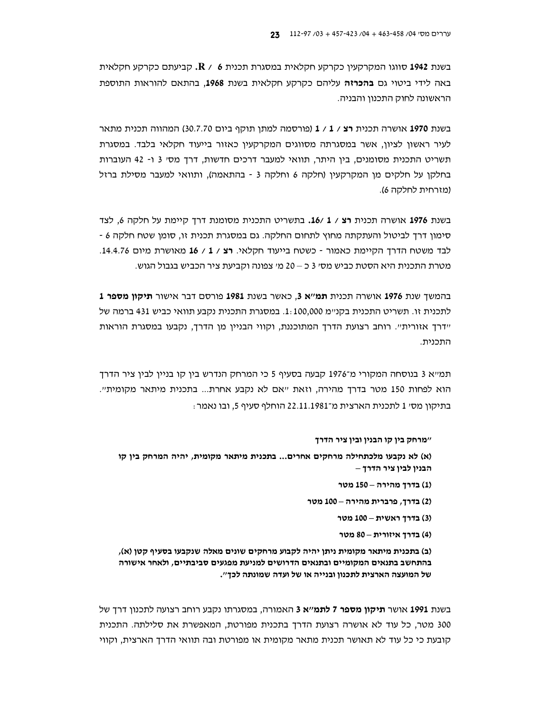בשנת 1942 סווגו המקרקעין כקרקע חקלאית במסגרת תכנית 6  $\cdot$  R / 6, קביעתם כקרקע חקלאית באה לידי ביטוי גם **בהכרזה** עליהם כקרקע חקלאית בשנת 1968, בהתאם להוראות התוספת הראשונה לחוק התכנון והבניה.

בשנת 1970 אושרה תכנית רצ / 1 / 1 (פורסמה למתן תוקף ביום 30.7.70) המהווה תכנית מתאר לעיר ראשון לציון, אשר במסגרתה מסווגים המקרקעין כאזור בייעוד חקלאי בלבד. במסגרת תשריט התכנית מסומנים, בין היתר, תוואי למעבר דרכים חדשות, דרך מסי 3 ו- 42 העוברות בחלקו על חלקים מו המקרקעיו (חלקה 6 וחלקה 3 - בהתאמה), ותוואי למעבר מסילת ברזל (מזרחית לחלקה 6).

בשנת 1976 אושרה תכנית **רצ** / 1 /16. בתשריט התכנית מסומנת דרך קיימת על חלקה 6, לצד סימון דרך לביטול והעתקתה מחוץ לתחום החלקה. גם במסגרת תכנית זו, סומן שטח חלקה 6 -לבד משטח הדרך הקיימת כאמור - כשטח בייעוד חקלאי. רצ / 1 / 16 מאושרת מיום 14.4.76. מטרת התכנית היא הסטת כביש מסי 3 כ $-$  20 מי צפונה וקביעת ציר הכביש בגבול הגוש.

1 בהמשך שנת 1976 אושרה תכנית **תמ"א 3**, כאשר בשנת 1981 פורסם דבר אישור **תיקון מספר** לתכנית זו. תשריט התכנית בקניימ 100,000.1. במסגרת התכנית נקבע תוואי כביש 431 ברמה של יידרך אזורית". רוחב רצועת הדרך המתוכננת, וקווי הבניין מן הדרך, נקבעו במסגרת הוראות התכנית.

תמייא 3 בנוסחה המקורי מ־1976 קבעה בסעיף 5 כי המרחק הנדרש בין קו בניין לבין ציר הדרך הוא לפחות 150 מטר בדרך מהירה, וזאת "אם לא נקבע אחרת... בתכנית מיתאר מקומית". בתיקון מס׳ 1 לתכנית הארצית מ־22.11.1981 הוחלף סעיף 5, ובו נאמר :

#### ״מרחק בין קו הבנין ובין ציר הדרך

(א) לא נקבעו מלכתחילה מרחקים אחרים... בתכנית מיתאר מקומית, יהיה המרחק בין קו הבניו לביו ציר הדרד –

- (1) בדרך מהירה 150 מטר
- (2) בדרך, פרברית מהירה 100 מטר
	- (3) בדרך ראשית 100 מטר
	- (4) בדרך איזורית 80 מטר

(ב) בתכנית מיתאר מקומית ניתן יהיה לקבוע מרחקים שונים מאלה שנקבעו בסעיף קטן (א), בהתחשב בתנאים המקומיים ובתנאים הדרושים למניעת מפגעים סביבתיים, ולאחר אישורה של המועצה הארצית לתכנון ובנייה או של ועדה שמונתה לכך".

בשנת 1991 אושר **תיקון מספר 7 לתמ׳׳א 3** האמורה, במסגרתו נקבע רוחב רצועה לתכנון דרד של 300 מטר, כל עוד לא אושרה רצועת הדרך בתכנית מפורטת, המאפשרת את סלילתה. התכנית קובעת כי כל עוד לא תאושר תכנית מתאר מקומית או מפורטת ובה תוואי הדרך הארצית, וקווי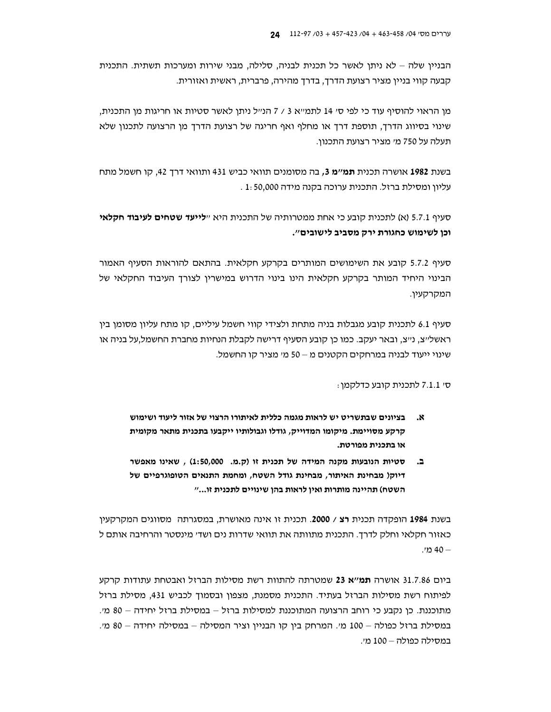הבניין שלה – לא ניתן לאשר כל תכנית לבניה, סלילה, מבני שירות ומערכות תשתית. התכנית קבעה קווי בניין מציר רצועת הדרך, בדרך מהירה, פרברית, ראשית ואזורית.

מן הראוי להוסיף עוד כי לפי סי 14 לתמייא 3 / 7 הנייל ניתו לאשר סטיות או חריגות מן התכנית. שינוי בסיווג הדרך, תוספת דרך או מחלף ואף חריגה של רצועת הדרך מן הרצועה לתכנון שלא תעלה על 750 מי מציר רצועת התכנון.

בשנת **1982** אושרה תכנית **תמ׳׳מ 3,** בה מסומנים תוואי כביש 431 ותוואי דרך 42, קו חשמל מתח עליון ומסילת ברזל. התכנית ערוכה בקנה מידה 1: 50,000 .

סעיף 5.7.1 (א) לתכנית קובע כי אחת ממטרותיה של התכנית היא ״**לייעד שטחים לעיבוד חקלאי** וכן לשימוש כחגורת ירק מסביב לישובים".

סעיף 5.7.2 קובע את השימושים המותרים בקרקע חקלאית. בהתאם להוראות הסעיף האמור הבינוי היחיד המותר בקרקע חקלאית הינו בינוי הדרוש במישרין לצורד העיבוד החקלאי של המקרקעין.

סעיף 6.1 לתכנית קובע מגבלות בניה מתחת ולצידי קווי חשמל עיליים, קו מתח עליון מסומן בין ראשל׳יצ, נ׳יצ, ובאר יעקב. כמו כן קובע הסעיף דרישה לקבלת הנחיות מחברת החשמל,על בניה או שינוי ייעוד לבניה במרחקים הקטנים מ–50 מי מציר קו החשמל.

סי 7.1.1 לתכנית קובע כדלקמן:

- בציונים שבתשריט יש לראות מגמה כללית לאיתורו הרצוי של אזור ליעוד ושימוש .× קרקע מסויימת. מיקומו המדוייק, גודלו וגבולותיו ייקבעו בתכנית מתאר מקומית או בתכנית מפורטת.
- סטיות הנובעות מקנה המידה של תכנית זו (ק.מ. 1:50,000), שאינו מאפשר د. דיוק( מבחינת האיתור, מבחינת גודל השטח, ומחמת התנאים הטופוגרפיים של השטח) תהיינה מותרות ואין לראות בהן שינויים לתכנית זו..."

בשנת 1984 הופקדה תכנית רצ / 2000. תכנית זו אינה מאושרת, במסגרתה מסווגים המקרקעין כאזור חקלאי וחלק לדרך. התכנית מתוותה את תוואי שדרות נים ושד׳ מינסטר והרחיבה אותם ל - 40 מי.

ביום 31.7.86 אושרה **תמ'׳א 23** שמטרתה להתוות רשת מסילות הברזל ואבטחת עתודות קרקע לפיתוח רשת מסילות הברזל בעתיד. התכנית מסמנת, מצפון ובסמוך לכביש 431, מסילת ברזל מתוכננת. כן נקבע כי רוחב הרצועה המתוכננת למסילות ברזל – במסילת ברזל יחידה – 80 מי. במסילת ברזל כפולה – 100 מ׳. המרחק בין קו הבניין וציר המסילה – במסילה יחידה – 80 מ׳. במסילה כפולה – 100 מ׳.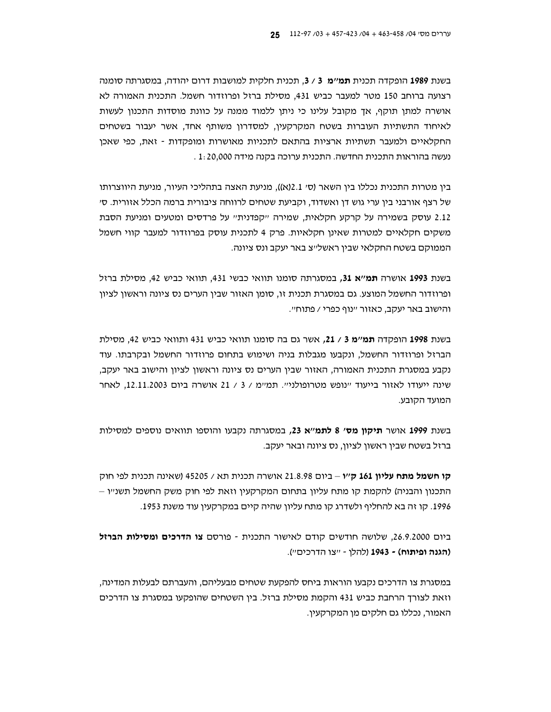בשנת 1989 הופקדה תכנית **תמ'׳מ 3 / 3.** תכנית חלקית למושבות דרום יהודה, במסגרתה סומנה רצועה ברוחב 150 מטר למעבר כביש 431, מסילת ברזל ופרוזדור חשמל. התכנית האמורה לא אושרה למתו תוקף, אד מקובל עלינו כי ניתו ללמוד ממנה על כוונת מוסדות התכנון לעשות לאיחוד התשתיות העוברות בשטח המקרקעין, למסדרון משותף אחד, אשר יעבור בשטחים החקלאיים ולמעבר תשתיות ארציות בהתאם לתכניות מאושרות ומופקדות - זאת, כפי שאכו נעשה בהוראות התכנית החדשה. התכנית ערוכה בקנה מידה 1:20,000

בין מטרות התכנית נכללו בין השאר (סי 2.1(א)), מניעת האצה בתהליכי העיור, מניעת היווצרותו של רצף אורבני בין ערי גוש דן ואשדוד, וקביעת שטחים לרווחה ציבורית ברמה הכלל אזורית. ס׳ 2.12 עוסק בשמירה על קרקע חקלאית, שמירה "קפדנית" על פרדסים ומטעים ומניעת הסבת משקים חקלאיים למטרות שאינן חקלאיות. פרק 4 לתכנית עוסק בפרוזדור למעבר קווי חשמל הממוקם בשטח החקלאי שבין ראשל״צ באר יעקב ונס ציונה.

בשנת 1993 אושרה תמ״א 31, במסגרתה סומנו תוואי כבשי 431, תוואי כביש 42, מסילת ברזל ופרוזדור החשמל המוצע. גם במסגרת תכנית זו, סומן האזור שבין הערים נס ציונה וראשון לציון והישוב באר יעקב, כאזור ״נוף כפרי / פתוח״.

בשנת 1998 הופקדה **תמ"מ 3** / 21, אשר גם בה סומנו תוואי כביש 431 ותוואי כביש 42, מסילת הברזל ופרוזדור החשמל, ונקבעו מגבלות בניה ושימוש בתחום פרוזדור החשמל ובקרבתו. עוד נקבע במסגרת התכנית האמורה, האזור שבין הערים נס ציונה וראשון לציון והישוב באר יעקב, שינה ייעודו לאזור בייעוד "נופש מטרופולני". תמ"מ / 3 / 21 אושרה ביום 12.11.2003, לאחר המועד הקובע.

בשנת 1999 אושר תיקון מס׳ 8 לתמ״א 23, במסגרתה נקבעו והוספו תוואים נוספים למסילות ברזל בשטח שבין ראשון לציון, נס ציונה ובאר יעקב.

**קו חשמל מתח עליון 161 ק**״ו – ביום 21.8.98 אושרה תכנית תא / 45205 (שאינה תכנית לפי חוק התכנון והבניה) להקמת קו מתח עליון בתחום המקרקעין וזאת לפי חוק משק החשמל תשנ״ו – 1996. קו זה בא להחליף ולשדרג קו מתח עליון שהיה קיים במקרקעין עוד משנת 1953.

ביום 26.9.2000, שלושה חודשים קודם לאישור התכנית - פורסם צ**ו הדרכים ומסילות הברזל** (**הגנה ופיתוח) - 1943** (להלן - ״צו הדרכים״).

במסגרת צו הדרכים נקבעו הוראות ביחס להפקעת שטחים מבעליהם, והעברתם לבעלות המדינה, וזאת לצורך הרחבת כביש 431 והקמת מסילת ברזל. בין השטחים שהופקעו במסגרת צו הדרכים האמור, נכללו גם חלקים מן המקרקעין.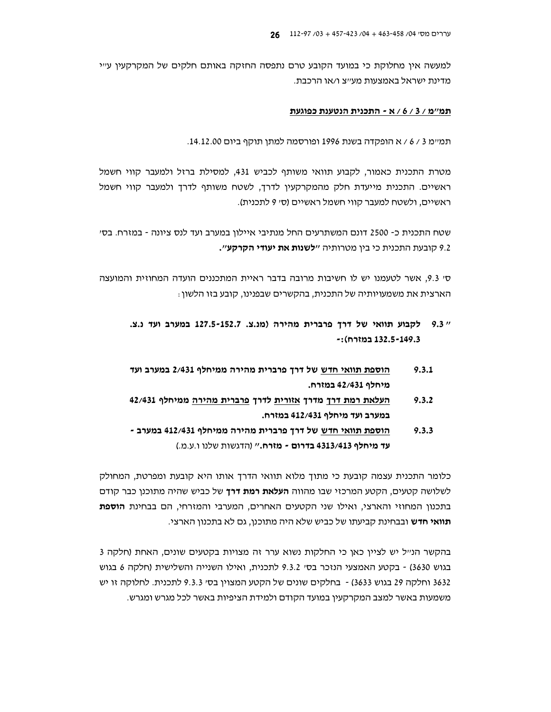למעשה אין מחלוקת כי במועד הקובע טרם נתפסה החזקה באותם חלקים של המקרקעין ע״י מדינת ישראל באמצעות מע״צ ו/או הרכבת.

#### תמ״מ / 3 / 6 / א - התכנית הנטענת כפוגעת

תמיימ 3 / 6 / א הופקדה בשנת 1996 ופורסמה למתן תוקף ביום 14.12.00.

מטרת התכנית כאמור, לקבוע תוואי משותף לכביש 431, למסילת ברזל ולמעבר קווי חשמל ראשיים. התכנית מייעדת חלק מהמקרקעין לדרך, לשטח משותף לדרך ולמעבר קווי חשמל ראשיים, ולשטח למעבר קווי חשמל ראשיים (סי 9 לתכנית).

שטח התכנית כ- 2500 דונם המשתרעים החל מנתיבי איילון במערב ועד לנס ציונה - במזרח. בסי 9.2 קובעת התכנית כי בין מטרותיה "**לשנות את יעודי הקרקע".** 

סי 9.3, אשר לטעמנו יש לו חשיבות מרובה בדבר ראיית המתכננים הועדה המחוזית והמועצה הארצית את משמעויותיה של התכנית, בהקשרים שבפנינו, קובע בזו הלשון :

- " 9.3 לקבוע תוואי של דרך פרברית מהירה (מנ.צ. 127.5-152.7 במערב ועד נ.צ. -: (ה132.5-149.3)
- הוספת תוואי חדש של דרך פרברית מהירה ממיחלף 2/431 במערב ועד  $9.3.1$ מיחלף 42/431 במזרח.
- העלאת רמת דרך מדרך אזורית לדרך פרברית מהירה ממיחלף 42/431  $9.3.2$ במערב ועד מיחלף 412/431 במזרח.
- <u>הוספת תוואי חדש</u> של דרך פרברית מהירה ממיחלף 412/431 במערב - $9.3.3$ עד מיחלף 4313/413 בדרום - מזרח." (הדגשות שלנו ו.ע.מ.)

כלומר התכנית עצמה קובעת כי מתוך מלוא תוואי הדרך אותו היא קובעת ומפרטת, המחולק לשלושה קטעים, הקטע המרכזי שבו מהווה **העלאת רמת דרד** של כביש שהיה מתוכנו כבר קודם בתכנון המחוזי והארצי, ואילו שני הקטעים האחרים, המערבי והמזרחי, הם בבחינת **הוספת** תוואי חדש ובבחינת קביעתו של כביש שלא היה מתוכנו, גם לא בתכנון הארצי.

בהקשר הנייל יש לציין כאן כי החלקות נשוא ערר זה מצויות בקטעים שונים, האחת (חלקה 3 בגוש 3630) - בקטע האמצעי הנזכר בס׳ 9.3.2 לתכנית, ואילו השנייה והשלישית (חלקה 6 בגוש 3632 וחלקה 29 בגוש 3633) - בחלקים שונים של הקטע המצוין בסי 9.3.3 לתכנית. לחלוקה זו יש משמעות באשר למצב המקרקעין במועד הקודם ולמידת הציפיות באשר לכל מגרש ומגרש.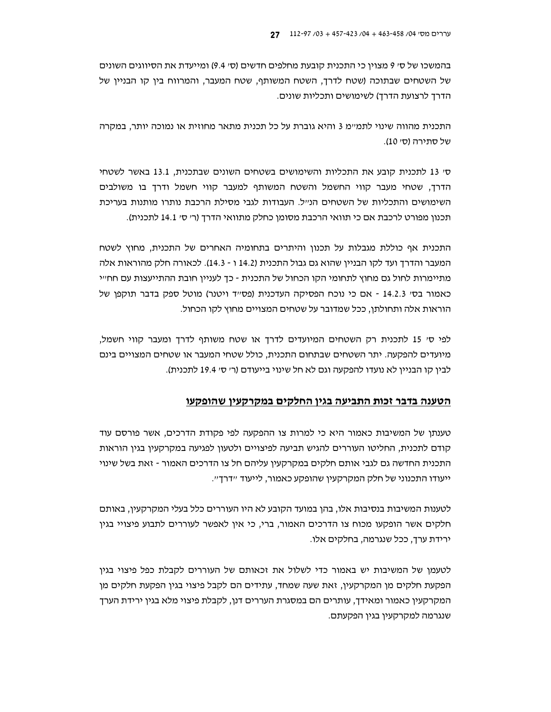בהמשכו של סי 9 מצוין כי התכנית קובעת מחלפים חדשים (סי 9.4) ומייעדת את הסיווגים השונים של השטחים שבתוכה (שטח לדרך, השטח המשותף, שטח המעבר, והמרווח בין קו הבניין של הדרך לרצועת הדרך) לשימושים ותכליות שונים.

התכנית מהווה שינוי לתמיימ 3 והיא גוברת על כל תכנית מתאר מחוזית או נמוכה יותר, במקרה של סתירה (סי 10).

ס׳ 13 לתכנית קובע את התכליות והשימושים בשטחים השונים שבתכנית, 13.1 באשר לשטחי הדרך, שטחי מעבר קווי החשמל והשטח המשותף למעבר קווי חשמל ודרך בו משולבים השימושים והתכליות של השטחים הנייל. העבודות לגבי מסילת הרכבת נותרו מותנות בעריכת תכנון מפורט לרכבת אם כי תוואי הרכבת מסומן כחלק מתוואי הדרך (ר׳ ס׳ 14.1 לתכנית).

התכנית אף כוללת מגבלות על תכנון והיתרים בתחומיה האחרים של התכנית, מחוץ לשטח המעבר והדרך ועד לקו הבניין שהוא גם גבול התכנית (14.2 ו - 14.3). לכאורה חלק מהוראות אלה מתיימרות לחול גם מחוץ לתחומי הקו הכחול של התכנית - כד לעניין חובת ההתייעצות עם חח״י כאמור בסי 14.2.3 - אם כי נוכח הפסיקה העדכנית (פסייד ויטנר) מוטל ספק בדבר תוקפן של הוראות אלה ותחולתן, ככל שמדובר על שטחים המצויים מחוץ לקו הכחול.

לפי סי 15 לתכנית רק השטחים המיועדים לדרך או שטח משותף לדרך ומעבר קווי חשמל, מיועדים להפקעה. יתר השטחים שבתחום התכנית, כולל שטחי המעבר או שטחים המצויים בינם לבין קו הבניין לא נועדו להפקעה וגם לא חל שינוי בייעודם (ר׳ ס׳ 19.4 לתכנית).

#### הטענה בדבר זכות התביעה בגין החלקים במקרקעין שהופקעו

טענתן של המשיבות כאמור היא כי למרות צו ההפקעה לפי פקודת הדרכים, אשר פורסם עוד קודם לתכנית, החליטו העוררים להגיש תביעה לפיצויים ולטעון לפגיעה במקרקעין בגין הוראות התכנית החדשה גם לגבי אותם חלקים במקרקעין עליהם חל צו הדרכים האמור - זאת בשל שינוי ייעודו התכנוני של חלק המקרקעיו שהופקע כאמור, לייעוד ״דרד״.

לטענות המשיבות בנסיבות אלו, בהן במועד הקובע לא היו העוררים כלל בעלי המקרקעין, באותם חלקים אשר הופקעו מכוח צו הדרכים האמור, ברי, כי אין לאפשר לעוררים לתבוע פיצויי בגין ירידת ערך, ככל שנגרמה, בחלקים אלו.

לטעמן של המשיבות יש באמור כדי לשלול את זכאותם של העוררים לקבלת כפל פיצוי בגין הפקעת חלקים מו המקרקעין, זאת שעה שמחד, עתידים הם לקבל פיצוי בגין הפקעת חלקים מו המקרקעין כאמור ומאידך, עותרים הם במסגרת העררים דנן, לקבלת פיצוי מלא בגין ירידת הערך שנגרמה למקרקעיו בגיו הפקעתם.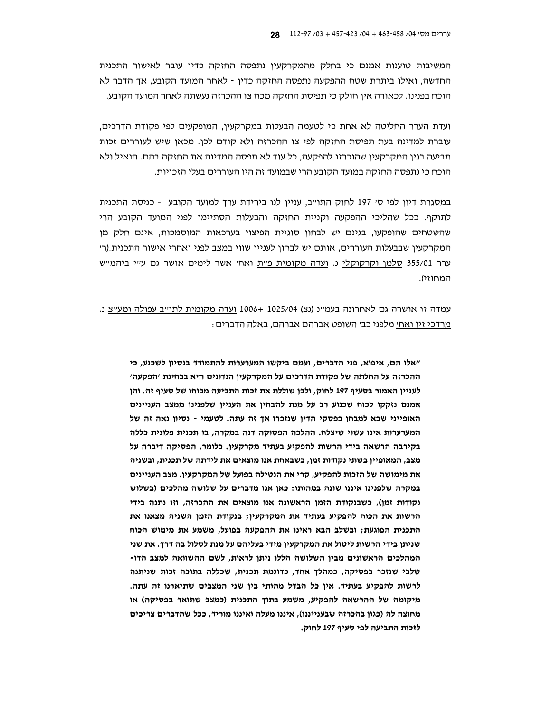המשיבות טוענות אמנם כי בחלק מהמקרקעין נתפסה החזקה כדין עובר לאישור התכנית החדשה, ואילו ביתרת שטח ההפקעה נתפסה החזקה כדין - לאחר המועד הקובע, אך הדבר לא הוכח בפנינו. לכאורה אין חולק כי תפיסת החזקה מכח צו ההכרזה נעשתה לאחר המועד הקובע.

ועדת הערר החליטה לא אחת כי לטעמה הבעלות במקרקעין, המופקעים לפי פקודת הדרכים, עוברת למדינה בעת תפיסת החזקה לפי צו ההכרזה ולא קודם לכו. מכאן שיש לעוררים זכות תביעה בגין המקרקעין שהוכרזו להפקעה, כל עוד לא תפסה המדינה את החזקה בהם. הואיל ולא הוכח כי נתפסה החזקה במועד הקובע הרי שבמועד זה היו העוררים בעלי הזכויות.

במסגרת דיון לפי סי 197 לחוק התו"ב, עניין לנו בירידת ערך למועד הקובע - כניסת התכנית לתוקף. ככל שהליכי ההפקעה וקניית החזקה והבעלות הסתיימו לפני המועד הקובע הרי שהשטחים שהופקעו, בגינם יש לבחון סוגיית הפיצוי בערכאות המוסמכות, אינם חלק מן המקרקעין שבבעלות העוררים, אותם יש לבחון לעניין שווי במצב לפני ואחרי אישור התכנית.(ר׳ ערר 355/01 סלמן וקרקוקלי נ. ועדה מקומית פיית ואחי אשר לימים אושר גם עייי ביהמייש המחוזי).

עמדה זו אושרה גם לאחרונה בעמיינ (נצ) 1025/04 +1006 ועדה מקומית לתוייב עפולה ומעייצ נ. מרדכי זיו ואחי מלפני כבי השופט אברהם אברהם, באלה הדברים :

"אלו הם, איפוא, פני הדברים, ועמם ביקשו המערערות להתמודד בנסיון לשכנע, כי ההכרזה על החלתה של פקודת הדרכים על המקרקעין הנדונים היא בבחינת 'הפקעה' לעניין האמור בסעיף 197 לחוק, ולכן שוללת את זכות התביעה מכוחו של סעיף זה. והן אמנם נזקקו לכוח שכנוע רב על מנת להבחין את העניין שלפנינו ממצב העניינים האופייני שבא למבחן בפסקי הדין שנזכרו אך זה עתה. לטעמי - נסיון נאה זה של המערערות אינו עשוי שיצלח. ההלכה הפסוקה דנה במקרה, בו תכנית פלונית כללה בקירבה הרשאה בידי הרשות להפקיע בעתיד מקרקעין. כלומר, הפסיקה דיברה על מצב, המאופיין בשתי נקודות זמן, כשבאחת אנו מוצאים את לידתה של תכנית, ובשניה את מימושה של הזכות להפקיע, קרי את הנטילה בפועל של המקרקעין. מצב העניינים במקרה שלפנינו איננו שונה במהותו: כאן אנו מדברים על שלושה מהלכים (בשלוש נקודות זמן), כשבנקודת הזמן הראשונה אנו מוצאים את ההכרזה, וזו נתנה בידי הרשות את הכוח להפקיע בעתיד את המקרקעין; בנקודת הזמן השניה מצאנו את התכנית הפוגעת; ובשלב הבא ראינו את ההפקעה בפועל, משמע את מימוש הכוח שניתן בידי הרשות ליטול את המקרקעין מידי בעליהם על מנת לסלול בה דרך. את שני המהלכים הראשונים מבין השלושה הללו ניתן לראות, לשם ההשוואה למצב הדו-שלבי שנזכר בפסיקה, כמהלך אחד, כדוגמת תכנית, שכללה בתוכה זכות שניתנה לרשות להפקיע בעתיד. אין כל הבדל מהותי בין שני המצבים שתיארנו זה עתה. מיקומה של ההרשאה להפקיע, משמע בתוך התכנית (כמצב שתואר בפסיקה) או מחוצה לה (כגון בהכרזה שבענייננו), איננו מעלה ואיננו מוריד, ככל שהדברים צריכים לזכות התביעה לפי סעיף 197 לחוק.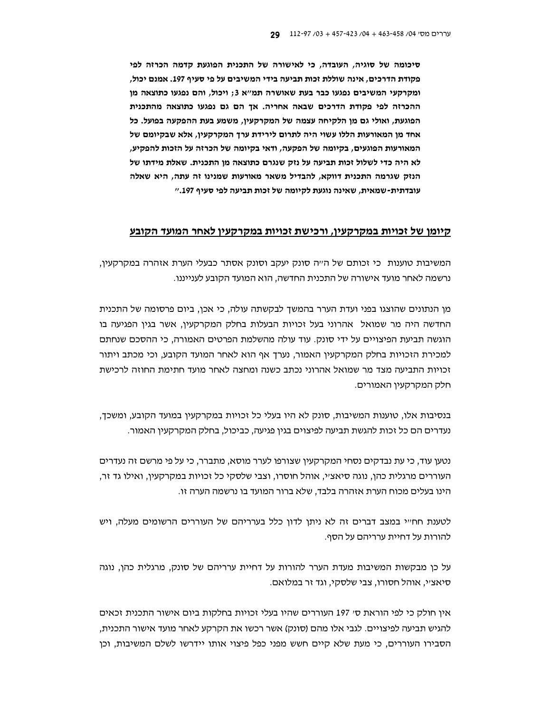סיכומה של סוגיה, העובדה, כי לאישורה של התכנית הפוגעת קדמה הכרזה לפי פקודת הדרכים, אינה שוללת זכות תביעה בידי המשיבים על פי סעיף 197. אמנם יכול, ומקרקעי המשיבים נפגעו כבר בעת שאושרה תמ"א 3; ויכול, והם נפגעו כתוצאה מן ההכרזה לפי פקודת הדרכים שבאה אחריה. אך הם גם נפגעו כתוצאה מהתכנית הפוגעת, ואולי גם מן הלקיחה עצמה של המקרקעין, משמע בעת ההפקעה בפועל. כל אחד מן המאורעות הללו עשוי היה לתרום לירידת ערך המקרקעין, אלא שבקיומם של המאורעות הפוגעים, בקיומה של הפקעה, ודאי בקיומה של הכרזה על הזכות להפקיע, לא היה כדי לשלול זכות תביעה על נזק שנגרם כתוצאה מן התכנית. שאלת מידתו של הנזק שגרמה התכנית דווקא, להבדיל משאר מאורעות שמנינו זה עתה, היא שאלה עובדתית-שמאית, שאינה נוגעת לקיומה של זכות תביעה לפי סעיף 197."

#### קיומן של זכויות במקרקעין, ורכישת זכויות במקרקעין לאחר המועד הקובע

המשיבות טוענות כי זכותם של הייה סונק יעקב וסונק אסתר כבעלי הערת אזהרה במקרקעין, נרשמה לאחר מועד אישורה של התכנית החדשה, הוא המועד הקובע לענייננו.

מן הנתונים שהוצגו בפני ועדת הערר בהמשך לבקשתה עולה, כי אכן, ביום פרסומה של התכנית החדשה היה מר שמואל אהרוני בעל זכויות הבעלות בחלק המקרקעין, אשר בגין הפגיעה בו הוגשה תביעת הפיצויים על ידי סונק. עוד עולה מהשלמת הפרטים האמורה, כי ההסכם שנחתם למכירת הזכויות בחלק המקרקעין האמור, נערך אף הוא לאחר המועד הקובע, וכי מכתב ויתור זכויות התביעה מצד מר שמואל אהרוני נכתב כשנה ומחצה לאחר מועד חתימת החוזה לרכישת חלק המקרקעין האמורים.

בנסיבות אלו, טוענות המשיבות, סונק לא היו בעלי כל זכויות במקרקעין במועד הקובע, ומשכך, נעדרים הם כל זכות להגשת תביעה לפיצוים בגין פגיעה, כביכול, בחלק המקרקעין האמור.

נטען עוד, כי עת נבדקים נסחי המקרקעין שצורפו לערר מוסא, מתברר, כי על פי מרשם זה נעדרים העוררים מרגלית כהן, נוגה סיאציי, אוהל חוסרו, וצבי שלסקי כל זכויות במקרקעין, ואילו גד זר, הינו בעלים מכוח הערת אזהרה בלבד, שלא ברור המועד בו נרשמה הערה זו.

לטענת חחייי במצב דברים זה לא ניתו לדוו כלל בערריהם של העוררים הרשומים מעלה, ויש להורות על דחיית ערריהם על הסף.

על כן מבקשות המשיבות מעדת הערר להורות על דחיית ערריהם של סונק, מרגלית כהן, נוגה סיאציי, אוהל חסורו, צבי שלסקי, וגד זר במלואם.

אין חולק כי לפי הוראת סי 197 העוררים שהיו בעלי זכויות בחלקות ביום אישור התכנית זכאים להגיש תביעה לפיצויים. לגבי אלו מהם (סונק) אשר רכשו את הקרקע לאחר מועד אישור התכנית, הסבירו העוררים, כי מעת שלא קיים חשש מפני כפל פיצוי אותו יידרשו לשלם המשיבות, וכן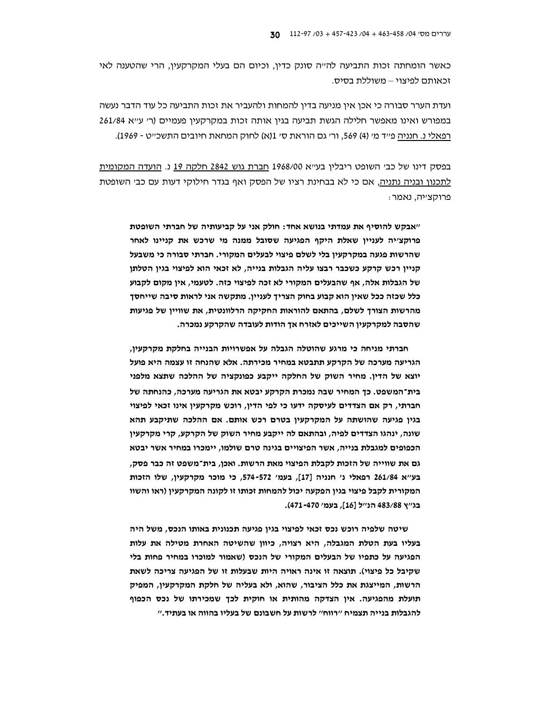כאשר הומחתה זכות התביעה להייה סונק כדין, וכיום הם בעלי המקרקעין, הרי שהטענה לאי זכאותם לפיצוי – משוללת בסיס.

ועדת הערר סבורה כי אכן אין מניעה בדין להמחות ולהעביר את זכות התביעה כל עוד הדבר נעשה במפורש ואינו מאפשר חלילה הגשת תביעה בגין אותה זכות במקרקעין פעמיים (ר׳ ע״א 261/84 רפאלי נ. חנניה פייד מי (4) 569, ורי גם הוראת סי 1(א) לחוק המחאת חיובים התשכייט - 1969).

בפסק דינו של כב׳ השופט ריבלין בע׳׳א 1968/00 חברת גוש 2842 חלקה 19 נ. הועדה המקומית לתכנון ובניה נתניה, אם כי לא בבחינת רציו של הפסק ואף בגדר חילוקי דעות עם כב׳ השופטת פרוקצייה, נאמר:

"אבקש להוסיף את עמדתי בנושא אחד: חולק אני על קביעותיה של חברתי השופטת פרוקצ׳יה לעניין שאלת היקף הפגיעה שסובל ממנה מי שרכש את קניינו לאחר שהרשות פגעה במקרקעיו בלי לשלם פיצוי לבעלים המקורי. חברתי סבורה כי משבעל קניין רכש קרקע כשכבר רבצו עליה הגבלות בנייה, לא זכאי הוא לפיצוי בגין הטלתן של הגבלות אלה, אף שהבעלים המקורי לא זכה לפיצוי כזה. לטעמי, אין מקום לקבוע כלל שכזה ככל שאין הוא קבוע בחוק הצריך לעניין. מתקשה אני לראות סיבה שייחסך מהרשות הצורך לשלם, בהתאם להוראות החקיקה הרלוונטית, את שוויין של פגיעות שהסבה למקרקעין השייכים לאזרח אך הודות לעובדה שהקרקע נמכרה.

חברתי מניחה כי מרגע שהוטלה הגבלה על אפשרויות הבנייה בחלקת מקרקעין, הגריעה מערכה של הקרקע תתבטא במחיר מכירתה. אלא שהנחה זו עצמה היא פועל יוצא של הדין. מחיר השוק של החלקה ייקבע כפונקציה של ההלכה שתצא מלפני בית־המשפט. כך המחיר שבה נמכרת הקרקע יבטא את הגריעה מערכה, כהנחתה של חברתי, רק אם הצדדים לעיסקה ידעו כי לפי הדין, רוכש מקרקעין אינו זכאי לפיצוי בגין פגיעה שהושתה על המקרקעין בטרם רכש אותם. אם ההלכה שתיקבע תהא שונה, ינהגו הצדדים לפיה, ובהתאם לה ייקבע מחיר השוק של הקרקע, קרי מקרקעין הכפופים למגבלת בנייה, אשר הפיצויים בגינה טרם שולמו, יימכרו במחיר אשר יבטא גם את שווייה של הזכות לקבלת הפיצוי מאת הרשות. ואכן, בית־משפט זה כבר פסק, בע''א 261/84 רפאלי נ' חנניה [17]. בעמ' 572-574. כי מוכר מקרקעיו. שלו הזכות המקורית לקבל פיצוי בגין הפקעה יכול להמחות זכותו זו לקונה המקרקעין (ראו והשוו בג׳׳ץ 483/88 הנ׳׳ל [16], בעמ׳ 470-471).

שיטה שלפיה רוכש נכס זכאי לפיצוי בגין פגיעה תכנונית באותו הנכס, משל היה בעליו בעת הטלת המגבלה, היא רצויה, כיוון שהשיטה האחרת מטילה את עלות הפגיעה על כתפיו של הבעלים המקורי של הנכס (שאמור למוכרו במחיר פחות בלי שקיבל כל פיצוי). תוצאה זו אינה ראויה היות שבעלות זו של הפגיעה צריכה לשאת הרשות, המייצגת את כלל הציבור, שהוא, ולא בעליה של חלקת המקרקעין, המפיק תועלת מהפגיעה. אין הצדקה מהותית או חוקית לכך שמכירתו של נכס הכפוף להגבלות בנייה תצמיח "רווח" לרשות על חשבונם של בעליו בהווה או בעתיד."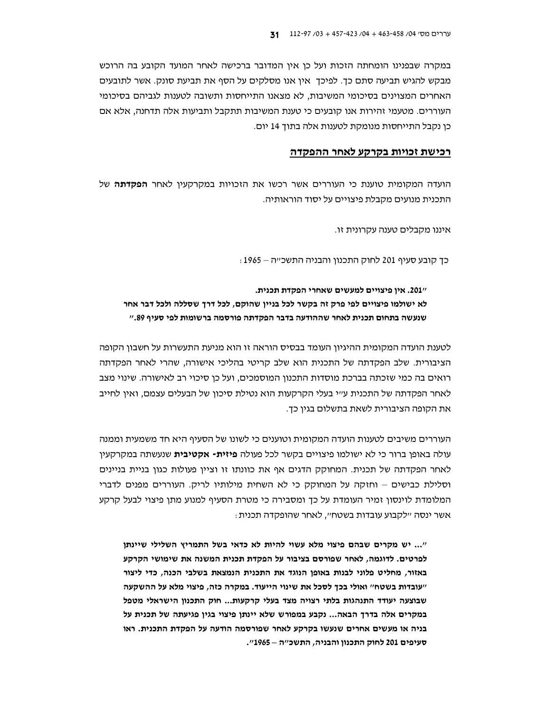במקרה שבפנינו הומחתה הזכות ועל כן אין המדובר ברכישה לאחר המועד הקובע בה הרוכש מבקש להגיש תביעה סתם כך. לפיכך אין אנו מסלקים על הסף את תביעת סונק. אשר לתובעים האחרים המצוינים בסיכומי המשיבות, לא מצאנו התייחסות ותשובה לטענות לגביהם בסיכומי העוררים. מטעמי זהירות אנו קובעים כי טענת המשיבות תתקבל ותביעות אלה תדחנה, אלא אם כן נקבל התייחסות מנומקת לטענות אלה בתוך 14 יום.

### רכישת זכויות בקרקע לאחר ההפקדה

הועדה המקומית טוענת כי העוררים אשר רכשו את הזכויות במקרקעין לאחר **הפקדתה** של התכנית מנועים מקבלת פיצויים על יסוד הוראותיה.

איננו מקבלים טענה עקרונית זו.

כד קובע סעיף 201 לחוק התכנון והבניה התשכ״ה – 1965 :

2017. אין פיצויים למעשים שאחרי הפקדת תכנית. לא ישולמו פיצויים לפי פרק זה בקשר לכל בניין שהוקם, לכל דרך שסללה ולכל דבר אחר שנעשה בתחום תכנית לאחר שההודעה בדבר הפקדתה פורסמה ברשומות לפי סעיף 89."

לטענת הועדה המקומית ההיגיון העומד בבסיס הוראה זו הוא מניעת התעשרות על חשבון הקופה הציבורית. שלב הפקדתה של התכנית הוא שלב קריטי בהליכי אישורה, שהרי לאחר הפקדתה רואים בה כמי שזכתה בברכת מוסדות התכנון המוסמכים, ועל כו סיכוי רב לאישורה. שינוי מצב לאחר הפקדתה של התכנית ע״י בעלי הקרקעות הוא נטילת סיכון של הבעלים עצמם, ואין לחייב את הקופה הציבורית לשאת בתשלום בגין כד.

העוררים משיבים לטענות הועדה המקומית וטוענים כי לשונו של הסעיף היא חד משמעית וממנה עולה באופן ברור כי לא ישולמו פיצויים בקשר לכל פעולה **פיזית- אקטיבית** שנעשתה במקרקעין לאחר הפקדתה של תכנית. המחוקק הדגים אף את כוונתו זו וציין פעולות כגון בניית בניינים וסלילת כבישים – וחזקה על המחוקק כי לא השחית מילותיו לריק. העוררים מפנים לדברי המלומדת לוינסון זמיר העומדת על כך ומסבירה כי מטרת הסעיף למנוע מתן פיצוי לבעל קרקע אשר ינסה ״לקבוע עובדות בשטח״, לאחר שהופקדה תכנית:

"... יש מקרים שבהם פיצוי מלא עשוי להיות לא כדאי בשל התמריץ השלילי שיינתן לפרטים. לדוגמה, לאחר שפורסם בציבור על הפקדת תכנית המשנה את שימושי הקרקע באזור, מחליט פלוני לבנות באופן הנוגד את התכנית הנמצאת בשלבי הכנה, כדי ליצור "עובדות בשטח" ואולי בכך לסכל את שינוי הייעוד. במקרה כזה, פיצוי מלא על ההשקעה שבוצעה יעודד התנהגות בלתי רצויה מצד בעלי קרקעות... חוק התכנון הישראלי מטפל במקרים אלה בדרך הבאה... נקבע במפורש שלא יינתן פיצוי בגין פגיעתה של תכנית על בניה או מעשים אחרים שנעשו בקרקע לאחר שפורסמה הודעה על הפקדת התכנית. ראו סעיפים 201 לחוק התכנון והבניה, התשכ"ה – 1965".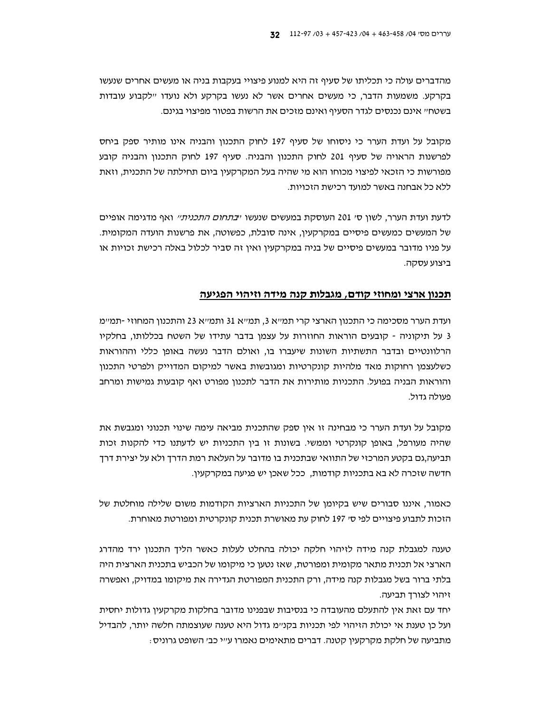מהדברים עולה כי תכליתו של סעיף זה היא למנוע פיצויי בעקבות בניה או מעשים אחרים שנעשו בקרקע. משמעות הדבר, כי מעשים אחרים אשר לא נעשו בקרקע ולא נועדו "לקבוע עובדות בשטח״ אינם נכנסים לגדר הסעיף ואינם מזכים את הרשות בפטור מפיצוי בגינם.

מקובל על ועדת הערר כי ניסוחו של סעיף 197 לחוק התכנון והבניה אינו מותיר ספק ביחס לפרשנות הראויה של סעיף 201 לחוק התכנון והבניה. סעיף 197 לחוק התכנון והבניה קובע מפורשות כי הזכאי לפיצוי מכוחו הוא מי שהיה בעל המקרקעין ביום תחילתה של התכנית, וזאת ללא כל אבחנה באשר למועד רכישת הזכויות.

לדעת ועדת הערר, לשון סי 201 העוסקת במעשים שנעשו יי*בתחום התכניתיי* ואף מדגימה אופיים של המעשים כמעשים פיסיים במקרקעין, אינה סובלת, כפשוטה, את פרשנות הועדה המקומית. על פניו מדובר במעשים פיסיים של בניה במקרקעין ואין זה סביר לכלול באלה רכישת זכויות או ביצוע עסקה.

### תכנון ארצי ומחוזי קודם, מגבלות קנה מידה וזיהוי הפגיעה

ועדת הערר מסכימה כי התכנון הארצי קרי תמייא 3, תמייא 31 ותמייא 23 והתכנון המחוזי -תמיימ 3 על תיקוניה - קובעים הוראות החוזרות על עצמן בדבר עתידו של השטח בכללותו, בחלקיו הרלוונטיים ובדבר התשתיות השונות שיעברו בו, ואולם הדבר נעשה באופן כללי וההוראות כשלעצמן רחוקות מאד מלהיות קונקרטיות ומגובשות באשר למיקום המדוייק ולפרטי התכנון והוראות הבניה בפועל. התכניות מותירות את הדבר לתכנון מפורט ואף קובעות גמישות ומרחב פעולה גדול.

מקובל על ועדת הערר כי מבחינה זו אין ספק שהתכנית מביאה עימה שינוי תכנוני ומגבשת את שהיה מעורפל, באופן קונקרטי וממשי. בשונות זו בין התכניות יש לדעתנו כדי להקנות זכות תביעה,גם בקטע המרכזי של התוואי שבתכנית בו מדובר על העלאת רמת הדרך ולא על יצירת דרך חדשה שזכרה לא בא בתכניות קודמות, ככל שאכן יש פגיעה במקרקעין.

כאמור, איננו סבורים שיש בקיומן של התכניות הארציות הקודמות משום שלילה מוחלטת של הזכות לתבוע פיצויים לפי סי 197 לחוק עת מאושרת תכנית קונקרטית ומפורטת מאוחרת.

טענה למגבלת קנה מידה לזיהוי חלקה יכולה בהחלט לעלות כאשר הליך התכנון ירד מהדרג הארצי אל תכנית מתאר מקומית ומפורטת, שאז נטען כי מיקומו של הכביש בתכנית הארצית היה בלתי ברור בשל מגבלות קנה מידה, ורק התכנית המפורטת הגדירה את מיקומו במדויק, ואפשרה זיהוי לצורך תביעה.

יחד עם זאת אין להתעלם מהעובדה כי בנסיבות שבפנינו מדובר בחלקות מקרקעין גדולות יחסית ועל כן טענת אי יכולת הזיהוי לפי תכניות בקנ״מ גדול היא טענה שעוצמתה חלשה יותר, להבדיל מתביעה של חלקת מקרקעין קטנה. דברים מתאימים נאמרו ע״י כב׳ השופט גרוניס :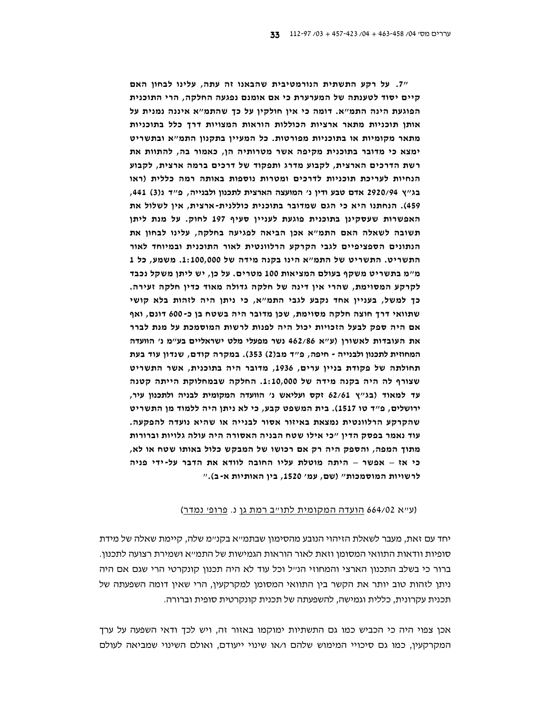"7. על רקע התשתית הנורמטיבית שהבאנו זה עתה, עלינו לבחון האם קיים יסוד לטענתה של המערערת כי אם אומנם נפגעה החלקה, הרי התוכנית הפוגעת הינה התמ"א. דומה כי אין חולקין על כך שהתמ"א איננה נמנית על אותן תוכניות מתאר ארציות הכוללות הוראות המצויות דרך כלל בתוכניות מתאר מקומיות או בתוכניות מפורטות. כל המעיין בתקנון התמ"א ובתשריט ימצא כי מדובר בתוכנית מקיפה אשר מטרותיה הן, כאמור בה, להתוות את רשת הדרכים הארצית, לקבוע מדרג ותפקוד של דרכים ברמה ארצית, לקבוע הנחיות לעריכת תוכניות לדרכים ומטרות נוספות באותה רמה כללית (ראו בג"ץ 2920/94 אדם טבע ודין נ' המועצה הארצית לתכנון ולבנייה, פ"ד נ(3) 441, 459). הנחתנו היא כי הגם שמדובר בתוכנית כוללנית-ארצית, אין לשלול את האפשרות שעסקינן בתוכנית פוגעת לעניין סעיף 197 לחוק. על מנת ליתן תשובה לשאלה האם התמ"א אכן הביאה לפגיעה בחלקה, עלינו לבחון את הנתונים הספציפיים לגבי הקרקע הרלוונטית לאור התוכנית ובמיוחד לאור התשריט. התשריט של התמ"א הינו בקנה מידה של 1:100,000. משמע, כל 1 מ״מ בתשריט משקף בעולם המציאות 100 מטרים. על כן, יש ליתן משקל נכבד לקרקע המסוימת, שהרי אין דינה של חלקה גדולה מאוד כדין חלקה זעירה. כך למשל, בעניין אחד נקבע לגבי התמ"א, כי ניתן היה לזהות בלא קושי שתוואי דרך חוצה חלקה מסוימת, שכן מדובר היה בשטח בן כ-600 דונם, ואף אם היה ספק לבעל הזכויות יכול היה לפנות לרשות המוסמכת על מנת לברר את העובדות לאשורן (ע"א 462/86 נשר מפעלי מלט ישראליים בע"מ נ' הוועדה המחוזית לתכנון ולבנייה - חיפה, פ"ד מב(2) 353). במקרה קודם, שנדון עוד בעת תחולתה של פקודת בניין ערים, 1936, מדובר היה בתוכנית, אשר התשריט שצורף לה היה בקנה מידה של 1:10,000. החלקה שבמחלוקת הייתה קטנה עד למאוד (בג"ץ 62/61 זקס ועליאש נ' הוועדה המקומית לבניה ולתכנון עיר, ירושלים, פ״ד טו 1517). בית המשפט קבע, כי לא ניתן היה ללמוד מן התשריט שהקרקע הרלוונטית נמצאת באיזור אסור לבנייה או שהיא נועדה להפקעה. עוד נאמר בפסק הדין "כי אילו שטח הבניה האסורה היה עולה גלויות וברורות מתוך המפה, והספק היה רק אם רכושו של המבקש כלול באותו שטח או לא, כי אז – אפשר – היתה מוטלת עליו החובה לוודא את הדבר על-ידי פניה לרשויות המוסמכות" (שם, עמ' 1520, בין האותיות א-ב)."

#### (ע״א 664/02 הועדה המקומית לתו״ב רמת גן נ. <u>פרופ׳ נמדר</u>)

יחד עם זאת, מעבר לשאלת הזיהוי הנובע מהסימון שבתמ״א בקנ״מ שלה, קיימת שאלה של מידת סופיות וודאות התוואי המסומן וזאת לאור הוראות הגמישות של התמ״א ושמירת רצועה לתכנון. ברור כי בשלב התכנון הארצי והמחוזי הנ״ל וכל עוד לא היה תכנון קונקרטי הרי שגם אם היה ניתן לזהות טוב יותר את הקשר בין התוואי המסומן למקרקעין, הרי שאין דומה השפעתה של תכנית עקרונית, כללית וגמישה, להשפעתה של תכנית קונקרטית סופית וברורה.

אכן צפוי היה כי הכביש כמו גם התשתיות ימוקמו באזור זה, ויש לכך ודאי השפעה על ערך המקרקעין, כמו גם סיכויי המימוש שלהם ו/או שינוי ייעודם, ואולם השינוי שמביאה לעולם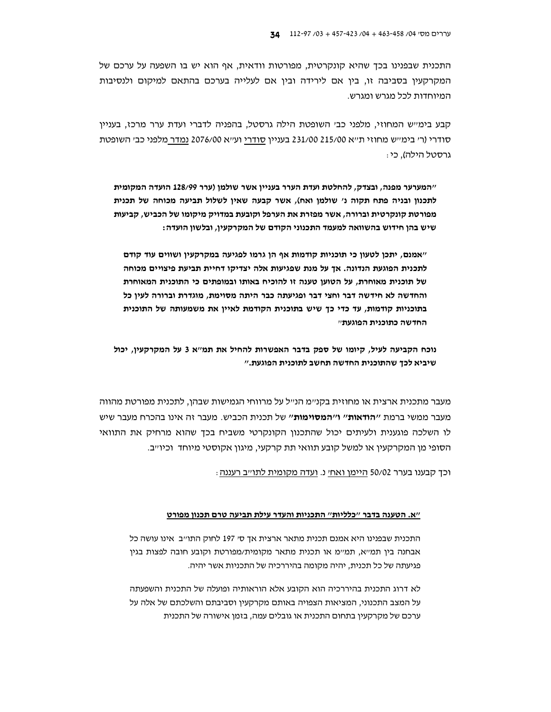התכנית שבפנינו בכך שהיא קונקרטית, מפורטות וודאית, אף הוא יש בו השפעה על ערכם של המקרקעיו בסביבה זו. ביו אם לירידה וביו אם לעלייה בערכם בהתאם למיקום ולנסיבות המיוחדות לכל מגרש ומגרש.

קבע בימייש המחוזי, מלפני כבי השופטת הילה גרסטל, בהפניה לדברי ועדת ערר מרכז, בעניין סודרי (ר׳ בימי׳ש מחוזי ת׳׳א 231/00 215/00 בענייו סודרי וע׳׳א 2076/00 נמדר מלפני כב׳ השופטת גרסטל הילה). כי :

"המערער מפנה, ובצדק, להחלטת ועדת הערר בעניין אשר שולמן (ערר 128/99 הועדה המקומית לתכנון ובניה פתח תקוה נ' שולמן ואח), אשר קבעה שאין לשלול תביעה מכוחה של תכנית מפורטת קונקרטית וברורה, אשר מפזרת את הערפל וקובעת במדויק מיקומו של הכביש, קביעות שיש בהן חידוש בהשוואה למעמד התכנוני הקודם של המקרקעין, ובלשון הועדה:

"אמנם, יתכן לטעון כי תוכניות קודמות אף הן גרמו לפגיעה במקרקעין ושווים עוד קודם לתכנית הפוגעת הנדונה. אך על מנת שפגיעות אלה יצדיקו דחיית תביעת פיצויים מכוחה של תוכנית מאוחרת, על הטוען טענה זו להוכיח באותו ובמופתים כי התוכנית המאוחרת והחדשה לא חידשה דבר וחצי דבר ופגיעתה כבר היתה מסוימת, מוגדרת וברורה לעין כל בתוכניות קודמות. עד כדי כד שיש בתוכנית הקודמת לאייו את משמעותה של התוכנית החדשה כתוכנית הפוגעתיי

נוכח הקביעה לעיל, קיומו של ספק בדבר האפשרות להחיל את תמ"א 3 על המקרקעין, יכול שיביא לכך שהתוכנית החדשה תחשב לתוכנית הפוגעת."

מעבר מתכנית ארצית או מחוזית בקנ״מ הנ״ל על מרווחי הגמישות שבהן, לתכנית מפורטת מהווה מעבר ממשי ברמת ״**הודאות**״ ו״**המסוימות״** של תכנית הכביש. מעבר זה אינו בהכרח מעבר שיש לו השלכה פוגענית ולעיתים יכול שהתכנון הקונקרטי משביח בכך שהוא מרחיק את התוואי הסופי מן המקרקעין או למשל קובע תוואי תת קרקעי, מיגון אקוסטי מיוחד וכיו׳יב.

וכך קבענו בערר 50/02 היימן ואחי נ. ועדה מקומית לתו״ב רעננה :

#### "א. הטענה בדבר "כלליות" התכניות והעדר עילת תביעה טרם תכנון מפורט

התכנית שבפנינו היא אמנם תכנית מתאר ארצית אך סי 197 לחוק התו״ב אינו עושה כל אבחנה בין תמייא, תמיימ או תכנית מתאר מקומית/מפורטת וקובע חובה לפצות בגין פגיעתה של כל תכנית, יהיה מקומה בהיררכיה של התכניות אשר יהיה.

לא דרוג התכנית בהיררכיה הוא הקובע אלא הוראותיה ופועלה של התכנית והשפעתה על המצב התכנוני, המציאות הצפויה באותם מקרקעין וסביבתם והשלכתם של אלה על ערכם של מקרקעין בתחום התכנית או גובלים עמה, בזמן אישורה של התכנית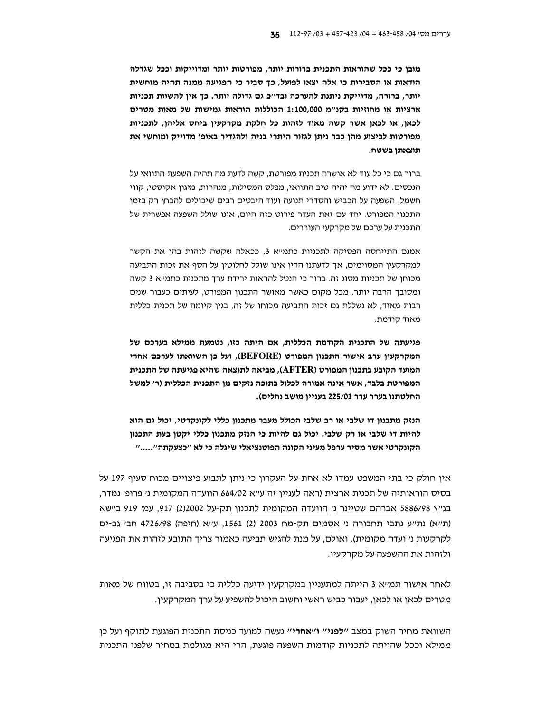מובן כי ככל שהוראות התכנית ברורות יותר, מפורטות יותר ומדוייקות וככל שגדלה הודאות או הסבירות כי אלה יצאו לפועל, כך סביר כי הפגיעה ממנה תהיה מוחשית יותר, ברורה, מדוייקת ניתנת להערכה ובד"כ גם גדולה יותר. כך אין להשוות תכניות ארציות או מחוזיות בקנ"מ 1:100,000 הכוללות הוראות גמישות של מאות מטרים לכאן, או לכאן אשר קשה מאוד לזהות כל חלקת מקרקעין ביחס אליהן, לתכניות מפורטות לביצוע מהן כבר ניתן לגזור היתרי בניה ולהגדיר באופן מדוייק ומוחשי את תוצאתן בשטח.

ברור גם כי כל עוד לא אושרה תכנית מפורטת, קשה לדעת מה תהיה השפעת התוואי על הנכסים. לא ידוע מה יהיה טיב התוואי, מפלס המסילות, מנהרות, מיגון אקוסטי, קווי חשמל, השפעה על הכביש והסדרי תנועה ועוד היבטים רבים שיכולים להבחן רק בזמן התכנון המפורט. יחד עם זאת העדר פירוט כזה היום, אינו שולל השפעה אפשרית של התכנית על ערכם של מקרקעי העוררים.

אמנם התייחסה הפסיקה לתכניות כתמייא 3, ככאלה שקשה לזהות בהן את הקשר למקרקעין המסוימים, אך לדעתנו הדין אינו שולל לחלוטין על הסף את זכות התביעה מכוחו של תכניות מסוג זה. ברור כי הנטל להראות ירידת ערד מתכנית כתמייא 3 קשה ומסובך הרבה יותר. מכל מקום כאשר מאושר התכנון המפורט, לעיתים כעבור שנים רבות מאוד, לא נשללת גם זכות התביעה מכוחו של זה, בגין קיומה של תכנית כללית מאוד קודמת.

פגיעתה של התכנית הקודמת הכללית, אם היתה כזו, נטמעת ממילא בערכם של המקרקעין ערב אישור התכנון המפורט (BEFORE), ועל כן השוואתו לערכם אחרי המועד הקובע בתכנון המפורט (AFTER), מביאה לתוצאה שהיא פגיעתה של התכנית המפורטת בלבד, אשר אינה אמורה לכלול בתוכה נזקים מן התכנית הכללית (ר׳ למשל החלטתנו בערר ערר 225/01 בעניין מושב נחלים).

הנזק מתכנון דו שלבי או רב שלבי הכולל מעבר מתכנון כללי לקונקרטי, יכול גם הוא להיות דו שלבי או רק שלבי. יכול גם להיות כי הנזק מתכנון כללי יקטן בעת התכנון הקונקרטי אשר מסיר ערפל מעיני הקונה הפוטנציאלי שיגלה כי לא "כצעקתה"....."

אין חולק כי בתי המשפט עמדו לא אחת על העקרון כי ניתן לתבוע פיצויים מכוח סעיף 197 על בסיס הוראותיה של תכנית ארצית (ראה לעניין זה ע״א 664/02 הוועדה המקומית נ׳ פרופ׳ נמדר, בגייץ 5886/98 אברהם שטיינר ני הוועדה המקומית לתכנון תק-על 2)2002, 917, עמי 919 ביישא (ת"א) נת"ע נתבי תחבורה ני <u>אסמים</u> תק-מח 2003 (2) 1561, ע"א (חיפה) 4726/98 <u>חב׳ גב-ים</u> <u>לקרקעות</u> ני <u>ועדה מקומית</u>). ואולם, על מנת להגיש תביעה כאמור צריך התובע לזהות את הפגיעה ולזהות את ההשפעה על מקרקעיו.

לאחר אישור תמ״א 3 הייתה למתעניין במקרקעין ידיעה כללית כי בסביבה זו, בטווח של מאות מטרים לכאן או לכאן, יעבור כביש ראשי וחשוב היכול להשפיע על ערך המקרקעין.

השוואת מחיר השוק במצב *יילפנייי* ו׳**׳אחרי׳**׳ נעשה למועד כניסת התכנית הפוגעת לתוקף ועל כן ממילא וככל שהייתה לתכניות קודמות השפעה פוגעת, הרי היא מגולמת במחיר שלפני התכנית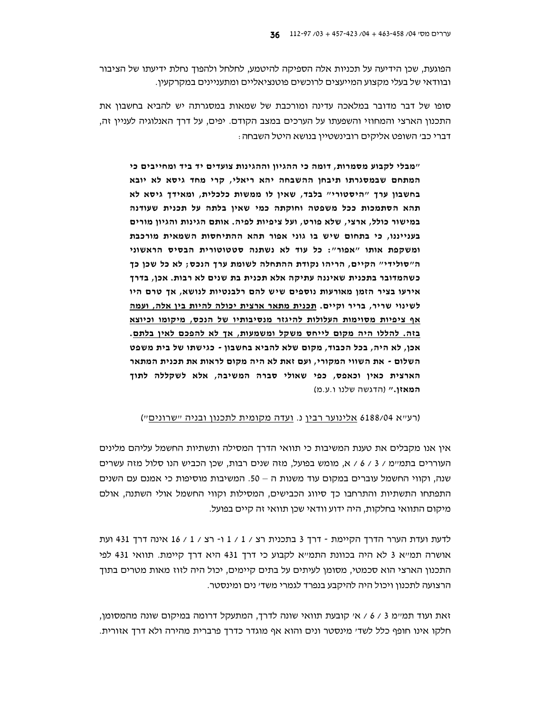הפוגעת, שכן הידיעה על תכניות אלה הספיקה להיטמע, לחלחל ולהפוך נחלת ידיעתו של הציבור ובוודאי של בעלי מקצוע המייעצים לרוכשים פוטנציאליים ומתעניינים במקרקעין.

סופו של דבר מדובר במלאכה עדינה ומורכבת של שמאות במסגרתה יש להביא בחשבון את התכנון הארצי והמחוזי והשפעתו על הערכים במצב הקודם. יפים, על דרד האנלוגיה לעניין זה, דברי כב׳ השופט אליקים רובינשטיין בנושא היטל השבחה :

"מבלי לקבוע מסמרות, דומה כי ההגיון וההגינות צועדים יד ביד ומחייבים כי המתחם שבמסגרתו תיבחן ההשבחה יהא ריאלי, קרי מחד גיסא לא יובא בחשבון ערך "היסטורי" בלבד, שאין לו ממשות כלכלית, ומאידך גיסא לא תהא הסתמכות ככל משפטה וחוקתה כמי שאין בלתה על תכנית שעודנה במישור כולל, ארצי, שלא פורט, ועל ציפיות לפיה. אותם הגינות והגיון מורים בענייננו, כי בתחום שיש בו גוני אפור תהא ההתיחסות השמאית מורכבת ומשקפת אותו "אפור": כל עוד לא נשתנה סטטוטורית הבסיס הראשוני ה"סולידי" הקיים, הריהו נקודת ההתחלה לשומת ערך הנכס; לא כל שכן כך כשהמדובר בתכנית שאיננה עתיקה אלא תכנית בת שנים לא רבות. אכן, בדרך אירעו בציר הזמן מאורעות נוספים שיש להם רלבנטיות לנושא, אך טרם היו לשינוי שריר, בריר וקיים. תכנית מתאר ארצית יכולה להיות בין אלה, ועמה אף ציפיות מסוימות העלולות להיגזר מנסיבותיו של הנכס, מיקומו וכיוצא בזה. להללו היה מקום לייחס משקל ומשמעות, אך לא להפכם לאין בלתם. אכן, לא היה, בכל הכבוד, מקום שלא להביא בחשבון - כגישתו של בית משפט השלום - את השווי המקורי, ועם זאת לא היה מקום לראות את תכנית המתאר הארצית כאין וכאפס, כפי שאולי סברה המשיבה, אלא לשקללה לתוך **המאזו.**" (הדגשה שלנו ו.ע.מ)

(רע״א 6188/04 אלינוער רבין נ. ועדה מקומית לתכנון ובניה ״שרונים״)

אין אנו מקבלים את טענת המשיבות כי תוואי הדרד המסילה ותשתיות החשמל עליהם מלינים העוררים בתמיימ / 3 / 6 / א, מומש בפועל, מזה שנים רבות, שכן הכביש הנו סלול מזה עשרים שנה, וקווי החשמל עוברים במקום עוד משנות ה – 50. המשיבות מוסיפות כי אמנם עם השנים התפתחו התשתיות והתרחבו כך סיווג הכבישים, המסילות וקווי החשמל אולי השתנה. אולם מיקום התוואי בחלקות, היה ידוע וודאי שכן תוואי זה קיים בפועל.

לדעת ועדת הערר הדרך הקיימת - דרך 3 בתכנית רצ / 1 / 1 ו- רצ / 1 / 16 אינה דרך 431 ועת אושרה תמייא 3 לא היה בכוונת התמייא לקבוע כי דרך 431 היא דרך קיימת. תוואי 431 לפי התכנון הארצי הוא סכמטי, מסומן לעיתים על בתים קיימים, יכול היה לזוז מאות מטרים בתוך הרצועה לתכנון ויכול היה להיקבע בנפרד לגמרי משד׳ נים ומינסטר.

זאת ועוד תמיימ 3 / 6 / אי קובעת תוואי שונה לדרך, המתעקל דרומה במיקום שונה מהמסומן, חלקו אינו חופף כלל לשדי מינסטר ונים והוא אף מוגדר כדרך פרברית מהירה ולא דרך אזורית.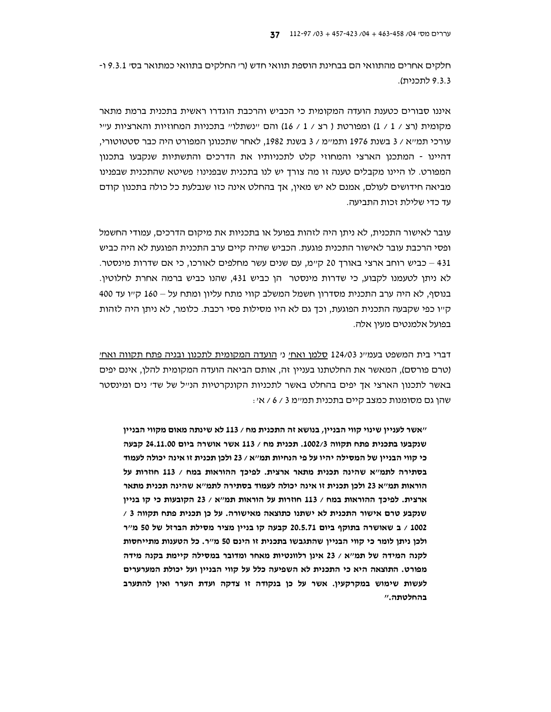חלקים אחרים מהתוואי הם בבחינת הוספת תוואי חדש (ר׳ החלקים בתוואי כמתואר בס׳ 19.3.1 ו-9.3.3 לתכנית).

איננו סבורים כטענת הועדה המקומית כי הכביש והרכבת הוגדרו ראשית בתכנית ברמת מתאר מקומית (רצ / 1 / 1) ומפורטת ( רצ / 1 / 16) והם יינשתלויי בתכניות המחוזיות והארציות עייי עורכי תמייא / 3 בשנת 1976 ותמיימ / 3 בשנת 1982. לאחר שתכנונו המפורט היה כבר סטטוטורי. דהיינו - המתכנן הארצי והמחוזי קלט לתכניותיו את הדרכים והתשתיות שנקבעו בתכנון המפורט. לו היינו מקבלים טענה זו מה צורך יש לנו בתכנית שבפנינו: פשיטא שהתכנית שבפנינו מביאה חידושים לעולם, אמנם לא יש מאין, אך בהחלט אינה כזו שנבלעת כל כולה בתכנון קודם עד כדי שלילת זכות התביעה.

עובר לאישור התכנית, לא ניתן היה לזהות בפועל או בתכניות את מיקום הדרכים, עמודי החשמל ופסי הרכבת עובר לאישור התכנית פוגעת. הכביש שהיה קיים ערב התכנית הפוגעת לא היה כביש 431 – כביש רוחב ארצי באורך 20 קיימ, עם שנים עשר מחלפים לאורכו, כי אם שדרות מינסטר. לא ניתן לטעמנו לקבוע, כי שדרות מינסטר | הן כביש 431, שהנו כביש ברמה אחרת לחלוטין. בנוסף, לא היה ערב התכנית מסדרון חשמל המשלב קווי מתח עליון ומתח על – 160 ק״ו עד 400 ק״ו כפי שקבעה התכנית הפוגעת, וכך גם לא היו מסילות פסי רכבת. כלומר, לא ניתן היה לזהות בפועל אלמנטים מעין אלה.

דברי בית המשפט בעמיינ 124/03 סלמן ואחי ני הועדה המקומית לתכנון ובניה פתח תקווה ואחי (טרם פורסם), המאשר את החלטתנו בעניין זה, אותם הביאה הועדה המקומית להלן, אינם יפים באשר לתכנון הארצי אד יפים בהחלט באשר לתכניות הקונקרטיות הנ״ל של שד׳ נים ומינסטר שהן גם מסומנות כמצב קיים בתכנית תמיימ 3 / 6 / אי:

"אשר לעניין שינוי קווי הבניין, בנושא זה התכנית מח / 113 לא שינתה מאום מקווי הבניין שנקבעו בתכנית פתח תקווה 1002/3. תכנית מח / 113 אשר אושרה ביום 24.11.00 קבעה כי קווי הבניין של המסילה יהיו על פי הנחיות תמ״א / 23 ולכן תכנית זו אינה יכולה לעמוד בסתירה לתמ"א שהינה תכנית מתאר ארצית. לפיכך ההוראות במח / 113 חוזרות על הוראות תמ״א 23 ולכן תכנית זו אינה יכולה לעמוד בסתירה לתמ״א שהינה תכנית מתאר ארצית. לפיכך ההוראות במח / 113 חוזרות על הוראות תמ"א / 23 הקובעות כי קו בניין שנקבע טרם אישור התכנית לא ישתנו כתוצאה מאישורה. על כן תכנית פתח תקווה 3 / 1002 / ב שאושרה בתוקף ביום 20.5.71 קבעה קו בניין מציר מסילת הברזל של 50 מ"ר ולכן ניתן לומר כי קווי הבניין שהתגבשו בתכנית זו הינם 50 מ"ר. כל הטענות מתייחסות לקנה המידה של תמ"א / 23 אינו רלוונטיות מאחר ומדובר במסילה קיימת בקנה מידה מפורט. התוצאה היא כי התכנית לא השפיעה כלל על קווי הבניין ועל יכולת המערערים לעשות שימוש במקרקעין. אשר על כן בנקודה זו צדקה ועדת הערר ואין להתערב בהחלטתה."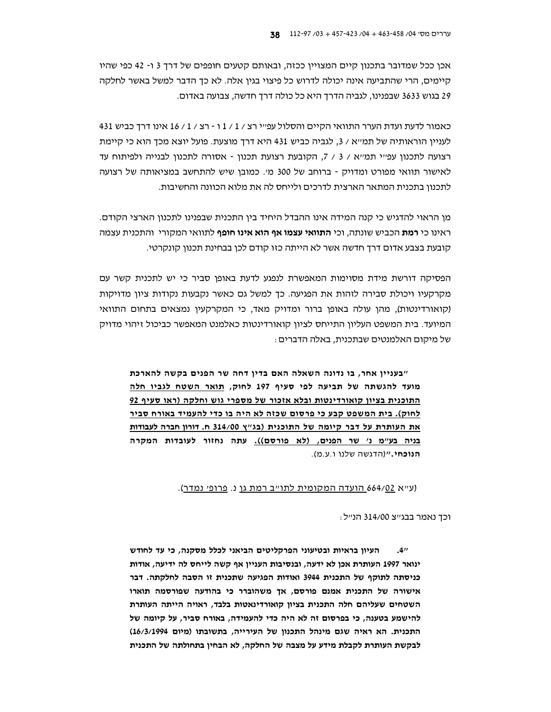אכן ככל שמדובר בתכנון קיים המצויין ככזה, ובאותם קטעים חופפים של דרך 3 ו- 42 כפי שהיו קיימים, הרי שהתביעה אינה יכולה לדרוש כל פיצוי בגין אלה. לא כך הדבר למשל באשר לחלקה 29 בגוש 3633 שבפנינו, לגביה הדרך היא כל כולה דרך חדשה, צבועה באדום.

431 כאמור לדעת ועדת הערר התוואי הקיים והסלול עפ״י רצ / 1 / 1 ו - רצ / 1 / 16 אינו דרך כביש לעניין הוראותיה של תמ״א / 3, לגביה כביש 431 היא דרך מוצעת. פועל יוצא מכך הוא כי קיימת רצועה לתכנון עפ״י תמ״א / 3 / 7, הקובעת רצועת תכנון - אסורה לתכנון לבנייה ולפיתוח עד לאישור תוואי מפורט ומדויק - ברוחב של 300 מי. כמובן שיש להתחשב במציאותה של רצועה לתכנון בתכנית המתאר הארצית לדרכים ולייחס לה את מלוא הכוונה והחשיבות.

מן הראוי להדגיש כי קנה המידה אינו ההבדל היחיד בין התכנית שבפנינו לתכנון הארצי הקודם. ראינו כי **רמת** הכביש שונתה, וכי **התוואי עצמו אף הוא אינו חופף** לתוואי המקורי והתכנית עצמה קובעת בצבע אדום דרך חדשה אשר לא הייתה כזו קודם לכן בבחינת תכנון קונקרטי.

הפסיקה דורשת מידת מסוימות המאפשרת לנפגע לדעת באופן סביר כי יש לתכנית קשר עם מקרקעיו ויכולת סבירה לזהות את הפגיעה. כך למשל גם כאשר נקבעות נקודות ציון מדויקות (קואורדינטות), מהן עולה באופן ברור ומדויק מאד, כי המקרקעין נמצאים בתחום התוואי המיועד. בית המשפט העליון התייחס לציון קואורדינטות כאלמנט המאפשר כביכול זיהוי מדויק של מיקום האלמנטים שבתכנית, באלה הדברים :

״בעניין אחר, בו נדונה השאלה האם בדין דחה שר הפנים בקשה להארכת מועד להגשתה של תביעה לפי סעיף 197 לחוק, תואר השטח לגביו חלה התוכנית בציון קואורדינטות ובלא אזכור של מספרי גוש וחלקה (ראו סעיף 92 <u>לחוק). בית המשפט קבע כי פרסום שכזה לא היה בו כדי להעמיד באורח סביר</u> <u>את העותרת על דבר קיומה של התוכנית (בג"ץ 314/00 ח. דורון חברה לעבודות</u> בניה בע"מ נ' שר הפנים, (לא פורסם)). עתה נחזור לעובדות המקרה הנוכחי." (הדגשה שלנו ו.ע.מ).

(ע״א 664/<u>02 הועדה המקומית לתו״ב רמת גן</u> נ. <u>פרופ׳ נמדר</u>).

וכך נאמר בבג׳׳צ 314/00 הנ׳׳ל :

העיון בראיות ובטיעוני הפרקליטים הביאני לכלל מסקנה, כי עד לחודש  $.4''$ ינואר 1997 העותרת אכן לא ידעה, ובנסיבות העניין אף קשה לייחס לה ידיעה, אודות כניסתה לתוקף של התכנית 3944 ואודות הפגיעה שתכנית זו הסבה לחלקתה. דבר אישורה של התכנית אמנם פורסם, אך משהוברר כי בהודעה שפורסמה תוארו השטחים שעליהם חלה התכנית בציון קואורדינאטות בלבד, ראויה הייתה העותרת להישמע בטענה, כי בפרסום זה לא היה כדי להעמידה, באורח סביר, על קיומה של התכנית. הא ראיה שגם מינהל התכנון של העירייה, בתשובתו (מיום 16/3/1994) לבקשת העותרת לקבלת מידע על מצבה של החלקה, לא הבחין בתחולתה של התכנית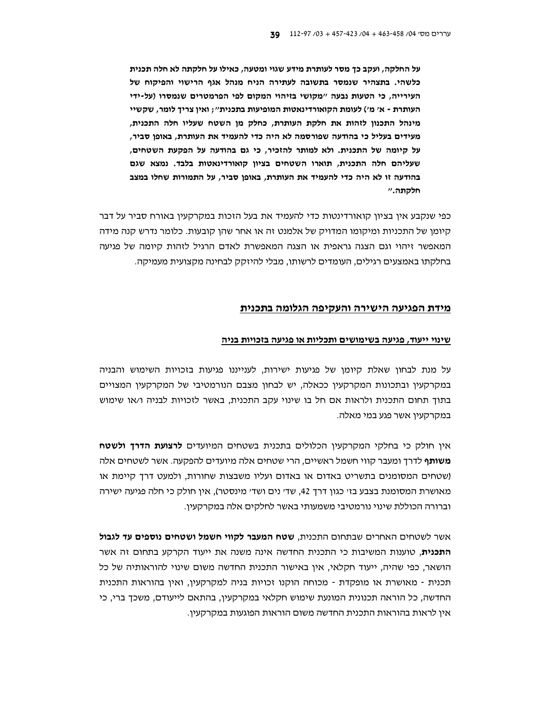על החלקה, ועקב כך מסר לעותרת מידע שגוי ומטעה, כאילו על חלקתה לא חלה תכנית כלשהי. בתצהיר שנמסר בתשובה לעתירה הניח מנהל אגף הרישוי והפיקוח של העירייה, כי הטעות נבעה "מקושי בזיהוי המקום לפי הפרמטרים שנמסרו (על-ידי העותרת - א' מ') לעומת הקואורדינאטות המופיעות בתכנית"; ואין צריך לומר, שקשיי מינהל התכנון לזהות את חלקת העותרת, כחלק מן השטח שעליו חלה התכנית, מעידים בעליל כי בהודעה שפורסמה לא היה כדי להעמיד את העותרת, באופן סביר, על קיומה של התכנית. ולא למותר להזכיר, כי גם בהודעה על הפקעת השטחים, שעליהם חלה התכנית, תוארו השטחים בציון קואורדינאטות בלבד. נמצא שגם בהודעה זו לא היה כדי להעמיד את העותרת, באופן סביר, על התמורות שחלו במצב חלקתה.״

כפי שנקבע אין בציון קואורדינטות כדי להעמיד את בעל הזכות במקרקעין באורח סביר על דבר קיומן של התכניות ומיקומו המדויק של אלמנט זה או אחר שהן קובעות. כלומר נדרש קנה מידה המאפשר זיהוי וגם הצגה גראפית או הצגה המאפשרת לאדם הרגיל לזהות קיומה של פגיעה בחלקתו באמצעים רגילים, העומדים לרשותו, מבלי להיזקק לבחינה מקצועית מעמיקה.

# <u>מידת הפגיעה הישירה והעקיפה הגלומה בתכנית</u>

## <u>שינוי ייעוד, פגיעה בשימושים ותכליות או פגיעה בזכויות בניה</u>

על מנת לבחון שאלת קיומן של פגיעות ישירות, לענייננו פגיעות בזכויות השימוש והבניה במקרקעין ובתכונות המקרקעין ככאלה, יש לבחון מצבם הנורמטיבי של המקרקעין המצויים בתוך תחום התכנית ולראות אם חל בו שינוי עקב התכנית, באשר לזכויות לבניה ו/או שימוש במקרקעיו אשר פגע במי מאלה.

אין חולק כי בחלקי המקרקעין הכלולים בתכנית בשטחים המיועדים **לרצועת הדרך ולשטח משותף** לדרך ומעבר קווי חשמל ראשיים, הרי שטחים אלה מיועדים להפקעה. אשר לשטחים אלה (שטחים המסומנים בתשריט באדום או באדום ועליו משבצות שחורות, ולמעט דרך קיימת או מאושרת המסומנת בצבע בז׳ כגון דרך 42, שד׳ נים ושד׳ מינסטר). אין חולק כי חלה פגיעה ישירה וברורה הכוללת שינוי נורמטיבי משמעותי באשר לחלקים אלה במקרקעין.

אשר לשטחים האחרים שבתחום התכנית, **שטח המעבר לקווי חשמל ושטחים נוספים עד לגבול התכנית,** טוענות המשיבות כי התכנית החדשה אינה משנה את ייעוד הקרקע בתחום זה אשר הושאר, כפי שהיה, ייעוד חקלאי, אין באישור התכנית החדשה משום שינוי להוראותיה של כל תכנית - מאושרת או מופקדת - מכוחה הוקנו זכויות בניה למקרקעין, ואין בהוראות התכנית החדשה, כל הוראה תכנונית המונעת שימוש חקלאי במקרקעין, בהתאם לייעודם, משכך ברי, כי אין לראות בהוראות התכנית החדשה משום הוראות הפוגעות במקרקעין.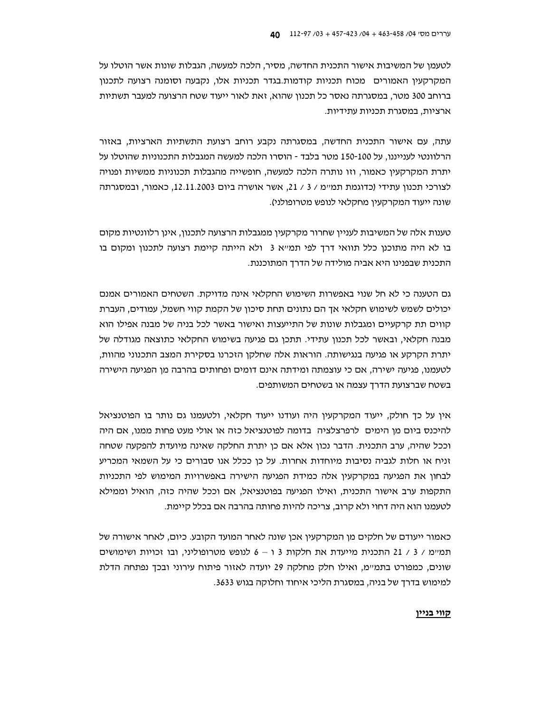לטעמן של המשיבות אישור התכנית החדשה, מסיר, הלכה למעשה, הגבלות שונות אשר הוטלו על המקרקעין האמורים מכוח תכניות קודמות.בגדר תכניות אלו, נקבעה וסומנה רצועה לתכנון ברוחב 300 מטר, במסגרתה נאסר כל תכנון שהוא, זאת לאור ייעוד שטח הרצועה למעבר תשתיות ארציות, במסגרת תכניות עתידיות.

עתה, עם אישור התכנית החדשה, במסגרתה נקבע רוחב רצועת התשתיות הארציות, באזור הרלוונטי לענייננו, על 100-150 מטר בלבד - הוסרו הלכה למעשה המגבלות התכנוניות שהוטלו על יתרת המקרקעין כאמור, וזו נותרה הלכה למעשה, חופשייה מהגבלות תכנוניות ממשיות ופנויה לצורכי תכנון עתידי (כדוגמת תמיימ / 3 / 21, אשר אושרה ביום 12.11.2003, כאמור, ובמסגרתה שונה ייעוד המקרקעין מחקלאי לנופש מטרופולני).

טענות אלה של המשיבות לעניין שחרור מקרקעין ממגבלות הרצועה לתכנון, אינן רלוונטיות מקום בו לא היה מתוכנן כלל תוואי דרך לפי תמ״א 3 ולא הייתה קיימת רצועה לתכנון ומקום בו התכנית שבפנינו היא אביה מולידה של הדרך המתוכננת.

גם הטענה כי לא חל שנוי באפשרות השימוש החקלאי אינה מדויקת. השטחים האמורים אמנם יכולים לשמש לשימוש חקלאי אך הם נתונים תחת סיכון של הקמת קווי חשמל, עמודים, העברת קווים תת קרקעיים ומגבלות שונות של התייעצות ואישור באשר לכל בניה של מבנה אפילו הוא מבנה חקלאי, ובאשר לכל תכנון עתידי. תתכן גם פגיעה בשימוש החקלאי כתוצאה מגודלה של יתרת הקרקע או פגיעה בנגישותה. הוראות אלה שחלקן הזכרנו בסקירת המצב התכנוני מהוות, לטעמנו, פגיעה ישירה, אם כי עוצמתה ומידתה אינם דומים ופחותים בהרבה מן הפגיעה הישירה בשטח שברצועת הדרד עצמה או בשטחים המשותפים.

אין על כך חולק, ייעוד המקרקעין היה ועודנו ייעוד חקלאי, ולטעמנו גם נותר בו הפוטנציאל להיכנס ביום מן הימים לרפרצלציה בדומה לפוטנציאל כזה או אולי מעט פחות ממנו, אם היה וככל שהיה, ערב התכנית. הדבר נכון אלא אם כן יתרת החלקה שאינה מיועדת להפקעה שטחה זניח או חלות לגביה נסיבות מיוחדות אחרות. על כן ככלל אנו סבורים כי על השמאי המכריע לבחון את הפגיעה במקרקעין אלה כמידת הפגיעה הישירה באפשרויות המימוש לפי התכניות התקפות ערב אישור התכנית, ואילו הפגיעה בפוטנציאל, אם וככל שהיה כזה, הואיל וממילא לטעמנו הוא היה דחוי ולא קרוב, צריכה להיות פחותה בהרבה אם בכלל קיימת.

כאמור ייעודם של חלקים מן המקרקעין אכן שונה לאחר המועד הקובע. כיום, לאחר אישורה של תמיימ / 3 / 21 התכנית מייעדת את חלקות 3 ו – 6 לנופש מטרופוליני, ובו זכויות ושימושים שונים, כמפורט בתמ״מ, ואילו חלק מחלקה 29 יועדה לאזור פיתוח עירוני ובכך נפתחה הדלת למימוש בדרך של בניה, במסגרת הליכי איחוד וחלוקה בגוש 3633.

#### <u>קווי בניין</u>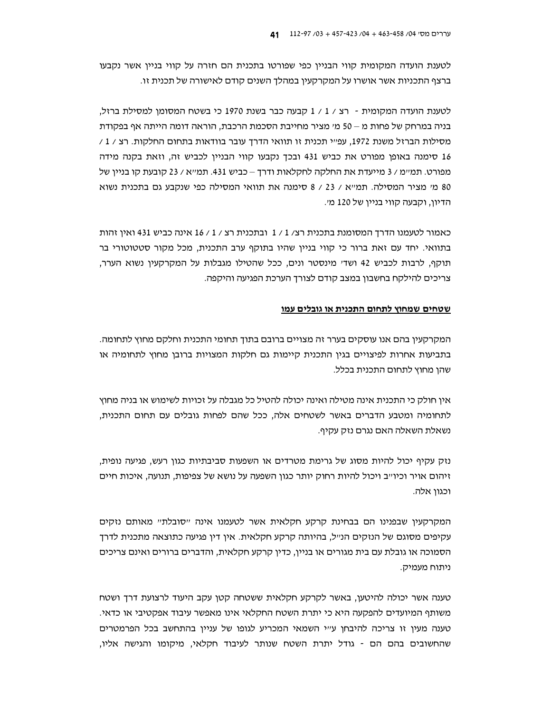לטענת הועדה המקומית קווי הבניין כפי שפורטו בתכנית הם חזרה על קווי בניין אשר נקבעו ברצף התכניות אשר אושרו על המקרקעיו במהלד השנים קודם לאישורה של תכנית זו.

לטענת הועדה המקומית - רצ / 1 / 1 קבעה כבר בשנת 1970 כי בשטח המסומן למסילת ברזל. בניה במרחק של פחות מ $-$ 50 מי מציר מחייבת הסכמת הרכבת, הוראה דומה הייתה אף בפקודת מסילות הברזל משנת 1972, עפ״י תכנית זו תוואי הדרך עובר בוודאות בתחום החלקות. רצ / 1 / 16 סימנה באופן מפורט את כביש 431 ובכך נקבעו קווי הבניין לכביש זה, וזאת בקנה מידה מפורט. תמיימ / 3 מייעדת את החלקה לחקלאות ודרך – כביש 431. תמייא / 23 קובעת קו בניין של 80 מי מציר המסילה. תמייא / 23 / 8 סימנה את תוואי המסילה כפי שנקבע גם בתכנית נשוא הדיון, וקבעה קווי בניין של 120 מי.

כאמור לטעמנו הדרך המסומנת בתכנית רצ/ 1 / 1 ובתכנית רצ / 1 / 16 אינה כביש 431 ואין זהות בתוואי. יחד עם זאת ברור כי קווי בניין שהיו בתוקף ערב התכנית, מכל מקור סטטוטורי בר תוקף, לרבות לכביש 42 ושדי מינסטר ונים, ככל שהטילו מגבלות על המקרקעין נשוא הערר, צריכים להילקח בחשבון במצב קודם לצורד הערכת הפגיעה והיקפה.

#### שטחים שמחוץ לתחום התכנית או גובלים עמו

המקרקעין בהם אנו עוסקים בערר זה מצויים ברובם בתוך תחומי התכנית וחלקם מחוץ לתחומה. בתביעות אחרות לפיצויים בגין התכנית קיימות גם חלקות המצויות ברובן מחוץ לתחומיה או שהן מחוץ לתחום התכנית בכלל.

אין חולק כי התכנית אינה מטילה ואינה יכולה להטיל כל מגבלה על זכויות לשימוש או בניה מחוץ לתחומיה ומטבע הדברים באשר לשטחים אלה, ככל שהם לפחות גובלים עם תחום התכנית, נשאלת השאלה האם נגרם נזק עקיף.

נזק עקיף יכול להיות מסוג של גרימת מטרדים או השפעות סביבתיות כגון רעש, פגיעה נופית, זיהום אויר וכיו׳יב ויכול להיות רחוק יותר כגון השפעה על נושא של צפיפות, תנועה, איכות חיים וכגוו אלה.

המקרקעין שבפנינו הם בבחינת קרקע חקלאית אשר לטעמנו אינה ״סובלת״ מאותם נזקים עקיפים מסוגם של הנזקים הנ״ל, בהיותה קרקע חקלאית. אין דין פגיעה כתוצאה מתכנית לדרך הסמוכה או גובלת עם בית מגורים או בניין, כדין קרקע חקלאית, והדברים ברורים ואינם צריכים ניתוח מעמיק.

טענה אשר יכולה להיטען, באשר לקרקע חקלאית ששטחה קטן עקב היעוד לרצועת דרך ושטח משותף המיועדים להפקעה היא כי יתרת השטח החקלאי אינו מאפשר עיבוד אפקטיבי או כדאי. טענה מעין זו צריכה להיבחן ע״י השמאי המכריע לגופו של עניין בהתחשב בכל הפרמטרים שהחשובים בהם הם - גודל יתרת השטח שנותר לעיבוד חקלאי, מיקומו והגישה אליו,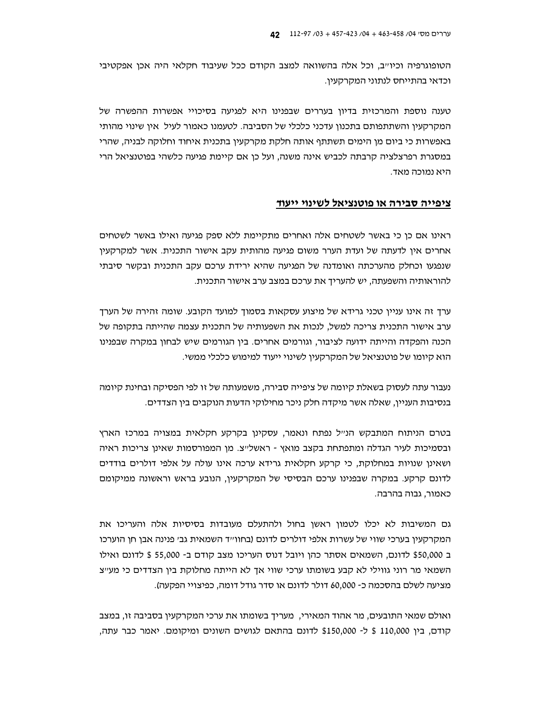הטופוגרפיה וכיו״ב, וכל אלה בהשוואה למצב הקודם ככל שעיבוד חקלאי היה אכן אפקטיבי וכדאי בהתייחס לנתוני המקרקעיו.

טענה נוספת והמרכזית בדיון בעררים שבפנינו היא לפגיעה בסיכויי אפשרות ההפשרה של המקרקעין והשתתפותם בתכנון עדכני כלכלי של הסביבה. לטעמנו כאמור לעיל אין שינוי מהותי באפשרות כי ביום מן הימים תשתתף אותה חלקת מקרקעין בתכנית איחוד וחלוקה לבניה, שהרי במסגרת רפרצלציה קרבתה לכביש אינה משנה, ועל כן אם קיימת פגיעה כלשהי בפוטנציאל הרי היא נמוכה מאד.

### ציפייה סבירה או פוטנציאל לשינוי ייעוד

ראינו אם כן כי באשר לשטחים אלה ואחרים מתקיימת ללא ספק פגיעה ואילו באשר לשטחים אחרים אין לדעתה של ועדת הערר משום פגיעה מהותית עקב אישור התכנית. אשר למקרקעין שנפגעו וכחלק מהערכתה ואומדנה של הפגיעה שהיא ירידת ערכם עקב התכנית ובקשר סיבתי להוראותיה והשפעתה, יש להעריך את ערכם במצב ערב אישור התכנית.

ערך זה אינו עניין טכני גרידא של מיצוע עסקאות בסמוך למועד הקובע. שומה זהירה של הערך ערב אישור התכנית צריכה למשל, לנכות את השפעותיה של התכנית עצמה שהייתה בתקופה של הכנה והפקדה והייתה ידועה לציבור, וגורמים אחרים. בין הגורמים שיש לבחון במקרה שבפנינו הוא קיומו של פוטנציאל של המקרקעין לשינוי ייעוד למימוש כלכלי ממשי.

נעבור עתה לעסוק בשאלת קיומה של ציפייה סבירה, משמעותה של זו לפי הפסיקה ובחינת קיומה בנסיבות העניין, שאלה אשר מיקדה חלק ניכר מחילוקי הדעות הנוקבים בין הצדדים.

בטרם הניתוח המתבקש הנ״ל נפתח ונאמר, עסקינן בקרקע חקלאית במצויה במרכז הארץ ובסמיכות לעיר הגדלה ומתפתחת בקצב מואץ - ראשלייצ. מו המפורסמות שאינו צריכות ראיה ושאינן שנויות במחלוקת, כי קרקע חקלאית גרידא ערכה אינו עולה על אלפי דולרים בודדים לדונם קרקע. במקרה שבפנינו ערכם הבסיסי של המקרקעין, הנובע בראש וראשונה ממיקומם כאמור, גבוה בהרבה.

גם המשיבות לא יכלו לטמון ראשן בחול ולהתעלם מעובדות בסיסיות אלה והעריכו את המקרקעין בערכי שווי של עשרות אלפי דולרים לדונם (בחוו״ד השמאית גב׳ פנינה אבן חן הוערכו ב \$50,000 לדונם, השמאים אסתר כהן ויובל דנוס העריכו מצב קודם ב- 55,000 \$ לדונם ואילו השמאי מר רוני גווילי לא קבע בשומתו ערכי שווי אך לא הייתה מחלוקת בין הצדדים כי מעייצ מציעה לשלם בהסכמה כ- 60,000 דולר לדונם או סדר גודל דומה, כפיצויי הפקעה).

ואולם שמאי התובעים, מר אהוד המאירי, מעריך בשומתו את ערכי המקרקעין בסביבה זו, במצב קודם, בין 110,000 \$ ל- 150,000\$ לדונם בהתאם לגושים השונים ומיקומם. יאמר כבר עתה,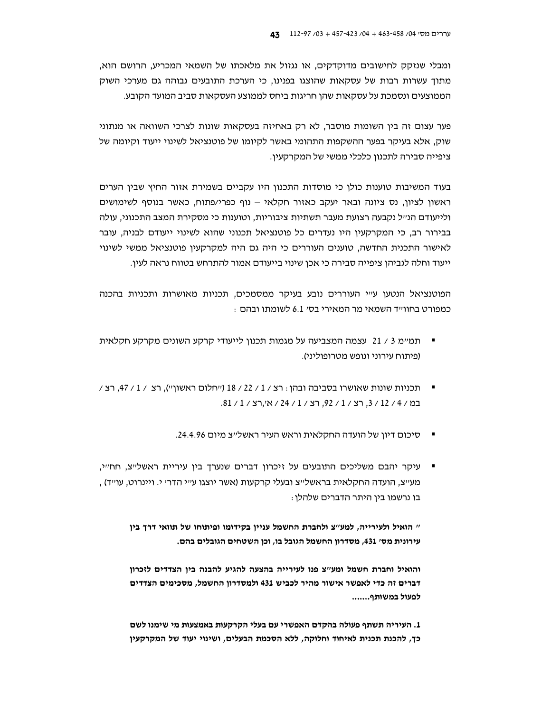ומבלי שנזקק לחישובים מדוקדקים, או נגזול את מלאכתו של השמאי המכריע, הרושם הוא, מתוך עשרות רבות של עסקאות שהוצגו בפנינו, כי הערכת התובעים גבוהה גם מערכי השוק הממוצעים ונסמכת על עסקאות שהן חריגות ביחס לממוצע העסקאות סביב המועד הקובע.

פער עצום זה בין השומות מוסבר, לא רק באחיזה בעסקאות שונות לצרכי השוואה או מנתוני שוק, אלא בעיקר בפער ההשקפות התהומי באשר לקיומו של פוטנציאל לשינוי ייעוד וקיומה של ציפייה סבירה לתכנון כלכלי ממשי של המקרקעין.

בעוד המשיבות טוענות כולן כי מוסדות התכנון היו עקביים בשמירת אזור החיץ שבין הערים ראשון לציון, נס ציונה ובאר יעקב כאזור חקלאי - נוף כפרי/פתוח, כאשר בנוסף לשימושים ולייעודם הנ״ל נקבעה רצועת מעבר תשתיות ציבוריות, וטוענות כי מסקירת המצב התכנוני, עולה בבירור רב, כי המקרקעין היו נעדרים כל פוטנציאל תכנוני שהוא לשינוי ייעודם לבניה, עובר לאישור התכנית החדשה, טוענים העוררים כי היה גם היה למקרקעין פוטנציאל ממשי לשינוי ייעוד וחלה לגביהן ציפייה סבירה כי אכן שינוי בייעודם אמור להתרחש בטווח נראה לעין.

הפוטנציאל הנטען ע"י העוררים נובע בעיקר ממסמכים, תכניות מאושרות ותכניות בהכנה : כמפורט בחוו״ד השמאי מר המאירי בס׳ 6.1 לשומתו ובהם

- תמיימ 3 / 21 עצמה המצביעה על מגמות תכנון לייעודי קרקע השונים מקרקע חקלאית (פיתוח עירוני ונופש מטרופוליני).
- תכניות שונות שאושרו בסביבה ובהן: רצ / 1 / 22 / 18 ("חלום ראשון"), רצ / 1 / 47, רצ / במ / 4 / 12 / 3, רצ / 1 / 92, רצ / 1 / 24 / אי,רצ / 1 / 81.
	- סיכום דיון של הועדה החקלאית וראש העיר ראשל״צ מיום 24.4.96.
- עיקר יהבם משליכים התובעים על זיכרון דברים שנערך בין עיריית ראשלייצ, חחייי, , מעייצ, הועדה החקלאית בראשלייצ ובעלי קרקעות (אשר יוצגו ע׳יי הדר׳ י. ויינרוט, עו׳יד) בו נרשמו בין היתר הדברים שלהלן :

" הואיל ולעירייה, למע"צ ולחברת החשמל עניין בקידומו ופיתוחו של תוואי דרך בין עירונית מס׳ 431, מסדרון החשמל הגובל בו, וכן השטחים הגובלים בהם.

והואיל וחברת חשמל ומע"צ פנו לעירייה בהצעה להגיע להבנה בין הצדדים לזכרון דברים זה כדי לאפשר אישור מהיר לכביש 431 ולמסדרון החשמל, מסכימים הצדדים לפעול במשותף.......

1. העיריה תשתף פעולה בהקדם האפשרי עם בעלי הקרקעות באמצעות מי שימנו לשם כך, להכנת תכנית לאיחוד וחלוקה, ללא הסכמת הבעלים, ושינוי יעוד של המקרקעין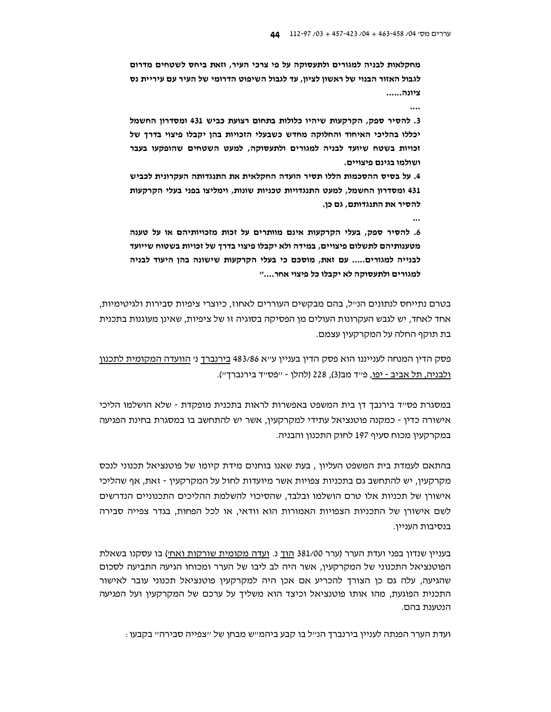מחקלאות לבניה למגורים ולתעסוקה על פי צרכי העיר, וזאת ביחס לשטחים מדרום לגבול האזור הבנוי של ראשון לציון, עד לגבול השיפוט הדרומי של העיר עם עיריית נס ציונה......

 $\ddotsc$ 

3. להסיר ספק, הקרקעות שיהיו כלולות בתחום רצועת כביש 431 ומסדרון החשמל יכללו בהליכי האיחוד והחלוקה מחדש כשבעלי הזכויות בהן יקבלו פיצוי בדרך של זכויות בשטח שיועד לבניה למגורים ולתעסוקה, למעט השטחים שהופקעו בעבר ושולמו בגינם פיצויים.

4. על בסיס ההסכמות הללו תסיר הועדה החקלאית את התנגדותה העקרונית לכביש 431 ומסדרון החשמל, למעט התנגדויות טכניות שונות, וימליצו בפני בעלי הקרקעות להסיר את התנגדותם, גם כן.

 $\overline{a}$ 

6. להסיר ספק, בעלי הקרקעות אינם מוותרים על זכות מזכויותיהם או על טענה מטענותיהם לתשלום פיצויים, במידה ולא יקבלו פיצוי בדרך של זכויות בשטוח שייועד לבנייה למגורים..... עם זאת, מוסכם כי בעלי הקרקעות שישונה בהן היעוד לבניה למגורים ולתעסוקה לא יקבלו כל פיצוי אחר...."

בטרם נתייחס לנתונים הנ״ל, בהם מבקשים העוררים לאחוז, כיוצרי ציפיות סבירות ולגיטימיות, אחד לאחד, יש לגבש העקרונות העולים מן הפסיקה בסוגיה זו של ציפיות, שאינן מעוגנות בתכנית בת תוקף החלה על המקרקעין עצמם.

פסק הדין המנחה לענייננו הוא פסק הדין בעניין ע״א 483/86 <u>בירנברך</u> ני <u>הוועדה המקומית לתכנון</u> ולבניה, תל אביב - יפו, פ״ד מב(3), 228 (להלן - ״פס״ד בירנברך״).

במסגרת פס״ד בירנבך דן בית המשפט באפשרות לראות בתכנית מופקדת - שלא הושלמו הליכי אישורה כדין - כמקנה פוטנציאל עתידי למקרקעין, אשר יש להתחשב בו במסגרת בחינת הפגיעה במקרקעין מכוח סעיף 197 לחוק התכנון והבניה.

בהתאם לעמדת בית המשפט העליון , בעת שאנו בוחנים מידת קיומו של פוטנציאל תכנוני לנכס מקרקעין, יש להתחשב גם בתכניות צפויות אשר מיועדות לחול על המקרקעין - זאת, אף שהליכי אישורן של תכניות אלו טרם הושלמו ובלבד, שהסיכוי להשלמת ההליכים התכנוניים הנדרשים לשם אישורן של התכניות הצפויות האמורות הוא וודאי, או לכל הפחות, בגדר צפייה סבירה בנסיבות העניין.

בעניין שנדון בפני ועדת הערר (ערר 381/00 הוך נ. ועדה מקומית שורקות ואחי) בו עסקנו בשאלת הפוטנציאל התכנוני של המקרקעין, אשר היה לב ליבו של הערר ומכוחו הגיעה התביעה לסכום שהגיעה, עלה גם כו הצורד להכריע אם אכו היה למקרקעיו פוטנציאל תכנוני עובר לאישור התכנית הפוגעת, מהו אותו פוטנציאל וכיצד הוא משליך על ערכם של המקרקעין ועל הפגיעה הנטענת בהם.

ועדת הערר הפנתה לעניין בירנברד הנ״ל בו קבע ביהמ״ש מבחן של ״צפייה סבירה״ בקבעו :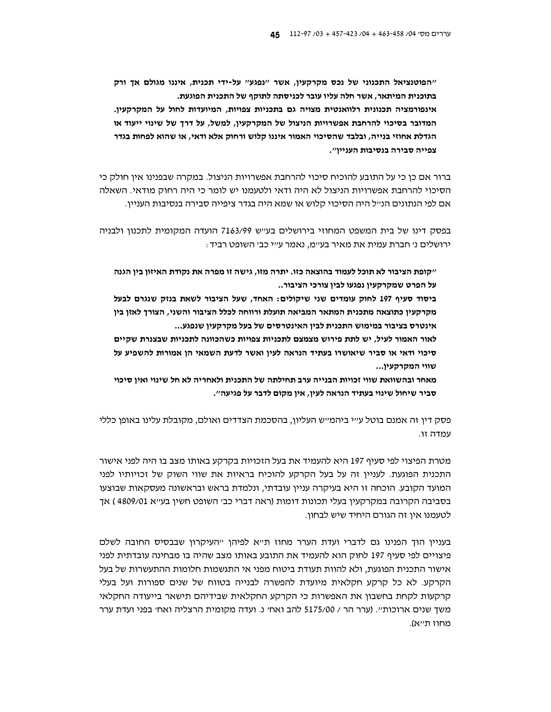"הפוטנציאל התכנוני של נכס מקרקעין, אשר "נפגע" על-ידי תכנית, איננו מגולם אך ורק בתוכנית המיתאר, אשר חלה עליו עובר לכניסתה לתוקף של התכנית הפוגעת. אינפורמציה תכנונית רלוואנטית מצויה גם בתכניות צפויות, המיועדות לחול על המקרקעין. המדובר בסיכוי להרחבת אפשרויות הניצול של המקרקעין, למשל, על דרך של שינוי ייעוד או הגדלת אחוזי בנייה, ובלבד שהסיכוי האמור איננו קלוש ורחוק אלא ודאי, או שהוא לפחות בגדר צפייה סבירה בנסיבות העניין".

ברור אם כן כי על התובע להוכיח סיכוי להרחבת אפשרויות הניצול. במקרה שבפנינו אין חולק כי הסיכוי להרחבת אפשרויות הניצול לא היה ודאי ולטעמנו יש לומר כי היה רחוק מודאי. השאלה אם לפי הנתונים הנ״ל היה הסיכוי קלוש או שמא היה בגדר ציפייה סבירה בנסיבות העניין.

בפסק דינו של בית המשפט המחוזי בירושלים בעייש 7163/99 הועדה המקומית לתכנון ולבניה ירושלים ני חברת עמית את מאיר בעיימ, נאמר עייי כבי השופט רביד:

״קופת הציבור לא תוכל לעמוד בהוצאה כזו. יתרה מזו, גישה זו מפרה את נקודת האיזון בין הגנה על הפרט שמקרקעין נפגעו לבין צורכי הציבור..

ביסוד סעיף 197 לחוק עומדים שני שיקולים: האחד, שעל הציבור לשאת בנזק שנגרם לבעל מקרקעין כתוצאה מתכנית המתאר המביאה תועלת ורווחה לכלל הציבור והשני, הצורך לאזן בין אינטרס בציבור במימוש התכנית לבין האינטרסים של בעל מקרקעין שנפגע...

לאור האמור לעיל, יש לתת פירוש מצמצם לתכניות צפויות כשהכוונה לתכניות שבצנרת שקיים סיכוי ודאי או סביר שיאושרו בעתיד הנראה לעין ואשר לדעת השמאי הן אמורות להשפיע על שווי המקרקעין...

מאחר ובהשוואת שווי זכויות הבנייה ערב תחילתה של התכנית ולאחריה לא חל שינוי ואין סיכוי סביר שיחול שינוי בעתיד הנראה לעין, אין מקום לדבר על פגיעה״.

פסק דין זה אמנם בוטל ע״י ביהמ״ש העליון, בהסכמת הצדדים ואולם, מקובלת עלינו באופן כללי עמדה זו.

מטרת הפיצוי לפי סעיף 197 היא להעמיד את בעל הזכויות בקרקע באותו מצב בו היה לפני אישור התכנית הפוגעת. לעניין זה על בעל הקרקע להוכיח בראיות את שווי השוק של זכויותיו לפני המועד הקובע. הוכחה זו היא בעיקרה עניין עובדתי, ונלמדת בראש ובראשונה מעסקאות שבוצעו בסביבה הקרובה במקרקעין בעלי תכונות דומות (ראה דברי כב׳ השופט חשין בע׳׳א 4809/01 ) אך לטעמנו אין זה הגורם היחיד שיש לבחון.

בעניין הוד הפנינו גם לדברי ועדת הערר מחוז ת״א לפיהו ״העיקרון שבבסיס החובה לשלם פיצויים לפי סעיף 197 לחוק הוא להעמיד את התובע באותו מצב שהיה בו מבחינה עובדתית לפני אישור התכנית הפוגעת, ולא להוות תעודת ביטוח מפני אי התגשמות חלומות ההתעשרות של בעל הקרקע. לא כל קרקע חקלאית מיועדת להפשרה לבנייה בטווח של שנים ספורות ועל בעלי קרקעות לקחת בחשבון את האפשרות כי הקרקע החקלאית שבידיהם תישאר בייעודה החקלאי משד שנים ארוכות״. (ערר הר / 5175/00 להב ואח׳ נ. ועדה מקומית הרצליה ואח׳ בפני ועדת ערר מחוז תייא).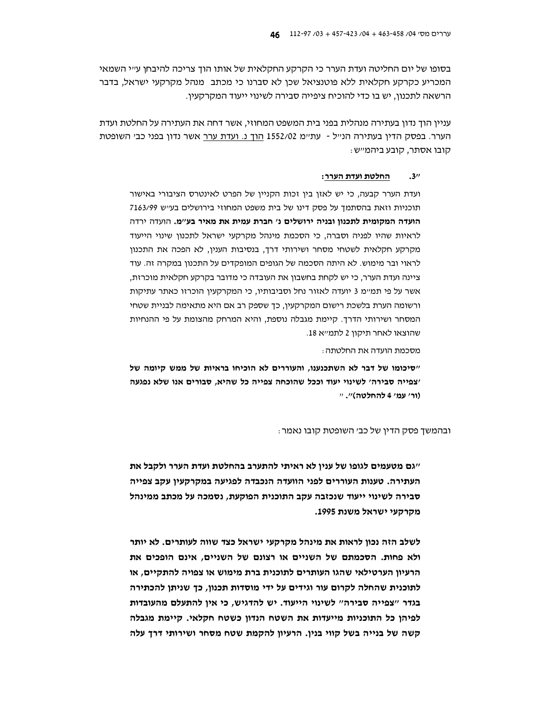בסופו של יום החליטה ועדת הערר כי הקרקע החקלאית של אותו הוד צריכה להיבחן ע״י השמאי המכריע כקרקע חקלאית ללא פוטנציאל שכן לא סברנו כי מכתב. מנהל מקרקעי ישראל, בדבר הרשאה לתכנון, יש בו כדי להוכיח ציפייה סבירה לשינוי ייעוד המקרקעין.

עניין הוך נדון בעתירה מנהלית בפני בית המשפט המחוזי, אשר דחה את העתירה על החלטת ועדת הערר. בפסק הדין בעתירה הנ״ל - עת״מ 1552/02 <u>הוך נ. ועדת ערר</u> אשר נדון בפני כב׳ השופטת קובו אסתר, קובע ביהמייש:

#### החלטת ועדת הערר:  $3<sup>1</sup>$

ועדת הערר קבעה, כי יש לאזן בין זכות הקניין של הפרט לאינטרס הציבורי באישור תוכניות וזאת בהסתמך על פסק דינו של בית משפט המחוזי בירושלים בעיש 7163/99 הועדה המקומית לתכנון ובניה ירושלים נ' חברת עמית את מאיר בע"מ. הועדה ירדה לראיות שהיו לפניה וסברה, כי הסכמת מינהל מקרקעי ישראל לתכנון שינוי הייעוד מקרקע חקלאית לשטחי מסחר ושירותי דרך. בנסיבות הענין, לא הפכה את התכנון לראוי ובר מימוש. לא היתה הסכמה של הגופים המופקדים על התכנון במקרה זה. עוד ציינה ועדת הערר, כי יש לקחת בחשבון את העובדה כי מדובר בקרקע חקלאית מוכרזת, אשר על פי תמ״מ 3 יועדה לאזור נחל וסביבותיו, כי המקרקעין הוכרזו כאתר עתיקות ורשומה הערת בלשכת רישום המקרקעין, כך שספק רב אם היא מתאימה לבניית שטחי המסחר ושירותי הדרך. קיימת מגבלה נוספת, והיא המרחק מהצומת על פי ההנחיות שהוצאו לאחר תיקוו 2 לתמייא 18.

מסכמת הועדה את החלטתה:

"סיכומו של דבר לא השתכנענו, והעוררים לא הוכיחו בראיות של ממש קיומה של 'צפייה סבירה' לשינוי יעוד וככל שהוכחה צפייה כל שהיא, סבורים אנו שלא נפגעה (ור׳ עמ׳ 4 להחלטה)״. יי

#### ובהמשך פסק הדין של כב׳ השופטת קובו נאמר:

״גם מטעמים לגופו של ענין לא ראיתי להתערב בהחלטת ועדת הערר ולקבל את העתירה. טענות העוררים לפני הוועדה הנכבדה לפגיעה במקרקעין עקב צפייה סבירה לשינוי ייעוד שנכזבה עקב התוכנית הפוקעת, נסמכה על מכתב ממינהל מקרקעי ישראל משנת 1995.

לשלב הזה נכון לראות את מינהל מקרקעי ישראל כצד שווה לעותרים. לא יותר ולא פחות. הסכמתם של השניים או רצונם של השניים, אינם הופכים את הרעיון הערטילאי שהגו העותרים לתוכנית ברת מימוש או צפויה להתקיים, או לתוכנית שהחלה לקרום עור וגידים על ידי מוסדות תכנון, כך שניתן להכתירה בגדר "צפייה סבירה" לשינוי הייעוד. יש להדגיש, כי אין להתעלם מהעובדות לפיהן כל התוכניות מייעדות את השטח הנדון כשטח חקלאי. קיימת מגבלה קשה של בנייה בשל קווי בנין. הרעיון להקמת שטח מסחר ושירותי דרך עלה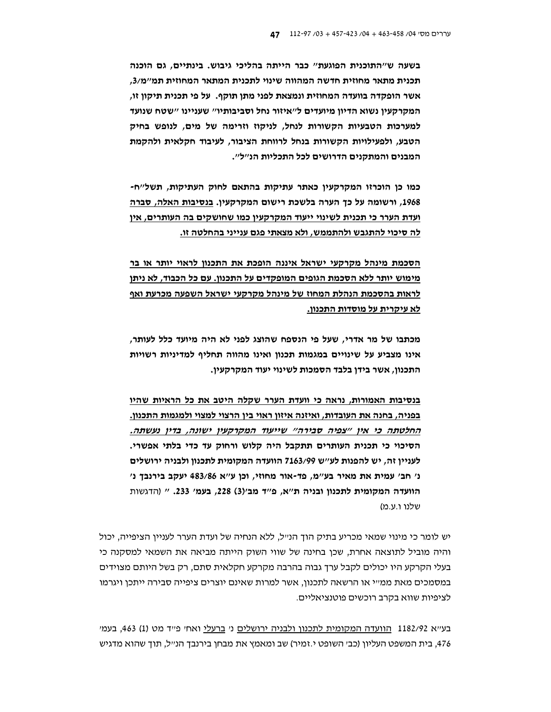בשעה ש״התוכנית הפוגעת״ כבר הייתה בהליכי גיבוש. בינתיים, גם הוכנה תכנית מתאר מחוזית חדשה המהווה שינוי לתכנית המתאר המחוזית תמ"מ/3. אשר הופקדה בוועדה המחוזית ונמצאת לפני מתן תוקף. על פי תכנית תיקון זו, המקרקעין נשוא הדיון מיועדים ל"איזור נחל וסביבותיו" שעניינו "שטח שנועד למערכות הטבעיות הקשורות לנחל, לניקוז וזרימה של מים, לנופש בחיק הטבע, ולפעילויות הקשורות בנחל לרווחת הציבור, לעיבוד חקלאית ולהקמת המבנים והמתקנים הדרושים לכל התכליות הנ״ל״.

כמו כן הוכרזו המקרקעין כאתר עתיקות בהתאם לחוק העתיקות, תשל"ח-1968, ורשומה על כך הערה בלשכת רישום המקרקעין. <u>בנסיבות האלה, סברה</u> ועדת הערר כי תכנית לשינוי ייעוד המקרקעין כמו שחושקים בה העותרים, אין <u>לה סיכוי להתגבש ולהתממש, ולא מצאתי פגם ענייני בהחלטה זו.</u>

הסכמת מינהל מקרקעי ישראל איננה הופכת את התכנון לראוי יותר או בר מימוש יותר ללא הסכמת הגופים המופקדים על התכנון. עם כל הכבוד, לא ניתן לראות בהסכמת הנהלת המחוז של מינהל מקרקעי ישראל השפעה מכרעת ואף לא עיקרית על מוסדות התכנון.

מכתבו של מר אדרי, שעל פי הנספח שהוצג לפני לא היה מיועד כלל לעותר, אינו מצביע על שינויים במגמות תכנון ואינו מהווה תחליף למדיניות רשויות התכנון, אשר בידן בלבד הסמכות לשינוי יעוד המקרקעין.

<u>בנסיבות האמורות, נראה כי וועדת הערר שקלה היטב את כל הרא</u>יות שהיו בפניה, בחנה את העובדות, ואיזנה איזון ראוי בין הרצוי למצוי ולמגמות התכנון. <u>החלטתה כי אין ״צפיה סבירה״ שייעוד המקרקעין ישונה, בדין נעשתה.</u> הסיכוי כי תכנית העותרים תתקבל היה קלוש ורחוק עד כדי בלתי אפשרי. לעניין זה, יש להפנות לע״ש 7163/99 הוועדה המקומית לתכנון ולבניה ירושלים נ׳ חב׳ עמית את מאיר בע״מ, פד-אור מחוזי, וכן ע״א 483/86 יעקב בירנבך נ׳ הוועדה המקומית לתכנון ובניה ת"א, פ"ד מב'(3) 228, בעמ' 233. " (הדגשות שלנו ו.ע.מ)

יש לומר כי מינוי שמאי מכריע בתיק הוך הנ״ל, ללא הנחיה של ועדת הערר לעניין הציפייה, יכול והיה מוביל לתוצאה אחרת, שכן בחינה של שווי השוק הייתה מביאה את השמאי למסקנה כי בעלי הקרקע היו יכולים לקבל ערך גבוה בהרבה מקרקע חקלאית סתם, רק בשל היותם מצוידים במסמכים מאת ממ״י או הרשאה לתכנון, אשר למרות שאינם יוצרים ציפייה סבירה ייתכן ויגרמו לציפיות שווא בקרב רוכשים פוטנציאליים.

בעייא 1182/92 הוועדה המקומית לתכנון ולבניה ירושלים ני ברעלי ואחי פייד מט (1) 463, בעמי 476, בית המשפט העליון (כב׳ השופט י.זמיר) שב ומאמץ את מבחן בירנבך הנ׳יל, תוך שהוא מדגיש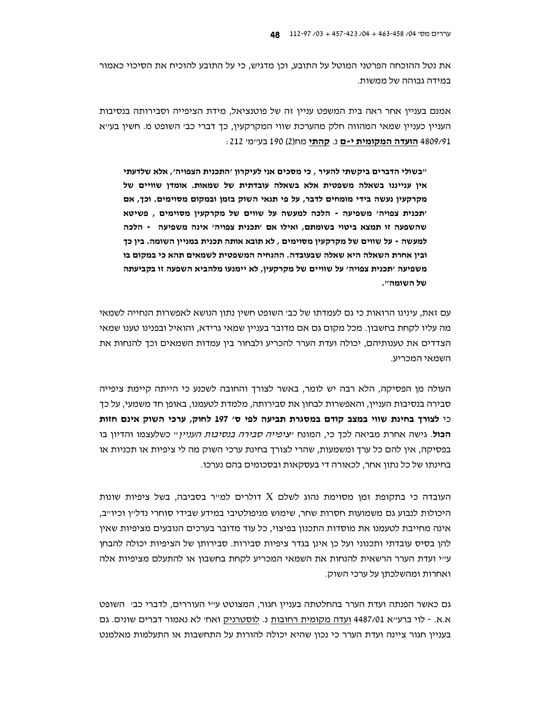את נטל ההוכחה הפרטני המוטל על התובע, וכן מדגיש, כי על התובע להוכיח את הסיכוי כאמור במידה גבוהה של ממשות.

אמנם בעניין אחר ראה בית המשפט עניין זה של פוטנציאל, מידת הציפייה וסבירותה בנסיבות העניין כעניין שמאי המהווה חלק מהערכת שווי המקרקעין, כך דברי כב׳ השופט מ. חשין בע׳׳א 4809/91 **הועדה המקומית י-ם** נ. **קהתי** מח(2) 190 בעיימי 212:

"בשולי הדברים ביקשתי להעיר . כי מסכים אני לעיקרוו 'התכנית הצפויה'. אלא שלדעתי איו ענייננו בשאלה משפטית אלא בשאלה עובדתית של שמאות. אומדו שוויים של מקרקעין נעשה בידי מומחים לדבר, על פי תנאי השוק בזמן ובמקום מסוימים. וכך, אם 'תכנית צפויה' משפיעה - הלכה למעשה על שווים של מקרקעין מסוימים , פשיטא שהשפעה זו תמצא ביטוי בשומתם, ואילו אם 'תכנית צפויה' אינה משפיעה - הלכה למעשה - על שווים של מקרקעין מסוימים , לא תובא אותה תכנית במניין השומה. בין כך ובין אחרת השאלה היא שאלה שבעובדה. ההנחיה המשפטית לשמאים תהא כי במקום בו משפיעה 'תכנית צפויה' על שוויים של מקרקעין, לא יימנעו מלהביא השפעה זו בקביעתה של השומה".

עם זאת, עינינו הרואות כי גם לעמדתו של כב׳ השופט חשין נתון הנושא לאפשרות הנחייה לשמאי מה עליו לקחת בחשבון. מכל מקום גם אם מדובר בעניין שמאי גרידא, והואיל ובפנינו טענו שמאי הצדדים את טענותיהם, יכולה ועדת הערר להכריע ולבחור ביו עמדות השמאים וכד להנחות את השמאי המכריע.

העולה מן הפסיקה, הלא רבה יש לומר, באשר לצורך והחובה לשכנע כי הייתה קיימת ציפייה סבירה בנסיבות העניין, והאפשרות לבחון את סבירותה, מלמדת לטעמנו, באופן חד משמעי, על כך כי לצורך בחינת שווי במצב קודם במסגרת תביעה לפי ס׳ 197 לחוק, ערכי השוק אינם חזות **הכול**. גישה אחרת מביאה לכך כי, המונח *יציפייה סבירה בנסיבות העניין* יי כשלעצמו והדיון בו בפסיקה, אין להם כל ערך ומשמעות, שהרי לצורך בחינת ערכי השוק מה לי ציפיות או תכניות או בחינתו של כל נתון אחר, לכאורה די בעסקאות ובסכומים בהם נערכו.

העובדה כי בתקופת זמן מסוימת נהוג לשלם X דולרים למייר בסביבה, בשל ציפיות שונות היכולות לנבוע גם משמועות חסרות שחר. שימוש מניפולטיבי במידע שבידי סוחרי נדליין וכיוייב. אינה מחייבת לטעמנו את מוסדות התכנון בפיצוי, כל עוד מדובר בערכים הנובעים מציפיות שאין להן בסיס עובדתי ותכנוני ועל כן אינו בגדר ציפיות סבירות. סבירותו של הציפיות יכולה להבחן ע״י ועדת הערר הרשאית להנחות את השמאי המכריע לקחת בחשבון או להתעלם מציפיות אלה ואחרות ומהשלכתן על ערכי השוק.

גם כאשר הפנתה ועדת הערר בהחלטתה בעניין חגור, המצוטט ע״י העוררים, לדברי כב׳ השופט א.א. - לוי ברע״א 4487/01 ועדה מקומית רחובות נ. לוסטרניק ואח׳ לא נאמור דברים שונים. גם בעניין חגור ציינה ועדת הערר כי נכון שהיא יכולה להורות על התחשבות או התעלמות מאלמנט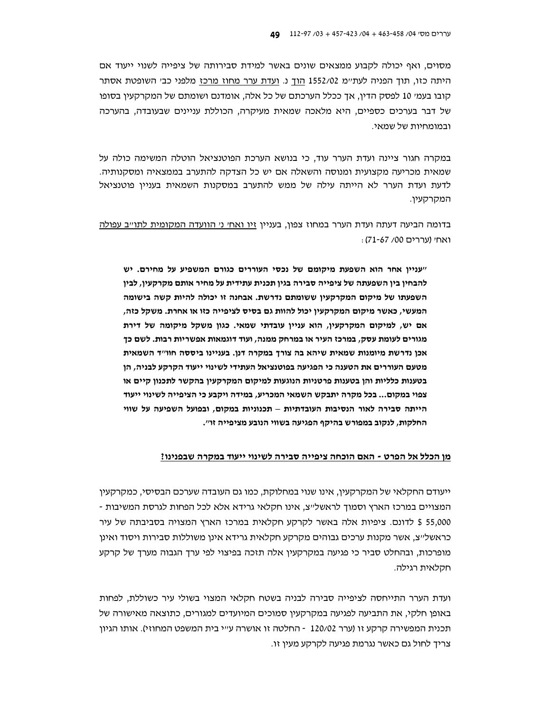מסוים, ואף יכולה לקבוע ממצאים שונים באשר למידת סבירותה של ציפייה לשנוי ייעוד אם היתה כזו, תוך הפניה לעתיימ 1552/02 הוך נ. ועדת ערר מחוז מרכז מלפני כבי השופטת אסתר קובו בעמי 10 לפסק הדין, אך ככלל הערכתם של כל אלה, אומדנם ושומתם של המקרקעין בסופו של דבר בערכים כספיים, היא מלאכה שמאית מעיקרה, הכוללת עניינים שבעובדה, בהערכה ובמומחיות של שמאי.

במקרה חגור ציינה ועדת הערר עוד, כי בנושא הערכת הפוטנציאל הוטלה המשימה כולה על שמאית מכריעה מקצועית ומנוסה והשאלה אם יש כל הצדקה להתערב בממצאיה ומסקנותיה. לדעת ועדת הערר לא הייתה עילה של ממש להתערב במסקנות השמאית בעניין פוטנציאל המקרקעיו.

בדומה הביעה דעתה ועדת הערר במחוז צפון, בעניין זיו ואח׳ נ׳ הוועדה המקומית לתו״ב עפולה ואחי (עררים 00/ 67-71):

"עניין אחר הוא השפעת מיקומם של נכסי העוררים כגורם המשפיע על מחירם. יש להבחין בין השפעתה של ציפייה סבירה בגין תכנית עתידית על מחיר אותם מקרקעין, לבין השפעתו של מיקום המקרקעין ששומתם נדרשת. אבחנה זו יכולה להיות קשה בישומה המעשי, כאשר מיקום המקרקעין יכול להוות גם בסיס לציפייה כזו או אחרת. משקל כזה, אם יש, למיקום המקרקעין, הוא עניין עובדתי שמאי. כגון משקל מיקומה של דירת מגורים לעומת עסק, במרכז העיר או במרחק ממנה, ועוד דוגמאות אפשריות רבות. לשם כך אכן נדרשת מיומנות שמאית שיהא בה צורך במקרה דנן. בעניינו ביססה חוו"ד השמאית מטעם העוררים את הטענה כי הפגיעה בפוטנציאל העתידי לשינוי ייעוד הקרקע לבניה, הן בטענות כלליות והן בטענות פרטניות הנוגעות למיקום המקרקעין בהקשר לתכנון קיים או צפוי במקום... בכל מקרה יתבקש השמאי המכריע, במידה ויקבע כי הציפייה לשינוי ייעוד הייתה סבירה לאור הנסיבות העובדתיות – תכנוניות במקום, ובפועל השפיעה על שווי החלקות, לנקוב במפורש בהיקף הפגיעה בשווי הנובע מציפייה זו".

#### מן הכלל אל הפרט - האם הוכחה ציפייה סבירה לשינוי ייעוד במקרה שבפנינו?

ייעודם החקלאי של המקרקעין, אינו שנוי במחלוקת, כמו גם העובדה שערכם הבסיסי, כמקרקעין המצויים במרכז הארץ וסמוך לראשל״צ. אינו חקלאי גרידא אלא לכל הפחות לגרסת המשיבות -55,000 \$ לדונם. ציפיות אלה באשר לקרקע חקלאית במרכז הארץ המצויה בסביבתה של עיר כראשל״צ. אשר מקנות ערכים גבוהים מקרקע חקלאית גרידא אינו משוללות סבירות ויסוד ואינו מופרכות, ובהחלט סביר כי פגיעה במקרקעין אלה תזכה בפיצוי לפי ערך הגבוה מערך של קרקע חקלאית רגילה.

ועדת הערר התייחסה לציפייה סבירה לבניה בשטח חקלאי המצוי בשולי עיר כשוללת, לפחות באופן חלקי, את התביעה לפגיעה במקרקעין סמוכים המיועדים למגורים, כתוצאה מאישורה של תכנית המפשירה קרקע זו (ערר 120/02 - החלטה זו אושרה ע״י בית המשפט המחוזי). אותו הגיון צריד לחול גם כאשר נגרמת פגיעה לקרקע מעין זו.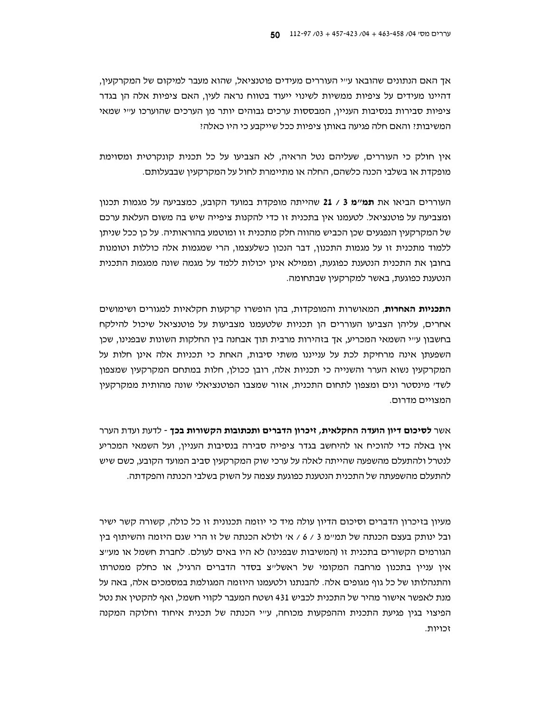אך האם הנתונים שהובאו ע״י העוררים מעידים פוטנציאל, שהוא מעבר למיקום של המקרקעין, דהיינו מעידים על ציפיות ממשיות לשינוי ייעוד בטווח נראה לעין, האם ציפיות אלה הן בגדר ציפיות סבירות בנסיבות העניין, המבססות ערכים גבוהים יותר מן הערכים שהוערכו ע״י שמאי המשיבות: והאם חלה פגיעה באותן ציפיות ככל שייקבע כי היו כאלה:

אין חולק כי העוררים, שעליהם נטל הראיה, לא הצביעו על כל תכנית קונקרטית ומסוימת מופקדת או בשלבי הכנה כלשהם, החלה או מתיימרת לחול על המקרקעין שבבעלותם.

העוררים הביאו את תמ״מ 3 / 21 שהייתה מופקדת במועד הקובע, כמצביעה על מגמות תכנון ומצביעה על פוטנציאל. לטעמנו אין בתכנית זו כדי להקנות ציפייה שיש בה משום העלאת ערכם של המקרקעין הנפגעים שכן הכביש מהווה חלק מתכנית זו ומוטמע בהוראותיה. על כן ככל שניתן ללמוד מתכנית זו על מגמות התכנון, דבר הנכון כשלעצמו, הרי שמגמות אלה כוללות וטומנות בחובן את התכנית הנטענת כפוגעת, וממילא אינן יכולות ללמד על מגמה שונה ממגמת התכנית הנטענת כפוגעת, באשר למקרקעין שבתחומה.

**התכניות האחרות**, המאושרות והמופקדות, בהן הופשרו קרקעות חקלאיות למגורים ושימושים אחרים, עליהן הצביעו העוררים הן תכניות שלטעמנו מצביעות על פוטנציאל שיכול להילקח בחשבון ע״י השמאי המכריע, אך בזהירות מרבית תוך אבחנה בין החלקות השונות שבפנינו, שכן השפעתן אינה מרחיקת לכת על ענייננו משתי סיבות, האחת כי תכניות אלה אינן חלות על המקרקעין נשוא הערר והשנייה כי תכניות אלה, רובן ככולן, חלות במתחם המקרקעין שמצפון לשדי מינסטר ונים ומצפון לתחום התכנית, אזור שמצבו הפוטנציאלי שונה מהותית ממקרקעין המצויים מדרום.

אשר **לסיכום דיון הועדה החקלאית, זיכרון הדברים ותכתובות הקשורות בכך -** לדעת ועדת הערר אין באלה כדי להוכיח או להיחשב בגדר ציפייה סבירה בנסיבות העניין, ועל השמאי המכריע לנטרל ולהתעלם מהשפעה שהייתה לאלה על ערכי שוק המקרקעין סביב המועד הקובע, כשם שיש להתעלם מהשפעתה של התכנית הנטענת כפוגעת עצמה על השוק בשלבי הכנתה והפקדתה.

מעיוו בזיכרוו הדברים וסיכום הדיוו עולה מיד כי יוזמה תכנונית זו כל כולה, קשורה קשר ישיר ובל ינותק בעצם הכנתה של תמיימ 3 / 6 / אי ולולא הכנתה של זו הרי שגם היזמה והשיתוף בין הגורמים הקשורים בתכנית זו (המשיבות שבפנינו) לא היו באים לעולם. לחברת חשמל או מע״צ אין עניין בתכנון מרחבה המקומי של ראשלייצ בסדר הדברים הרגיל, או כחלק ממטרתו והתנהלותו של כל גוף מגופים אלה. להבנתנו ולטעמנו היוזמה המגולמת במסמכים אלה, באה על מנת לאפשר אישור מהיר של התכנית לכביש 431 ושטח המעבר לקווי חשמל, ואף להקטין את נטל הפיצוי בגין פגיעת התכנית וההפקעות מכוחה, עייי הכנתה של תכנית איחוד וחלוקה המקנה זרוווח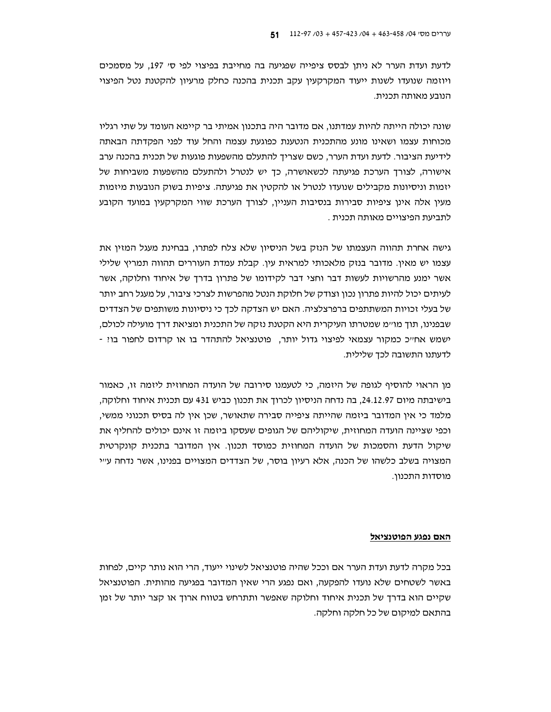לדעת ועדת הערר לא ניתן לבסס ציפייה שפגיעה בה מחייבת בפיצוי לפי סי 197, על מסמכים ויוזמה שנועדו לשנות ייעוד המקרקעיו עקב תכנית בהכנה כחלק מרעיוו להקטנת נטל הפיצוי הנובע מאותה תכנית.

שונה יכולה הייתה להיות עמדתנו, אם מדובר היה בתכנון אמיתי בר קיימא העומד על שתי רגליו מכוחות עצמו ושאינו מונע מהתכנית הנטענת כפוגעת עצמה והחל עוד לפני הפקדתה הבאתה לידיעת הציבור. לדעת ועדת הערר, כשם שצריך להתעלם מהשפעות פוגעות של תכנית בהכנה ערב אישורה, לצורך הערכת פגיעתה לכשאושרה, כך יש לנטרל ולהתעלם מהשפעות משביחות של יזמות וניסיונות מקבילים שנועדו לנטרל או להקטין את פגיעתה. ציפיות בשוק הנובעות מיזמות מעין אלה אינן ציפיות סבירות בנסיבות העניין, לצורך הערכת שווי המקרקעין במועד הקובע לתביעת הפיצויים מאותה תכנית .

גישה אחרת תהווה העצמתו של הנזק בשל הניסיון שלא צלח לפתרו, בבחינת מעגל המזין את עצמו יש מאין. מדובר בנזק מלאכותי למראית עין. קבלת עמדת העוררים תהווה תמריץ שלילי אשר ימנע מהרשויות לעשות דבר וחצי דבר לקידומו של פתרון בדרד של איחוד וחלוקה. אשר לעיתים יכול להיות פתרון נכון וצודק של חלוקת הנטל מהפרשות לצרכי ציבור, על מעגל רחב יותר של בעלי זכויות המשתתפים ברפרצלציה. האם יש הצדקה לכך כי ניסיונות משותפים של הצדדים שבפנינו, תוך מו׳ימ שמטרתו העיקרית היא הקטנת נזקה של התכנית ומציאת דרך מועילה לכולם, ישמש אחייכ כמקור עצמאי לפיצוי גדול יותר, פוטנציאל להתהדר בו או קרדום לחפור בו! -לדעתנו התשובה לכך שלילית.

מו הראוי להוסיף לגופה של היזמה. כי לטעמנו סירובה של הועדה המחוזית ליזמה זו, כאמור בישיבתה מיום 24.12.97, בה נדחה הניסיון לכרוך את תכנון כביש 431 עם תכנית איחוד וחלוקה, מלמד כי אין המדובר ביזמה שהייתה ציפייה סבירה שתאושר, שכן אין לה בסיס תכנוני ממשי, וכפי שציינה הועדה המחוזית, שיקוליהם של הגופים שעסקו ביזמה זו אינם יכולים להחליף את שיקול הדעת והסמכות של הועדה המחוזית כמוסד תכנון. אין המדובר בתכנית קונקרטית המצויה בשלב כלשהו של הכנה, אלא רעיון בוסר, של הצדדים המצויים בפנינו, אשר נדחה ע״י מוסדות התכנון.

#### האם נפגע הפוטנציאל

בכל מקרה לדעת ועדת הערר אם וככל שהיה פוטנציאל לשינוי ייעוד, הרי הוא נותר קיים, לפחות באשר לשטחים שלא נועדו להפקעה, ואם נפגע הרי שאין המדובר בפגיעה מהותית. הפוטנציאל שקיים הוא בדרך של תכנית איחוד וחלוקה שאפשר ותתרחש בטווח ארוך או קצר יותר של זמן בהתאם למיקום של כל חלקה וחלקה.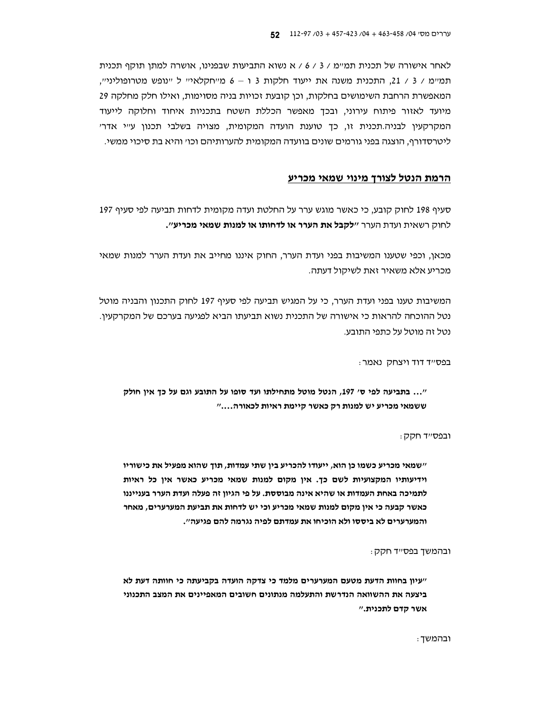לאחר אישורה של תכנית תמיימ / 3 / 6 / א נשוא התביעות שבפנינו, אושרה למתן תוקף תכנית תמיימ / 3 / 21, התכנית משנה את ייעוד חלקות 3 ו – 6 מייחקלאייי ל יינופש מטרופולינייי, המאפשרת הרחבת השימושים בחלקות, וכן קובעת זכויות בניה מסוימות, ואילו חלק מחלקה 29 מיועד לאזור פיתוח עירוני, ובכד מאפשר הכללת השטח בתכניות איחוד וחלוקה לייעוד המקרקעין לבניה.תכנית זו, כך טוענת הועדה המקומית, מצויה בשלבי תכנון ע״י אדר׳ ליטרסדורף, הוצגה בפני גורמים שונים בוועדה המקומית להערותיהם וכו׳ והיא בת סיכוי ממשי.

# הרמת הנטל לצורך מינוי שמאי מכריע

סעיף 198 לחוק קובע, כי כאשר מוגש ערר על החלטת ועדה מקומית לדחות תביעה לפי סעיף 197 לחוק רשאית ועדת הערר "**לקבל את הערר או לדחותו או למנות שמאי מכריע**".

מכאן, וכפי שטענו המשיבות בפני ועדת הערר, החוק איננו מחייב את ועדת הערר למנות שמאי מכריע אלא משאיר זאת לשיקול דעתה.

המשיבות טענו בפני ועדת הערר, כי על המגיש תביעה לפי סעיף 197 לחוק התכנון והבניה מוטל נטל ההוכחה להראות כי אישורה של התכנית נשוא תביעתו הביא לפגיעה בערכם של המקרקעין. נטל זה מוטל על כתפי התובע.

בפסייד דוד ויצחק נאמר:

"... בתביעה לפי ס' 197, הנטל מוטל מתחילתו ועד סופו על התובע וגם על כך אין חולק ששמאי מכריע יש למנות רק כאשר קיימת ראיות לכאורה...."

ובפס״ד חקק :

״שמאי מכריע כשמו כן הוא, ייעודו להכריע בין שתי עמדות, תוך שהוא מפעיל את כישוריו וידיעותיו המקצועיות לשם כך. אין מקום למנות שמאי מכריע כאשר אין כל ראיות לתמיכה באחת העמדות או שהיא אינה מבוססת. על פי הגיון זה פעלה ועדת הערר בענייננו כאשר קבעה כי אין מקום למנות שמאי מכריע וכי יש לדחות את תביעת המערערים, מאחר והמערערים לא ביססו ולא הוכיחו את עמדתם לפיה נגרמה להם פגיעה".

ובהמשך בפס״ד חקק:

יעיון בחוות הדעת מטעם המערערים מלמד כי צדקה הועדה בקביעתה כי חוותה דעת לא ביצעה את ההשוואה הנדרשת והתעלמה מנתונים חשובים המאפיינים את המצב התכנוני אשר קדם לתכנית."

ובהמשד: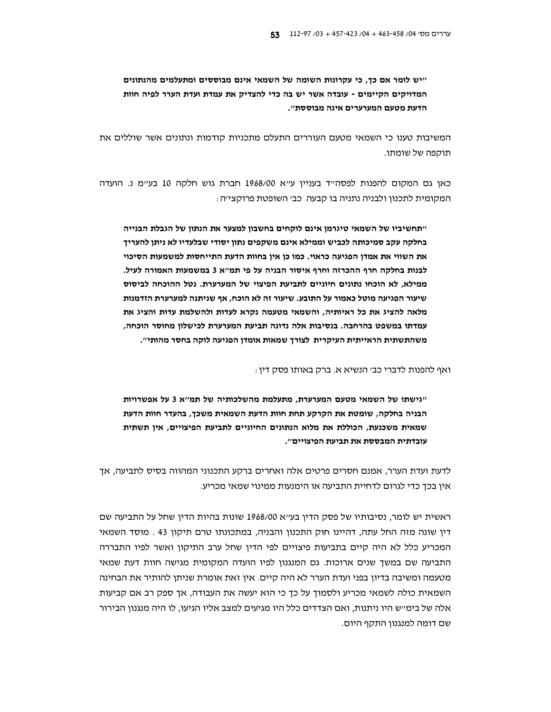"יש לומר אם כך, כי עקרונות השומה של השמאי אינם מבוססים ומתעלמים מהנתונים המדויקים הקיימים - עובדה אשר יש בה כדי להצדיק את עמדת ועדת הערר לפיה חוות הדעת מטעם המערערים אינה מבוססת".

המשיבות טענו כי השמאי מטעם העוררים התעלם מתכניות קודמות ונתונים אשר שוללים את תוקפה של שומתו.

כאן גם המקום להפנות לפסהייד בעניין עייא 1968/00 חברת גוש חלקה 10 בעיימ נ. הועדה המקומית לתכנון ולבניה נתניה בו קבעה כב׳ השופטת פרוקצי׳ה :

״תחשיביו של השמאי טיגרמן אינם לוקחים בחשבון למצער את הנתון של הגבלת הבנייה בחלקה עקב סמיכותה לכביש וממילא אינם משקפים נתון יסודי שבלעדיו לא ניתן להעריך את השווי את אמדן הפגיעה כראוי. כמו כן אין בחוות הדעת התייחסות למשמעות הסיכוי לבנות בחלקה חרף ההכרזה וחרף איסור הבניה על פי תמ"א 3 במשמעות האמורה לעיל. ממילא, לא הוכחו נתונים חיוניים לתביעת הפיצוי של המערערת. נטל ההוכחה לביסוס שיעור הפגיעה מוטל כאמור על התובע. שיעור זה לא הוכח, אף שניתנה למערערת הזדמנות מלאה להציג את כל ראיותיה, והשמאי מטעמה נקרא לעדות ולהשלמת עדות והציג את עמדתו במשפט בהרחבה. בנסיבות אלה נדונה תביעת המערערת לכישלון מחוסר הוכחה, משהתשתית הראייתית העיקרית לצורך שמאות אומדן הפגיעה לוקה בחסר מהותי".

ואף להפנות לדברי כב׳ הנשיא א. ברק באותו פסק דין :

"גישתו של השמאי מטעם המערערת, מתעלמת מהשלכותיה של תמ"א 3 על אפשרויות הבניה בחלקה, שומטת את הקרקע תחת חוות הדעת השמאית משכך, בהעדר חוות הדעת שמאית משכנעת. הכוללת את מלוא הנתונים החיוניים לתביעת הפיצויים. איו תשתית עובדתית המבססת את תביעת הפיצויים".

לדעת ועדת הערר, אמנם חסרים פרטים אלה ואחרים ברקע התכנוני המהווה בסיס לתביעה, אך איו בכד כדי לגרום לדחיית התביעה או הימנעות ממינוי שמאי מכריע.

ראשית יש לומר, נסיבותיו של פסק הדין בעי׳א 1968/00 שונות בהיות הדין שחל על התביעה שם דין שונה מזה החל עתה, דהיינו חוק התכנון והבניה, במתכונתו טרם תיקון 43 . מוסד השמאי המכריע כלל לא היה קיים בתביעות פיצויים לפי הדין שחל ערב התיקון ואשר לפיו התבררה התביעה שם במשך שנים ארוכות. גם המנגנון לפיו הועדה המקומית מגישה חוות דעת שמאי מטעמה ומשיבה בדיון בפני ועדת הערר לא היה קיים. אין זאת אומרת שניתן להותיר את הבחינה השמאית כולה לשמאי מכריע ולסמוך על כך כי הוא יעשה את העבודה, אך ספק רב אם קביעות אלה של בימ״ש היו ניתנות, ואם הצדדים כלל היו מגיעים למצב אליו הגיעו, לו היה מנגנון הבירור שם דומה למנגנון התקף היום.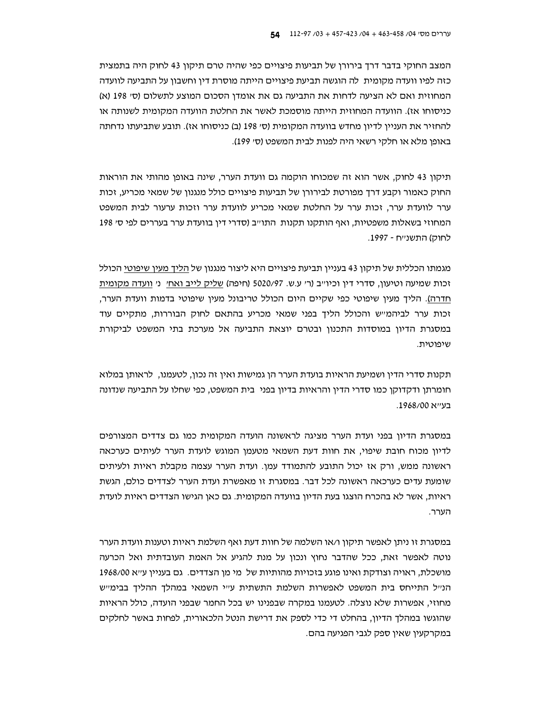המצב החוקי בדבר דרך בירורן של תביעות פיצויים כפי שהיה טרם תיקון 43 לחוק היה בתמצית כזה לפיו וועדה מקומית |לה הוגשה תביעת פיצויים הייתה מוסרת דין וחשבון על התביעה לוועדה המחוזית ואם לא הציעה לדחות את התביעה גם את אומדן הסכום המוצע לתשלום (סי 198 (א) כניסוחו אז). הוועדה המחוזית הייתה מוסמכת לאשר את החלטת הוועדה המקומית לשנותה או להחזיר את העניין לדיון מחדש בוועדה המקומית (סי 198 (ב) כניסוחו אז). תובע שתביעתו נדחתה באופן מלא או חלקי רשאי היה לפנות לבית המשפט (סי 199).

תיקון 43 לחוק, אשר הוא זה שמכוחו הוקמה גם וועדת הערר, שינה באופן מהותי את הוראות החוק כאמור וקבע דרך מפורטת לבירורן של תביעות פיצויים כולל מנגנון של שמאי מכריע, זכות ערר לוועדת ערר, זכות ערר על החלטת שמאי מכריע לוועדת ערר וזכות ערעור לבית המשפט המחוזי בשאלות משפטיות, ואף הותקנו תקנות התו״ב (סדרי דין בוועדת ערר בעררים לפי ס׳ 198 לחוק) התשנייח - 1997.

מגמתו הכללית של תיקון 43 בעניין תביעת פיצויים היא ליצור מנגנון של הליד מעין שיפוטי הכולל זכות שמיעה וטיעון, סדרי דין וכיוייב (ר׳ ע.ש. 5020/97 (חיפה) שליק לייב ואחי ני וועדה מקומית חדרה). הליך מעין שיפוטי כפי שקיים היום הכולל טריבונל מעין שיפוטי בדמות וועדת הערר, זכות ערר לביהמיש והכולל הליך בפני שמאי מכריע בהתאם לחוק הבוררות, מתקיים עוד במסגרת הדיון במוסדות התכנון ובטרם יוצאת התביעה אל מערכת בתי המשפט לביקורת שיפוטית.

תקנות סדרי הדין ושמיעת הראיות בועדת הערר הן גמישות ואין זה נכון, לטעמנו, לראותו במלוא חומרתן ודקדוקן כמו סדרי הדין והראיות בדיון בפני בית המשפט, כפי שחלו על התביעה שנדונה בעייא 1968/00.

במסגרת הדיון בפני ועדת הערר מציגה לראשונה הועדה המקומית כמו גם צדדים המצורפים לדיון מכוח חובת שיפוי, את חוות דעת השמאי מטעמן המוגש לועדת הערר לעיתים כערכאה ראשונה ממש, ורק אז יכול התובע להתמודד עמן. ועדת הערר עצמה מקבלת ראיות ולעיתים שומעת עדים כערכאה ראשונה לכל דבר. במסגרת זו מאפשרת ועדת הערר לצדדים כולם, הגשת ראיות, אשר לא בהכרח הוצגו בעת הדיון בוועדה המקומית. גם כאן הגישו הצדדים ראיות לועדת הערר.

במסגרת זו ניתן לאפשר תיקון ו/או השלמה של חוות דעת ואף השלמת ראיות וטענות וועדת הערר נוטה לאפשר זאת, ככל שהדבר נחוץ ונכון על מנת להגיע אל האמת העובדתית ואל הכרעה מושכלת, ראויה וצודקת ואינו פוגע בזכויות מהותיות של מי מן הצדדים. גם בעניין ע״א 1968/00 הנייל התייחס בית המשפט לאפשרות השלמת התשתית עייי השמאי במהלך ההליך בבימייש מחוזי, אפשרות שלא נוצלה. לטעמנו במקרה שבפנינו יש בכל החמר שבפני הועדה, כולל הראיות שהוגשו במהלך הדיון, בהחלט די כדי לספק את דרישת הנטל הלכאורית, לפחות באשר לחלקים במקרקעין שאין ספק לגבי הפגיעה בהם.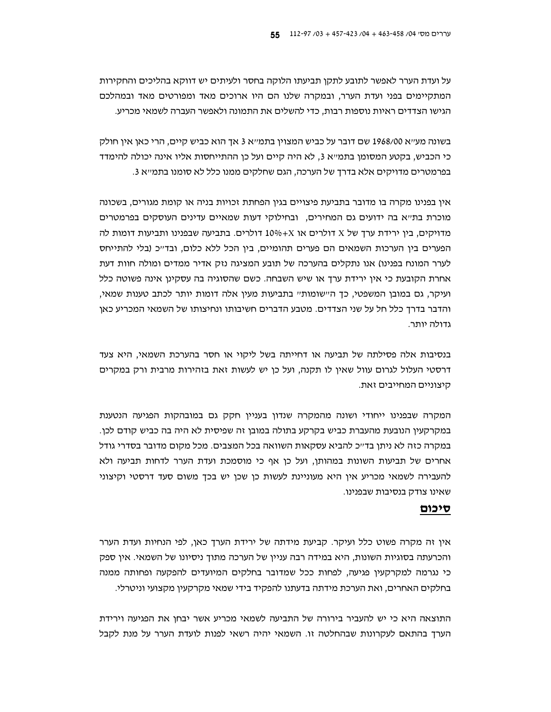על ועדת הערר לאפשר לתובע לתקן תביעתו הלוקה בחסר ולעיתים יש דווקא בהליכים והחקירות המתקיימים בפני ועדת הערר, ובמקרה שלנו הם היו ארוכים מאד ומפורטים מאד ובמהלכם הגישו הצדדים ראיות נוספות רבות, כדי להשלים את התמונה ולאפשר העברה לשמאי מכריע.

בשונה מעייא 1968/00 שם דובר על כביש המצוין בתמייא 3 אך הוא כביש קיים, הרי כאן אין חולק כי הכביש, בקטע המסומן בתמייא 3, לא היה קיים ועל כן ההתייחסות אליו אינה יכולה להימדד בפרמטרים מדויקים אלא בדרך של הערכה, הגם שחלקים ממנו כלל לא סומנו בתמ״א 3.

אין בפנינו מקרה בו מדובר בתביעת פיצויים בגין הפחתת זכויות בניה או קומת מגורים, בשכונה מוכרת בתייא בה ידועים גם המחירים, ובחילוקי דעות שמאיים עדינים העוסקים בפרמטרים מדויקים, בין ירידת ערך של X דולרים או 4×10% דולרים. בתביעה שבפנינו ותביעות דומות לה הפערים בין הערכות השמאים הם פערים תהומיים, בין הכל ללא כלום, ובד״כ (בלי להתייחס לערר המונח בפנינו) אנו נתקלים בהערכה של תובע המציגה נזק אדיר ממדים ומולה חוות דעת אחרת הקובעת כי אין ירידת ערך או שיש השבחה. כשם שהסוגיה בה עסקינן אינה פשוטה כלל ועיקר, גם במובו המשפטי, כד היישומותיי בתביעות מעין אלה דומות יותר לכתב טענות שמאי, והדבר בדרך כלל חל על שני הצדדים. מטבע הדברים חשיבותו ונחיצותו של השמאי המכריע כאן גדולה יותר.

בנסיבות אלה פסילתה של תביעה או דחייתה בשל ליקוי או חסר בהערכת השמאי, היא צעד דרסטי העלול לגרום עוול שאין לו תקנה, ועל כן יש לעשות זאת בזהירות מרבית ורק במקרים קיצוניים המחייבים זאת.

המקרה שבפנינו ייחודי ושונה מהמקרה שנדון בעניין חקק גם במובהקות הפגיעה הנטענת במקרקעין הנובעת מהעברת כביש בקרקע בתולה במובן זה שפיסית לא היה בה כביש קודם לכן. במקרה כזה לא ניתן בד״כ להביא עסקאות השוואה בכל המצבים. מכל מקום מדובר בסדרי גודל אחרים של תביעות השונות במהותן, ועל כן אף כי מוסמכת ועדת הערר לדחות תביעה ולא להעבירה לשמאי מכריע אין היא מעוניינת לעשות כן שכן יש בכך משום סעד דרסטי וקיצוני שאינו צודק בנסיבות שבפנינו.

# סיכום

אין זה מקרה פשוט כלל ועיקר. קביעת מידתה של ירידת הערך כאן, לפי הנחיות ועדת הערר והכרעתה בסוגיות השונות, היא במידה רבה עניין של הערכה מתוך ניסיונו של השמאי. אין ספק כי נגרמה למקרקעין פגיעה, לפחות ככל שמדובר בחלקים המיועדים להפקעה ופחותה ממנה בחלקים האחרים, ואת הערכת מידתה בדעתנו להפקיד בידי שמאי מקרקעין מקצועי וניטרלי.

התוצאה היא כי יש להעביר בירורה של התביעה לשמאי מכריע אשר יבחן את הפגיעה וירידת הערך בהתאם לעקרונות שבהחלטה זו. השמאי יהיה רשאי לפנות לועדת הערר על מנת לקבל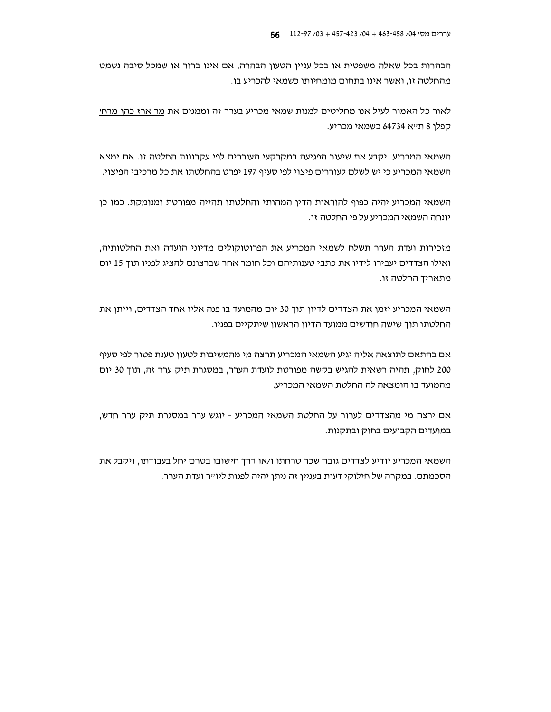הבהרות בכל שאלה משפטית או בכל עניין הטעון הבהרה, אם אינו ברור או שמכל סיבה נשמט מהחלטה זו, ואשר אינו בתחום מומחיותו כשמאי להכריע בו.

לאור כל האמור לעיל אנו מחליטים למנות שמאי מכריע בערר זה וממנים את מר ארז כהן מרחי קפלן 8 ת״א 64734 כשמאי מכריע.

השמאי המכריע יקבע את שיעור הפגיעה במקרקעי העוררים לפי עקרונות החלטה זו. אם ימצא השמאי המכריע כי יש לשלם לעוררים פיצוי לפי סעיף 197 יפרט בהחלטתו את כל מרכיבי הפיצוי.

השמאי המכריע יהיה כפוף להוראות הדין המהותי והחלטתו תהייה מפורטת ומנומקת. כמו כן יונחה השמאי המכריע על פי החלטה זו.

מזכירות ועדת הערר תשלח לשמאי המכריע את הפרוטוקולים מדיוני הועדה ואת החלטותיה, ואילו הצדדים יעבירו לידיו את כתבי טענותיהם וכל חומר אחר שברצונם להציג לפניו תוך 15 יום מתאריד החלטה זו.

השמאי המכריע יזמן את הצדדים לדיון תוך 30 יום מהמועד בו פנה אליו אחד הצדדים, וייתן את החלטתו תוך שישה חודשים ממועד הדיון הראשון שיתקיים בפניו.

אם בהתאם לתוצאה אליה יגיע השמאי המכריע תרצה מי מהמשיבות לטעון טענת פטור לפי סעיף 200 לחוק, תהיה רשאית להגיש בקשה מפורטת לועדת הערר, במסגרת תיק ערר זה, תוך 30 יום מהמועד בו הומצאה לה החלטת השמאי המכריע.

אם ירצה מי מהצדדים לערור על החלטת השמאי המכריע - יוגש ערר במסגרת תיק ערר חדש, במועדים הקבועים בחוק ובתקנות.

השמאי המכריע יודיע לצדדים גובה שכר טרחתו ו/או דרך חישובו בטרם יחל בעבודתו, ויקבל את הסכמתם. במקרה של חילוקי דעות בעניין זה ניתן יהיה לפנות ליו״ר ועדת הערר.